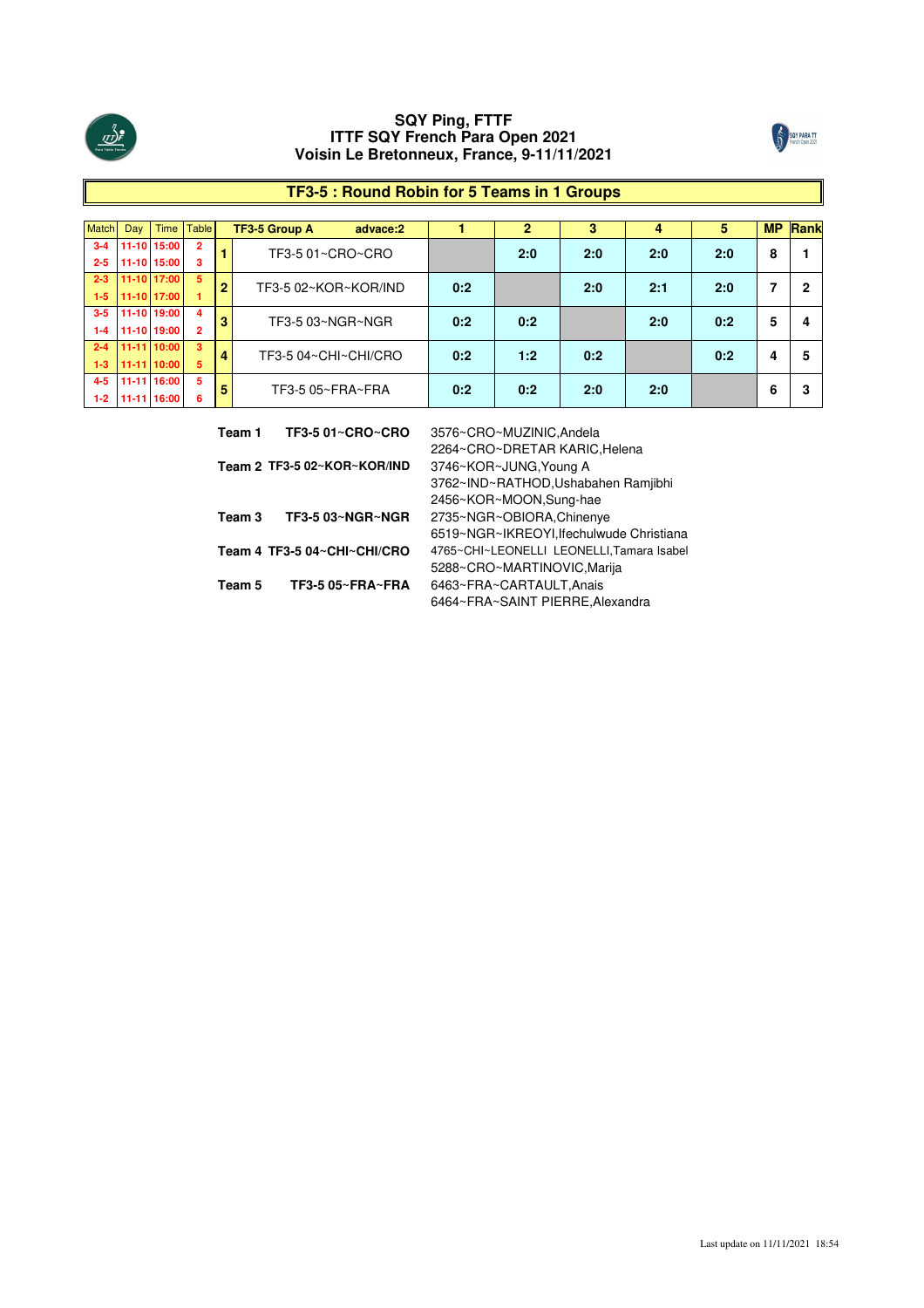



# **TF3-5 : Round Robin for 5 Teams in 1 Groups**

| <b>Match</b> | Day       | <b>Time</b> | <b>Table</b>            |                | <b>TF3-5 Group A</b><br>advace:2 |     | $\mathbf{2}$ | 3   | 4   | 5   | <b>MP</b> | Rank |
|--------------|-----------|-------------|-------------------------|----------------|----------------------------------|-----|--------------|-----|-----|-----|-----------|------|
| $3 - 4$      |           | 11-10 15:00 | $\overline{2}$          |                | TF3-5 01~CRO~CRO                 |     | 2:0          | 2:0 | 2:0 | 2:0 | 8         |      |
| $2 - 5$      |           | 11-10 15:00 | з                       |                |                                  |     |              |     |     |     |           |      |
| $2 - 3$      |           | 11-10 17:00 | 5                       | $\overline{2}$ | TF3-5 02~KOR~KOR/IND             | 0:2 |              | 2:0 | 2:1 | 2:0 | 7         | 2    |
| $1 - 5$      |           | 11-10 17:00 |                         |                |                                  |     |              |     |     |     |           |      |
| $3 - 5$      |           | 11-10 19:00 | $\overline{\mathbf{4}}$ | 3              | TF3-5 03~NGR~NGR                 | 0:2 | 0:2          |     | 2:0 | 0:2 | 5         | 4    |
| $1 - 4$      |           | 11-10 19:00 | 2                       |                |                                  |     |              |     |     |     |           |      |
| $2 - 4$      | $11 - 11$ | 10:00       | 3                       | $\overline{4}$ | TF3-5 04~CHI~CHI/CRO             | 0:2 | 1:2          | 0:2 |     | 0:2 | 4         | 5    |
| $1 - 3$      | $11 - 11$ | 10:00       | 5                       |                |                                  |     |              |     |     |     |           |      |
| $4 - 5$      | $11 - 11$ | 16:00       | 5                       | 5              | TF3-5 05~FRA~FRA                 | 0:2 | 0:2          | 2:0 | 2:0 |     | 6         | 3    |
| $1-2$        | $11 - 11$ | 16:00       | 6                       |                |                                  |     |              |     |     |     |           |      |

| Team 1 | <b>TF3-5 01~CRO~CRO</b>     | 3576~CRO~MUZINIC, Andela                  |
|--------|-----------------------------|-------------------------------------------|
|        |                             | 2264~CRO~DRETAR KARIC, Helena             |
|        | Team 2 TF3-5 02~KOR~KOR/IND | 3746~KOR~JUNG, Young A                    |
|        |                             | 3762~IND~RATHOD, Ushabahen Ramjibhi       |
|        |                             | 2456~KOR~MOON,Sung-hae                    |
| Team 3 | TF3-5 03~NGR~NGR            | 2735~NGR~OBIORA, Chinenye                 |
|        |                             | 6519~NGR~IKREOYI, Ifechulwude Christiana  |
|        | Team 4 TF3-5 04~CHI~CHI/CRO | 4765~CHI~LEONELLI LEONELLI, Tamara Isabel |
|        |                             | 5288~CRO~MARTINOVIC, Marija               |
| Team 5 | TF3-5 05~FRA~FRA            | 6463~FRA~CARTAULT, Anais                  |
|        |                             | 6464~FRA~SAINT PIERRE, Alexandra          |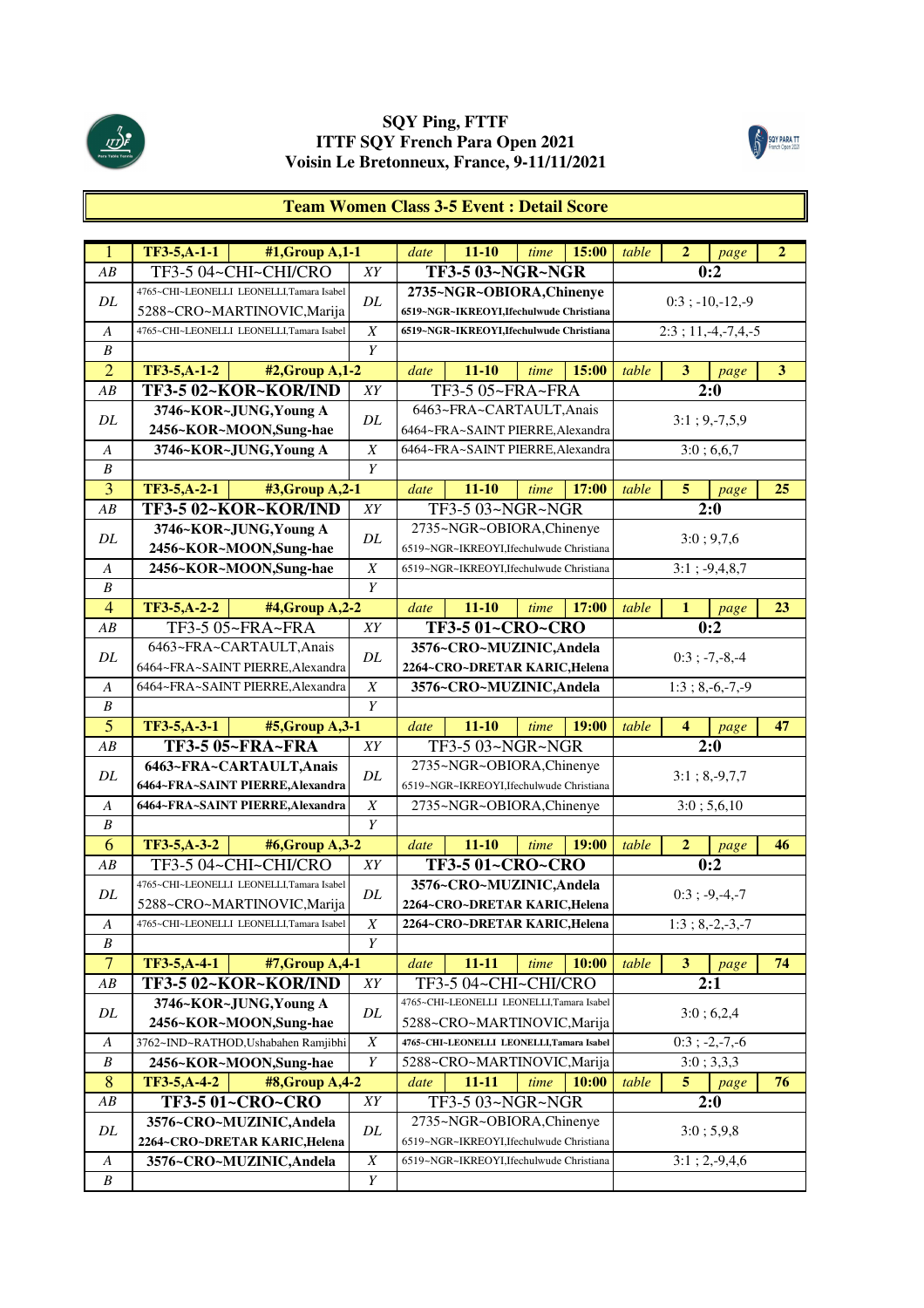



# **Team Women Class 3-5 Event : Detail Score**

| $\mathbf{1}$          | TF3-5,A-1-1<br>#1, Group A, 1-1           |                       | date | $11 - 10$                                 | time | 15:00 | table | $\mathbf{2}$   | page                      | $\overline{2}$ |
|-----------------------|-------------------------------------------|-----------------------|------|-------------------------------------------|------|-------|-------|----------------|---------------------------|----------------|
| AB                    | TF3-5 04~CHI~CHI/CRO                      | XY                    |      | <b>TF3-5 03~NGR~NGR</b>                   |      |       |       |                | 0:2                       |                |
|                       | 4765~CHI~LEONELLI LEONELLI,Tamara Isabel  |                       |      | 2735~NGR~OBIORA, Chinenye                 |      |       |       |                |                           |                |
| DL                    | 5288~CRO~MARTINOVIC, Marija               | DL                    |      | 6519~NGR~IKREOYI,Ifechulwude Christiana   |      |       |       |                | $0:3$ ; $-10,-12,-9$      |                |
| A                     | 4765~CHI~LEONELLI LEONELLI,Tamara Isabel  | $\boldsymbol{X}$      |      | 6519~NGR~IKREOYI,Ifechulwude Christiana   |      |       |       |                | $2:3$ ; 11, -4, -7, 4, -5 |                |
| $\boldsymbol{B}$      |                                           | Y                     |      |                                           |      |       |       |                |                           |                |
| $\overline{2}$        | TF3-5,A-1-2<br>#2, Group A, 1-2           |                       | date | $11 - 10$                                 | time | 15:00 | table | 3              | page                      | 3              |
| AB                    | TF3-5 02~KOR~KOR/IND                      | XY                    |      | TF3-5 05~FRA~FRA                          |      |       |       |                | 2:0                       |                |
| DL                    | 3746~KOR~JUNG, Young A                    | DL                    |      | 6463~FRA~CARTAULT, Anais                  |      |       |       |                | $3:1; 9,-7,5,9$           |                |
|                       | 2456~KOR~MOON,Sung-hae                    |                       |      | 6464~FRA~SAINT PIERRE, Alexandra          |      |       |       |                |                           |                |
| А                     | 3746~KOR~JUNG, Young A                    | $\boldsymbol{X}$      |      | 6464~FRA~SAINT PIERRE, Alexandra          |      |       |       |                | 3:0;6,6,7                 |                |
| B                     |                                           | Y                     |      |                                           |      |       |       |                |                           |                |
| 3                     | TF3-5,A-2-1<br>#3, Group A, 2-1           |                       | date | 11-10                                     | time | 17:00 | table | 5 <sup>5</sup> | page                      | 25             |
| AB                    | TF3-5 02~KOR~KOR/IND                      | XY                    |      | TF3-503~NGR~NGR                           |      |       |       |                | 2:0                       |                |
| DL                    | 3746~KOR~JUNG, Young A                    | DL                    |      | 2735~NGR~OBIORA, Chinenye                 |      |       |       |                | 3:0; 9,7,6                |                |
|                       | 2456~KOR~MOON,Sung-hae                    |                       |      | 6519~NGR~IKREOYI.Ifechulwude Christiana   |      |       |       |                |                           |                |
| A                     | 2456~KOR~MOON,Sung-hae                    | $\boldsymbol{X}$      |      | 6519~NGR~IKREOYI, Ifechulwude Christiana  |      |       |       |                | $3:1; -9,4,8,7$           |                |
| $\boldsymbol{B}$      |                                           | Y                     |      |                                           |      |       |       |                |                           |                |
| $\overline{4}$        | TF3-5,A-2-2<br>#4, Group A, 2-2           |                       | date | $11 - 10$                                 | time | 17:00 | table | $\mathbf{1}$   | page                      | 23             |
| AB                    | TF3-5 05~FRA~FRA                          | XY                    |      | <b>TF3-5 01~CRO~CRO</b>                   |      |       |       |                | 0:2                       |                |
| DL                    | 6463~FRA~CARTAULT, Anais                  | DL                    |      | 3576~CRO~MUZINIC, Andela                  |      |       |       |                | $0:3$ ; $-7,-8,-4$        |                |
|                       | 6464~FRA~SAINT PIERRE, Alexandra          |                       |      | 2264~CRO~DRETAR KARIC, Helena             |      |       |       |                |                           |                |
| A                     | 6464~FRA~SAINT PIERRE, Alexandra          | $\boldsymbol{X}$      |      | 3576~CRO~MUZINIC, Andela                  |      |       |       |                | $1:3; 8,-6,-7,-9$         |                |
| $\boldsymbol{B}$      |                                           | Y                     |      |                                           |      |       |       |                |                           |                |
|                       |                                           |                       |      |                                           |      |       |       |                |                           |                |
| $\overline{5}$        | TF3-5,A-3-1<br>$#5$ , Group A, 3-1        |                       | date | $11 - 10$                                 | time | 19:00 | table | 4              | page                      | 47             |
| AB                    | <b>TF3-5 05~FRA~FRA</b>                   | XY                    |      | TF3-5 03~NGR~NGR                          |      |       |       |                | 2:0                       |                |
| DL                    | 6463~FRA~CARTAULT, Anais                  | DL                    |      | 2735~NGR~OBIORA, Chinenye                 |      |       |       |                |                           |                |
|                       | 6464~FRA~SAINT PIERRE, Alexandra          |                       |      | 6519~NGR~IKREOYI, Ifechulwude Christiana  |      |       |       |                | $3:1; 8, -9, 7, 7$        |                |
| A                     | 6464~FRA~SAINT PIERRE, Alexandra          | $\boldsymbol{X}$      |      | 2735~NGR~OBIORA, Chinenye                 |      |       |       |                | 3:0; 5,6,10               |                |
| B                     |                                           | Y                     |      |                                           |      |       |       |                |                           |                |
| 6                     | TF3-5,A-3-2<br>#6, Group A, 3-2           |                       | date | $11 - 10$                                 | time | 19:00 | table | $\overline{2}$ | page                      | 46             |
| AB                    | TF3-5 04~CHI~CHI/CRO                      | XY                    |      | <b>TF3-5 01~CRO~CRO</b>                   |      |       |       |                | 0:2                       |                |
| DL                    | 4765~CHI~LEONELLI LEONELLI,Tamara Isabel  | DL                    |      | 3576~CRO~MUZINIC, Andela                  |      |       |       |                | $0:3; -9,-4,-7$           |                |
|                       | 5288~CRO~MARTINOVIC, Marija               |                       |      | 2264~CRO~DRETAR KARIC, Helena             |      |       |       |                |                           |                |
| A                     | 4765~CHI~LEONELLI LEONELLI, Tamara Isabel | $\boldsymbol{X}$      |      | 2264~CRO~DRETAR KARIC, Helena             |      |       |       |                | $1:3:8,-2,-3,-7$          |                |
| B                     |                                           | Y                     |      |                                           |      |       |       |                |                           |                |
| $\overline{7}$        | TF3-5, A-4-1<br>#7, Group A, 4-1          |                       | date | $11 - 11$                                 | time | 10:00 | table | 3              | page                      | 74             |
| AB                    | TF3-5 02~KOR~KOR/IND                      | ${\cal XY}$           |      | TF3-5 04~CHI~CHI/CRO                      |      |       |       |                | 2:1                       |                |
| DL                    | 3746~KOR~JUNG, Young A                    | DL                    |      | 4765~CHI~LEONELLI LEONELLI,Tamara Isabel  |      |       |       |                | 3:0;6,2,4                 |                |
|                       | 2456~KOR~MOON,Sung-hae                    |                       |      | 5288~CRO~MARTINOVIC, Marija               |      |       |       |                |                           |                |
| A                     | 3762~IND~RATHOD, Ushabahen Ramjibhi       | $\boldsymbol{X}$      |      | 4765~CHI~LEONELLI LEONELLI, Tamara Isabel |      |       |       |                | $0:3$ ; -2,-7,-6          |                |
| B                     | 2456~KOR~MOON,Sung-hae                    | Y                     |      | 5288~CRO~MARTINOVIC, Marija               |      |       |       |                | 3:0; 3,3,3                |                |
| 8                     | TF3-5,A-4-2<br>#8, Group A, 4-2           |                       | date | 11-11                                     | time | 10:00 | table | 5              | page                      | 76             |
| AB                    | <b>TF3-5 01~CRO~CRO</b>                   | XY                    |      | TF3-5 03~NGR~NGR                          |      |       |       |                | 2:0                       |                |
| DL                    | 3576~CRO~MUZINIC, Andela                  | DL                    |      | 2735~NGR~OBIORA, Chinenye                 |      |       |       |                | 3:0; 5,9,8                |                |
|                       | 2264~CRO~DRETAR KARIC, Helena             |                       |      | 6519~NGR~IKREOYI, Ifechulwude Christiana  |      |       |       |                |                           |                |
| A<br>$\boldsymbol{B}$ | 3576~CRO~MUZINIC, Andela                  | $\boldsymbol{X}$<br>Y |      | 6519~NGR~IKREOYI, Ifechulwude Christiana  |      |       |       |                | $3:1; 2,-9,4,6$           |                |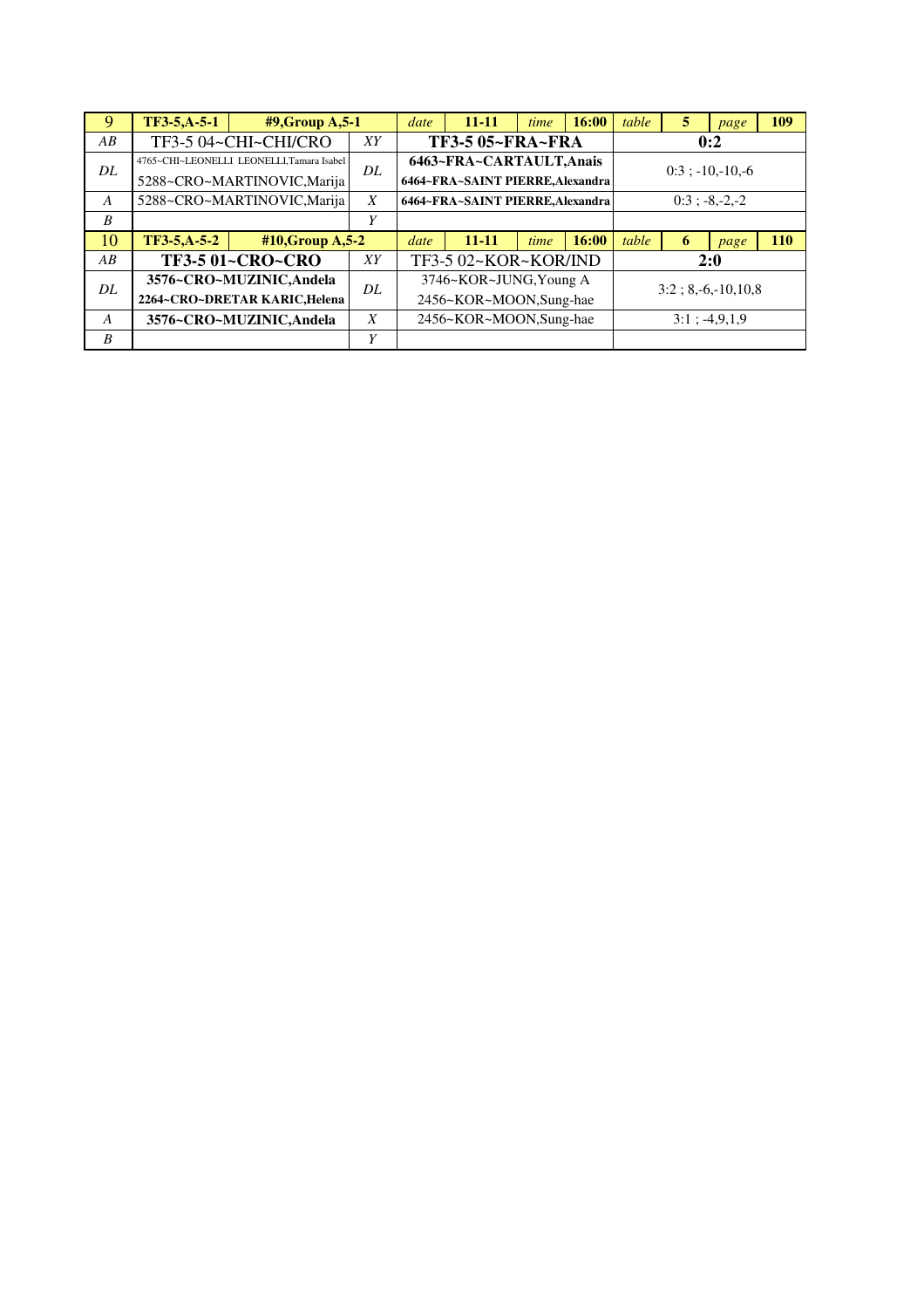| 9                | TF3-5, A-5-1 | $#9$ , Group A, 5-1                       |    | date | $11 - 11$                        | time | 16:00 | table                | 5   | page               | 109        |
|------------------|--------------|-------------------------------------------|----|------|----------------------------------|------|-------|----------------------|-----|--------------------|------------|
| AB               |              | TF3-5 04~CHI~CHI/CRO                      | XY |      | <b>TF3-5 05~FRA~FRA</b>          |      |       |                      |     | 0:2                |            |
| DL               |              | 4765~CHI~LEONELLI LEONELLI, Tamara Isabel | DL |      | 6463~FRA~CARTAULT, Anais         |      |       |                      |     | $0:3:-10,-10,-6$   |            |
|                  |              | 5288~CRO~MARTINOVIC, Marija               |    |      | 6464~FRA~SAINT PIERRE, Alexandra |      |       |                      |     |                    |            |
| $\boldsymbol{A}$ |              | 5288~CRO~MARTINOVIC, Marija               | X  |      | 6464~FRA~SAINT PIERRE, Alexandra |      |       |                      |     | $0:3$ ; $-8,-2,-2$ |            |
| B                |              |                                           | Y  |      |                                  |      |       |                      |     |                    |            |
| 10               | TF3-5,A-5-2  | $#10$ , Group A, 5-2                      |    | date | $11 - 11$                        | time | 16:00 | table                | 6   | page               | <b>110</b> |
| AB               |              | <b>TF3-5 01~CRO~CRO</b>                   | XY |      | TF3-5 02~KOR~KOR/IND             |      |       |                      | 2:0 |                    |            |
| DL               |              | 3576~CRO~MUZINIC, Andela                  | DL |      | 3746~KOR~JUNG, Young A           |      |       |                      |     |                    |            |
|                  |              | 2264~CRO~DRETAR KARIC, Helena             |    |      | 2456~KOR~MOON,Sung-hae           |      |       | $3:2; 8,-6,-10,10,8$ |     |                    |            |
| A                |              | 3576~CRO~MUZINIC, Andela                  | X  |      | 2456~KOR~MOON,Sung-hae           |      |       |                      |     | $3:1$ ; $-4,9,1,9$ |            |
| B                |              |                                           | Y  |      |                                  |      |       |                      |     |                    |            |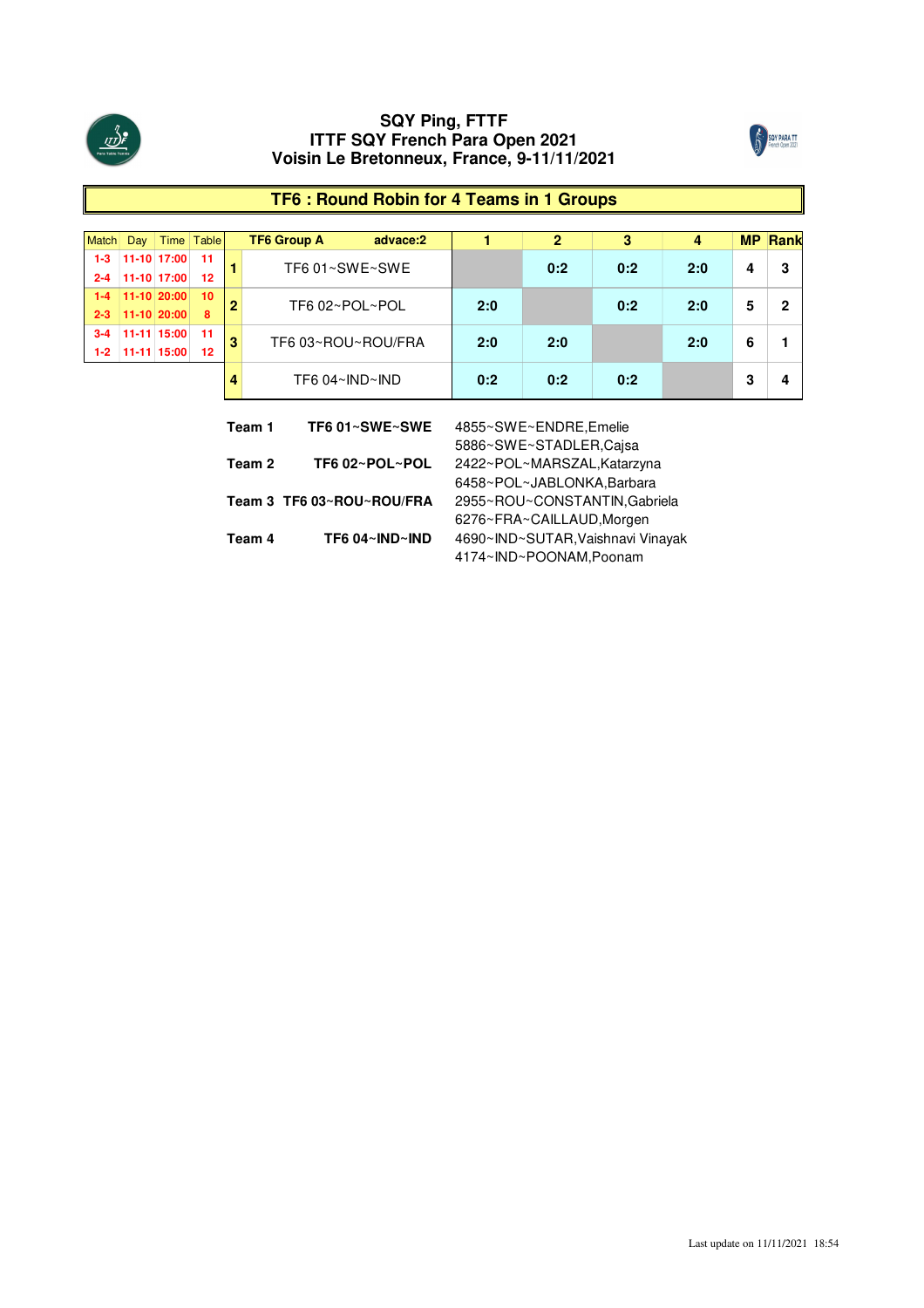



# **TF6 : Round Robin for 4 Teams in 1 Groups**

| Match   | Day |                       | Time Table |   | <b>TF6 Group A</b>                 | advace:2 |     |     | o   |     |   | <b>MP Rank</b> |
|---------|-----|-----------------------|------------|---|------------------------------------|----------|-----|-----|-----|-----|---|----------------|
| $1 - 3$ |     | 11-10 17:00           | 11         |   | TF6 01~SWE~SWE                     |          |     | 0:2 | 0:2 | 2:0 |   | 3              |
| $2 - 4$ |     | $11-10$ 17:00         | 12         |   |                                    |          |     |     |     |     |   |                |
|         |     | $1-4$   11-10   20:00 | 10         | ന | TF6 02~POL~POL                     |          | 2:0 |     | 0:2 | 2:0 | 5 | 2              |
|         |     | $2 - 3$ 11-10 20:00   | 8          |   |                                    |          |     |     |     |     |   |                |
| $3 - 4$ |     | 11-11 15:00           | 11         | 3 | TF6 03~ROU~ROU/FRA                 |          | 2:0 | 2:0 |     | 2:0 | 6 |                |
| $1-2$   |     | 11-11 15:00           | 12         |   |                                    |          |     |     |     |     |   |                |
|         |     |                       |            |   | TF6 $04~\text{N}$ D $~\text{N}$ ND |          | 0:2 | 0:2 | 0:2 |     |   | Д              |

| Team 1 | TF6 01~SWE~SWE            | 4855~SWE~ENDRE, Emelie            |
|--------|---------------------------|-----------------------------------|
|        |                           | 5886~SWE~STADLER,Cajsa            |
| Team 2 | TF6 02~POL~POL            | 2422~POL~MARSZAL, Katarzyna       |
|        |                           | 6458~POL~JABLONKA, Barbara        |
|        | Team 3 TF6 03~ROU~ROU/FRA | 2955~ROU~CONSTANTIN, Gabriela     |
|        |                           | 6276~FRA~CAILLAUD, Morgen         |
| Team 4 | TF6 04~IND~IND            | 4690~IND~SUTAR, Vaishnavi Vinayak |
|        |                           | 4174~IND~POONAM,Poonam            |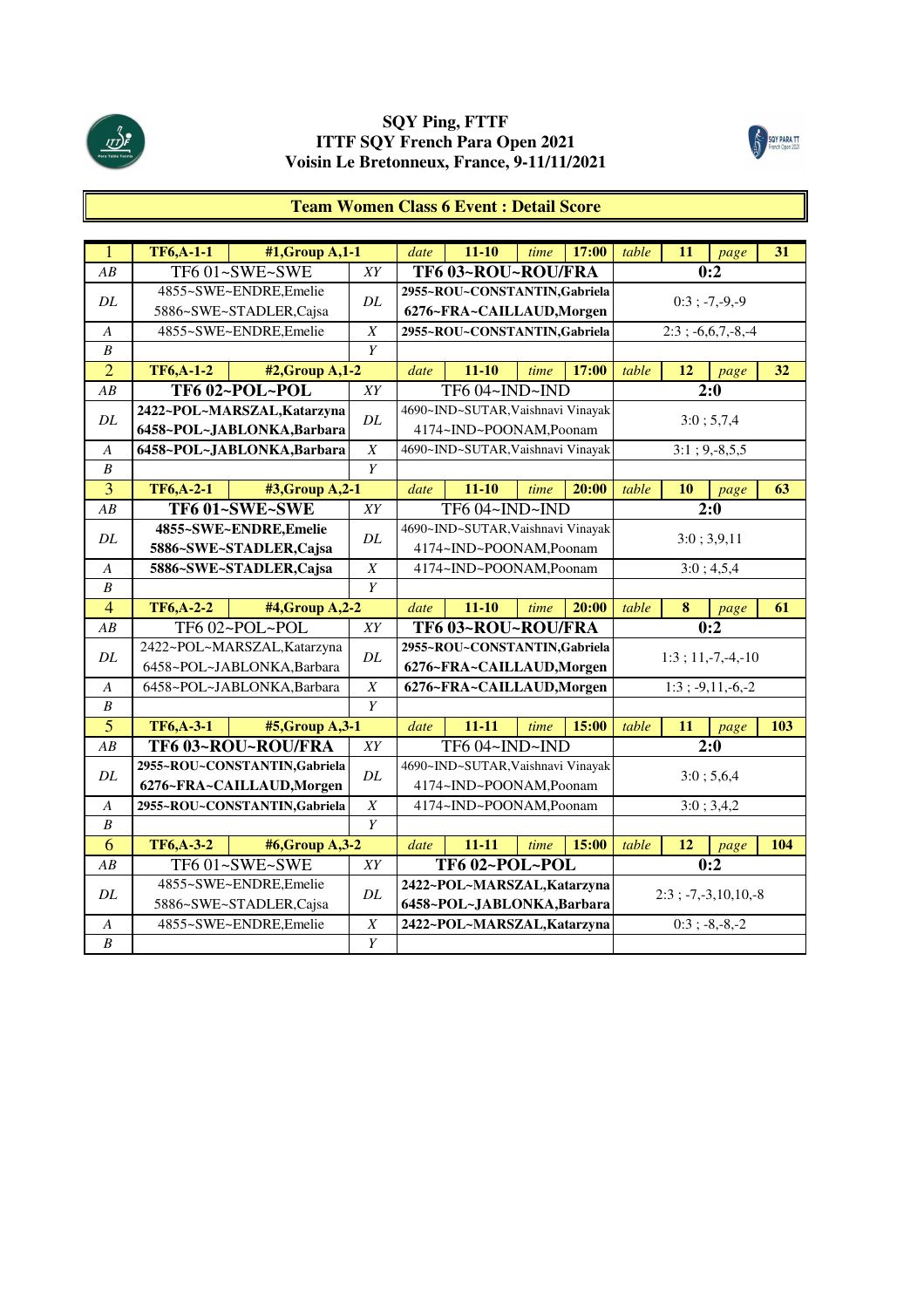



# **Team Women Class 6 Event : Detail Score**

| $\overline{1}$   | <b>TF6,A-1-1</b> | $#1$ , Group A, $1-1$         |                  | date | $11 - 10$                         | time | 17:00 | table | 11 | page                         | 31  |
|------------------|------------------|-------------------------------|------------------|------|-----------------------------------|------|-------|-------|----|------------------------------|-----|
| AB               |                  | TF6 01~SWE~SWE                | XY               |      | TF6 03~ROU~ROU/FRA                |      |       |       |    | 0:2                          |     |
| DL               |                  | 4855~SWE~ENDRE, Emelie        | DL               |      | 2955~ROU~CONSTANTIN, Gabriela     |      |       |       |    | $0:3$ ; $-7, -9, -9$         |     |
|                  |                  | 5886~SWE~STADLER, Cajsa       |                  |      | 6276~FRA~CAILLAUD, Morgen         |      |       |       |    |                              |     |
| A                |                  | 4855~SWE~ENDRE, Emelie        | $\boldsymbol{X}$ |      | 2955~ROU~CONSTANTIN, Gabriela     |      |       |       |    | $2:3; -6,6,7,-8,-4$          |     |
| $\boldsymbol{B}$ |                  |                               | Y                |      |                                   |      |       |       |    |                              |     |
| $\overline{2}$   | <b>TF6,A-1-2</b> | #2, Group A, 1-2              |                  | date | $11 - 10$                         | time | 17:00 | table | 12 | page                         | 32  |
| AB               |                  | TF6 02~POL~POL                | XY               |      | TF6 04~IND~IND                    |      |       |       |    | 2:0                          |     |
| DL               |                  | 2422~POL~MARSZAL, Katarzyna   | DL               |      | 4690~IND~SUTAR, Vaishnavi Vinayak |      |       |       |    | 3:0; 5,7,4                   |     |
|                  |                  | 6458~POL~JABLONKA,Barbara     |                  |      | 4174~IND~POONAM,Poonam            |      |       |       |    |                              |     |
| A                |                  | 6458~POL~JABLONKA,Barbara     | $\boldsymbol{X}$ |      | 4690~IND~SUTAR, Vaishnavi Vinayak |      |       |       |    | $3:1; 9,-8,5,5$              |     |
| $\boldsymbol{B}$ |                  |                               | Y                |      |                                   |      |       |       |    |                              |     |
| $\overline{3}$   | <b>TF6,A-2-1</b> | #3, Group A, 2-1              |                  | date | $11 - 10$                         | time | 20:00 | table | 10 | page                         | 63  |
| AB               |                  | TF6 01~SWE~SWE                | $\overline{XY}$  |      | TF6 04~IND~IND                    |      |       |       |    | 2:0                          |     |
| $\cal DL$        |                  | 4855~SWE~ENDRE, Emelie        | DL               |      | 4690~IND~SUTAR, Vaishnavi Vinayak |      |       |       |    | 3:0; 3,9,11                  |     |
|                  |                  | 5886~SWE~STADLER, Cajsa       |                  |      | 4174~IND~POONAM,Poonam            |      |       |       |    |                              |     |
| A                |                  | 5886~SWE~STADLER, Cajsa       | $\boldsymbol{X}$ |      | 4174~IND~POONAM,Poonam            |      |       |       |    | 3:0; 4,5,4                   |     |
| $\boldsymbol{B}$ |                  | Y                             |                  |      |                                   |      |       |       |    |                              |     |
| $\overline{4}$   | <b>TF6,A-2-2</b> | #4, Group A, 2-2              |                  | date | $11 - 10$                         | time | 20:00 | table | 8  | page                         | 61  |
| $\overline{AB}$  |                  | TF602~POL~POL                 | XY               |      | TF6 03~ROU~ROU/FRA                |      |       |       |    | 0:2                          |     |
| DL               |                  | 2422~POL~MARSZAL, Katarzyna   | DL               |      | 2955~ROU~CONSTANTIN, Gabriela     |      |       |       |    | $1:3:11,-7,-4,-10$           |     |
|                  |                  | 6458~POL~JABLONKA, Barbara    |                  |      | 6276~FRA~CAILLAUD, Morgen         |      |       |       |    |                              |     |
| A                |                  | 6458~POL~JABLONKA, Barbara    | $\boldsymbol{X}$ |      | 6276~FRA~CAILLAUD, Morgen         |      |       |       |    | $1:3; -9,11,-6,-2$           |     |
| $\boldsymbol{B}$ |                  |                               | Y                |      |                                   |      |       |       |    |                              |     |
| $\overline{5}$   | <b>TF6,A-3-1</b> | #5, Group A, 3-1              |                  | date | $11 - 11$                         | time | 15:00 | table | 11 | page                         | 103 |
| AB               |                  | TF6 03~ROU~ROU/FRA            | XY               |      | TF604~IND~IND                     |      |       |       |    | 2:0                          |     |
| DL               |                  | 2955~ROU~CONSTANTIN, Gabriela | DL               |      | 4690~IND~SUTAR, Vaishnavi Vinayak |      |       |       |    | 3:0; 5,6,4                   |     |
|                  |                  | 6276~FRA~CAILLAUD, Morgen     |                  |      | 4174~IND~POONAM,Poonam            |      |       |       |    |                              |     |
| $\boldsymbol{A}$ |                  | 2955~ROU~CONSTANTIN, Gabriela | $\boldsymbol{X}$ |      | 4174~IND~POONAM,Poonam            |      |       |       |    | 3:0; 3,4,2                   |     |
| $\boldsymbol{B}$ |                  |                               | $\overline{Y}$   |      |                                   |      |       |       |    |                              |     |
| 6                | <b>TF6,A-3-2</b> | #6,Group A,3-2                |                  | date | $11 - 11$                         | time | 15:00 | table | 12 | page                         | 104 |
| AB               |                  | TF6 01~SWE~SWE                | XY               |      | TF602~POL~POL                     |      |       |       |    | 0:2                          |     |
| DL               |                  | 4855~SWE~ENDRE, Emelie        | DL               |      | 2422~POL~MARSZAL, Katarzyna       |      |       |       |    |                              |     |
|                  |                  | 5886~SWE~STADLER, Cajsa       |                  |      | 6458~POL~JABLONKA, Barbara        |      |       |       |    | $2:3$ ; $-7, -3, 10, 10, -8$ |     |
| $\boldsymbol{A}$ |                  | 4855~SWE~ENDRE, Emelie        | $\boldsymbol{X}$ |      | 2422~POL~MARSZAL, Katarzyna       |      |       |       |    | $0:3; -8,-8,-2$              |     |
| $\boldsymbol{B}$ |                  |                               | Y                |      |                                   |      |       |       |    |                              |     |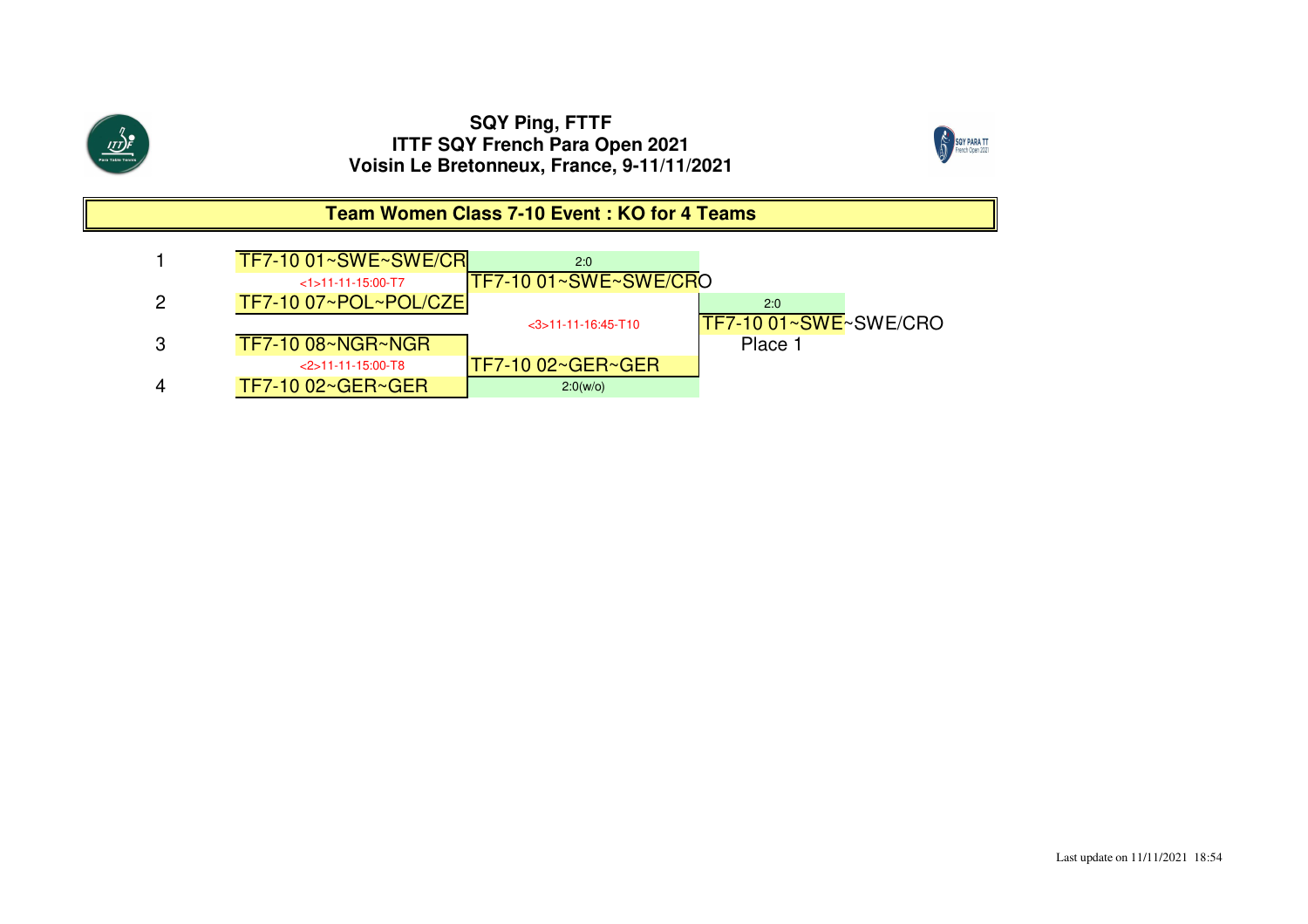

4

TF7-10 02~GER~GER

## **SQY Ping, FTTF ITTF SQY French Para Open 2021Voisin Le Bretonneux, France, 9-11/11/2021**





2:0(w/o)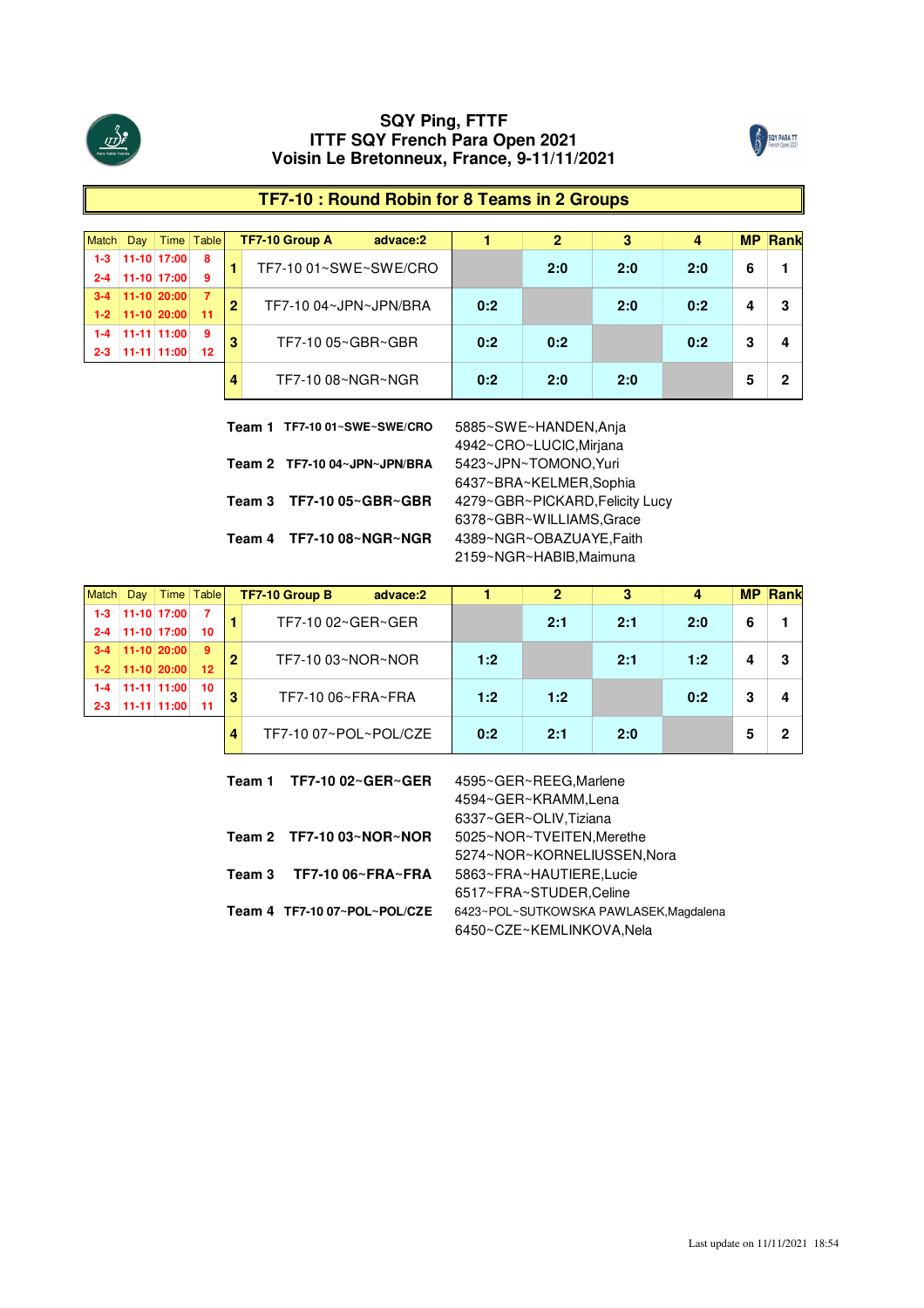



# **TF7-10 : Round Robin for 8 Teams in 2 Groups**

|         | Dav           |                | Time Table |   | TF7-10 Group A        | advace:2 |     |     |     |     | MР | <b>Rank</b> |
|---------|---------------|----------------|------------|---|-----------------------|----------|-----|-----|-----|-----|----|-------------|
|         |               | 11-10 17:00    | 8          |   | TF7-10 01~SWE~SWE/CRO |          |     | 2:0 | 2:0 | 2:0 | 6  |             |
| $2 - 4$ |               | 11-10 17:00    | 9          |   |                       |          |     |     |     |     |    |             |
|         |               | $11-10 20:00 $ | -7         | 2 | TF7-10 04~JPN~JPN/BRA |          | 0:2 |     | 2:0 | 0:2 |    |             |
| $1 - 2$ | $11-10/20:00$ |                | $-11$      |   |                       |          |     |     |     |     |    |             |
|         |               | 11-11 11:00    | -9         |   | TF7-10 05~GBR~GBR     |          | 0:2 | 0:2 |     | 0:2 | າ  |             |
| 2-3     |               | 11-11 11:00    | 12         |   |                       |          |     |     |     |     |    |             |
|         |               |                |            |   | TF7-10 08~NGR~NGR     |          | 0:2 | 20  | 2:0 |     |    |             |

| Team 1 TF7-10 01~SWE~SWE/CRO | 5885~SWE~HANDEN, Anja           |
|------------------------------|---------------------------------|
|                              | 4942~CRO~LUCIC, Mirjana         |
| Team 2 TF7-10 04~JPN~JPN/BRA | 5423~JPN~TOMONO, Yuri           |
|                              | 6437~BRA~KELMER,Sophia          |
| Team 3 TF7-10 05~GBR~GBR     | 4279~GBR~PICKARD, Felicity Lucy |
|                              | 6378~GBR~WILLIAMS, Grace        |
| Team 4 TF7-10 08~NGR~NGR     | 4389~NGR~OBAZUAYE, Faith        |
|                              | 2159~NGR~HABIB, Maimuna         |
|                              |                                 |

|                   |                 | Time Table |   | TF7-10 Group B<br>advace:2 |     |     |     |       | <b>MP Rank</b> |
|-------------------|-----------------|------------|---|----------------------------|-----|-----|-----|-------|----------------|
|                   | $11-10$ $17:00$ |            |   | TF7-10 02~GER~GER          |     | 2:1 | 2:1 | 2:0   |                |
|                   | 11-10 17:00     | 10         |   |                            |     |     |     |       |                |
|                   | 11-10 20:00     | -9         |   | TF7-10 03~NOR~NOR          | 1:2 |     | 2:1 | 1:2   |                |
| $1-2$ 11-10 20:00 |                 | 12         |   |                            |     |     |     |       |                |
|                   | 11-11 11:00     | 10         | m | TF7-10 06~FRA~FRA          | 1:2 | 1:2 |     | ი : 2 |                |
|                   |                 | 11         |   |                            |     |     |     |       |                |
|                   |                 |            | 4 | TF7-10 07~POL~POL/CZE      | 0:2 |     | つ・の |       |                |

|        | Team 1 TF7-10 02~GER~GER     | 4595~GER~REEG, Marlene                 |
|--------|------------------------------|----------------------------------------|
|        |                              | 4594~GER~KRAMM,Lena                    |
|        |                              | 6337~GER~OLIV, Tiziana                 |
|        | Team 2 $TF7-1003~NOR~NOR$    | 5025~NOR~TVEITEN, Merethe              |
|        |                              | 5274~NOR~KORNELIUSSEN, Nora            |
| Team 3 | TF7-10 06~FRA~FRA            | 5863~FRA~HAUTIERE,Lucie                |
|        |                              | 6517~FRA~STUDER,Celine                 |
|        | Team 4 TF7-10 07~POL~POL/CZE | 6423~POL~SUTKOWSKA PAWLASEK, Magdalena |
|        |                              | 6450~CZE~KEMLINKOVA,Nela               |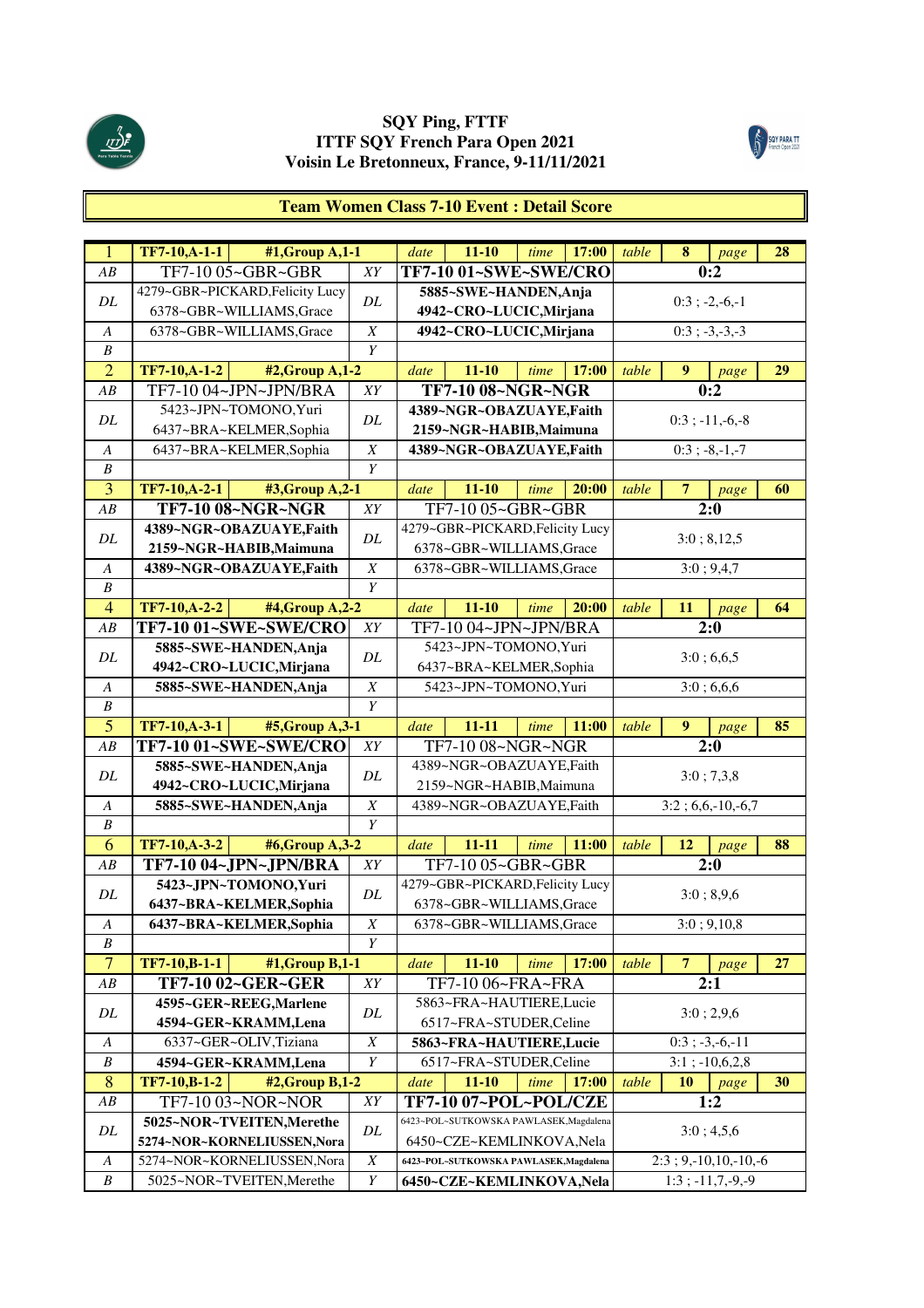



# **Team Women Class 7-10 Event : Detail Score**

| $\overline{1}$        | <b>TF7-10,A-1-1</b><br>#1, Group A, 1-1                  |                       | date | $11 - 10$                                                          | time | 17:00 | table | 8              | page                                            | 28 |
|-----------------------|----------------------------------------------------------|-----------------------|------|--------------------------------------------------------------------|------|-------|-------|----------------|-------------------------------------------------|----|
| AB                    | TF7-10 05~GBR~GBR                                        | XY                    |      | TF7-10 01~SWE~SWE/CRO                                              |      |       |       |                | 0:2                                             |    |
|                       | 4279~GBR~PICKARD, Felicity Lucy                          |                       |      | 5885~SWE~HANDEN, Anja                                              |      |       |       |                |                                                 |    |
| DL                    | 6378~GBR~WILLIAMS, Grace                                 | DL                    |      | 4942~CRO~LUCIC, Mirjana                                            |      |       |       |                | $0:3$ ; -2,-6,-1                                |    |
| A                     | 6378~GBR~WILLIAMS, Grace                                 | $\boldsymbol{X}$      |      | 4942~CRO~LUCIC, Mirjana                                            |      |       |       |                | $0:3; -3,-3,-3$                                 |    |
| $\boldsymbol{B}$      |                                                          | $\overline{Y}$        |      |                                                                    |      |       |       |                |                                                 |    |
| $\overline{2}$        | TF7-10,A-1-2<br>#2, Group A, 1-2                         |                       | date | $11 - 10$                                                          | time | 17:00 | table | 9              | page                                            | 29 |
| AB                    | TF7-10 04~JPN~JPN/BRA                                    | XY                    |      | TF7-10 08~NGR~NGR                                                  |      |       |       |                | 0:2                                             |    |
|                       | 5423~JPN~TOMONO, Yuri                                    |                       |      | 4389~NGR~OBAZUAYE,Faith                                            |      |       |       |                |                                                 |    |
| DL                    | 6437~BRA~KELMER,Sophia                                   | DL                    |      | 2159~NGR~HABIB, Maimuna                                            |      |       |       |                | $0:3$ ; $-11,-6,-8$                             |    |
| A                     | 6437~BRA~KELMER,Sophia                                   | $\boldsymbol{X}$      |      | 4389~NGR~OBAZUAYE,Faith                                            |      |       |       |                | $0:3; -8,-1,-7$                                 |    |
| $\boldsymbol{B}$      |                                                          | Y                     |      |                                                                    |      |       |       |                |                                                 |    |
| 3                     | TF7-10, A-2-1<br>#3, Group A, 2-1                        |                       | date | $11 - 10$                                                          | time | 20:00 | table | $\overline{7}$ | page                                            | 60 |
| AB                    | TF7-10 08~NGR~NGR                                        | XY                    |      | TF7-10 05~GBR~GBR                                                  |      |       |       |                | 2:0                                             |    |
| DL                    | 4389~NGR~OBAZUAYE,Faith                                  | DL                    |      | 4279~GBR~PICKARD, Felicity Lucy                                    |      |       |       |                | 3:0; 8,12,5                                     |    |
|                       | 2159~NGR~HABIB, Maimuna                                  |                       |      | 6378~GBR~WILLIAMS, Grace                                           |      |       |       |                |                                                 |    |
| A                     | 4389~NGR~OBAZUAYE,Faith                                  | $\boldsymbol{X}$      |      | 6378~GBR~WILLIAMS, Grace                                           |      |       |       |                | 3:0; 9,4,7                                      |    |
| $\boldsymbol{B}$      |                                                          | Y                     |      |                                                                    |      |       |       |                |                                                 |    |
| $\overline{4}$        | TF7-10, A-2-2<br>#4, Group A, 2-2                        |                       | date | $11 - 10$                                                          | time | 20:00 | table | 11             | page                                            | 64 |
| AB                    | TF7-10 01~SWE~SWE/CRO                                    | XY                    |      | TF7-10 04~JPN~JPN/BRA                                              |      |       |       |                | $\overline{2:0}$                                |    |
| DL                    | 5885~SWE~HANDEN, Anja                                    | DL                    |      | 5423~JPN~TOMONO, Yuri                                              |      |       |       |                | 3:0; 6,6,5                                      |    |
|                       | 4942~CRO~LUCIC, Mirjana                                  |                       |      | 6437~BRA~KELMER,Sophia                                             |      |       |       |                |                                                 |    |
| $\boldsymbol{A}$      | 5885~SWE~HANDEN, Anja                                    | $\boldsymbol{X}$      |      | 5423~JPN~TOMONO, Yuri                                              |      |       |       |                | 3:0;6,6,6                                       |    |
| $\boldsymbol{B}$      |                                                          | $\overline{Y}$        |      |                                                                    |      |       |       |                |                                                 |    |
| $\overline{5}$        | TF7-10,A-3-1<br>#5, Group A, 3-1                         |                       | date | $11 - 11$                                                          | time | 11:00 | table | 9              | page                                            | 85 |
| AB                    | TF7-10 01~SWE~SWE/CRO                                    | XY                    |      | TF7-10 08~NGR~NGR                                                  |      |       |       |                | 2:0                                             |    |
| DL                    | 5885~SWE~HANDEN, Anja                                    | DL                    |      | 4389~NGR~OBAZUAYE,Faith                                            |      |       |       |                |                                                 |    |
|                       |                                                          |                       |      |                                                                    |      |       |       |                |                                                 |    |
|                       | 4942~CRO~LUCIC, Mirjana                                  |                       |      | 2159~NGR~HABIB, Maimuna                                            |      |       |       |                | 3:0; 7,3,8                                      |    |
| A                     | 5885~SWE~HANDEN, Anja                                    | $\boldsymbol{X}$      |      | 4389~NGR~OBAZUAYE,Faith                                            |      |       |       |                | $3:2; 6,6,-10,-6,7$                             |    |
| B                     |                                                          | Y                     |      |                                                                    |      |       |       |                |                                                 |    |
| 6                     | TF7-10, A-3-2<br>#6, Group A, 3-2                        |                       | date | $11 - 11$                                                          | time | 11:00 | table | 12             | page                                            | 88 |
| ${\cal AB}$           | TF7-10 04~JPN~JPN/BRA                                    | XY                    |      | TF7-10 05~GBR~GBR                                                  |      |       |       |                | $\overline{2:}0$                                |    |
| DL                    | 5423~JPN~TOMONO, Yuri                                    | DL                    |      | 4279~GBR~PICKARD, Felicity Lucy                                    |      |       |       |                | 3:0; 8,9,6                                      |    |
|                       | 6437~BRA~KELMER,Sophia                                   |                       |      | 6378~GBR~WILLIAMS, Grace                                           |      |       |       |                |                                                 |    |
| $\boldsymbol{A}$      | 6437~BRA~KELMER, Sophia                                  | $\boldsymbol{X}$      |      | 6378~GBR~WILLIAMS, Grace                                           |      |       |       |                | $\overline{3:0}$ ; 9,10,8                       |    |
| B                     |                                                          | Y                     |      |                                                                    |      |       |       |                |                                                 |    |
| $\overline{7}$        | TF7-10,B-1-1<br>#1, Group B, 1-1                         |                       | date | $11 - 10$                                                          | time | 17:00 | table | $\overline{7}$ | page                                            | 27 |
| AB                    | <b>TF7-10 02~GER~GER</b>                                 | ${\cal XY}$           |      | TF7-10 06~FRA~FRA                                                  |      |       |       |                | 2:1                                             |    |
| DL                    | 4595~GER~REEG, Marlene                                   | DL                    |      | 5863~FRA~HAUTIERE,Lucie                                            |      |       |       |                | 3:0; 2,9,6                                      |    |
|                       | 4594~GER~KRAMM,Lena                                      |                       |      | 6517~FRA~STUDER, Celine                                            |      |       |       |                |                                                 |    |
| A                     | 6337~GER~OLIV,Tiziana                                    | $\boldsymbol{X}$      |      | 5863~FRA~HAUTIERE,Lucie                                            |      |       |       |                | $0:3; -3,-6,-11$                                |    |
| B                     | 4594~GER~KRAMM,Lena                                      | Y                     |      | 6517~FRA~STUDER, Celine                                            |      |       |       |                | $3:1$ ; $-10,6,2,8$                             |    |
| 8                     | TF7-10,B-1-2<br>#2, Group B, 1-2                         |                       | date | $11 - 10$                                                          | time | 17:00 | table | 10             | page                                            | 30 |
| AB                    | TF7-10 03~NOR~NOR                                        | XY                    |      | <b>TF7-10 07~POL~POL/CZE</b>                                       |      |       |       |                | 1:2                                             |    |
| DL                    | 5025~NOR~TVEITEN, Merethe                                | DL                    |      | 6423~POL~SUTKOWSKA PAWLASEK, Magdalena                             |      |       |       |                | 3:0; 4,5,6                                      |    |
|                       | 5274~NOR~KORNELIUSSEN, Nora                              |                       |      | 6450~CZE~KEMLINKOVA, Nela                                          |      |       |       |                |                                                 |    |
| A<br>$\boldsymbol{B}$ | 5274~NOR~KORNELIUSSEN, Nora<br>5025~NOR~TVEITEN, Merethe | $\boldsymbol{X}$<br>Y |      | 6423~POL~SUTKOWSKA PAWLASEK,Magdalena<br>6450~CZE~KEMLINKOVA, Nela |      |       |       |                | $2:3; 9,-10,10,-10,-6$<br>$1:3$ ; $-11,7,-9,-9$ |    |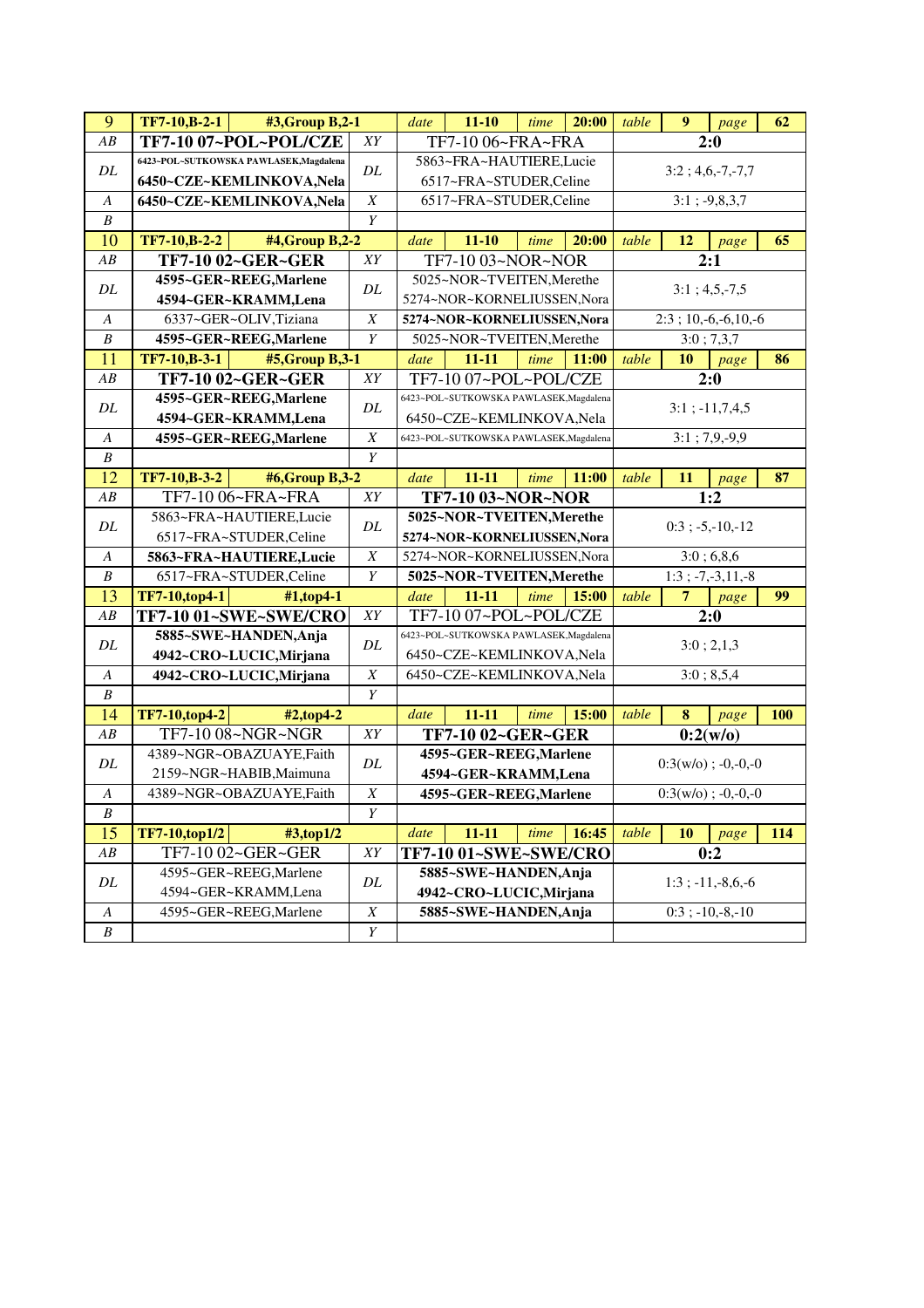| 9                | $TF7-10,B-2-1$<br>#3, Group B, 2-1      |                  | date                    | $11 - 10$                              | time | 20:00 | table | 9         | page                  | 62         |
|------------------|-----------------------------------------|------------------|-------------------------|----------------------------------------|------|-------|-------|-----------|-----------------------|------------|
| ${\cal AB}$      | TF7-10 07~POL~POL/CZE                   | $\overline{XY}$  |                         | TF7-10 06~FRA~FRA                      |      |       |       |           | 2:0                   |            |
| DL               | 6423~POL~SUTKOWSKA PAWLASEK,Magdalena   | $\cal DL$        |                         | 5863~FRA~HAUTIERE,Lucie                |      |       |       |           | $3:2; 4,6,-7,-7,7$    |            |
|                  | 6450~CZE~KEMLINKOVA, Nela               |                  |                         | 6517~FRA~STUDER,Celine                 |      |       |       |           |                       |            |
| A                | 6450~CZE~KEMLINKOVA,Nela                | $\boldsymbol{X}$ |                         | 6517~FRA~STUDER,Celine                 |      |       |       |           | $3:1; -9,8,3,7$       |            |
| $\boldsymbol{B}$ |                                         | Y                |                         |                                        |      |       |       |           |                       |            |
| 10               | TF7-10, B-2-2<br>#4, Group B, 2-2       |                  | date                    | $11 - 10$                              | time | 20:00 | table | 12        | page                  | 65         |
| AB               | <b>TF7-10 02~GER~GER</b>                | XY               |                         | TF7-10 03~NOR~NOR                      |      |       |       |           | 2:1                   |            |
| DL               | 4595~GER~REEG, Marlene                  | DL               |                         | 5025~NOR~TVEITEN, Merethe              |      |       |       |           | $3:1; 4,5,-7,5$       |            |
|                  | 4594~GER~KRAMM,Lena                     |                  |                         | 5274~NOR~KORNELIUSSEN, Nora            |      |       |       |           |                       |            |
| $\boldsymbol{A}$ | 6337~GER~OLIV,Tiziana                   | $\boldsymbol{X}$ |                         | 5274~NOR~KORNELIUSSEN, Nora            |      |       |       |           | $2:3; 10,-6,-6,10,-6$ |            |
| $\boldsymbol{B}$ | 4595~GER~REEG, Marlene                  | Y                |                         | 5025~NOR~TVEITEN, Merethe              |      |       |       |           | 3:0; 7,3,7            |            |
| 11               | <b>TF7-10,B-3-1</b><br>#5, Group B, 3-1 |                  | date                    | $11 - 11$                              | time | 11:00 | table | 10        | page                  | 86         |
| AB               | TF7-10 02~GER~GER                       | XY               |                         | TF7-10 07~POL~POL/CZE                  |      |       |       |           | 2:0                   |            |
| $\cal DL$        | 4595~GER~REEG, Marlene                  | DL               |                         | 6423~POL~SUTKOWSKA PAWLASEK,Magdalena  |      |       |       |           | $3:1$ ; $-11,7,4,5$   |            |
|                  | 4594~GER~KRAMM,Lena                     |                  |                         | 6450~CZE~KEMLINKOVA,Nela               |      |       |       |           |                       |            |
| A                | 4595~GER~REEG, Marlene                  | $\boldsymbol{X}$ |                         | 6423~POL~SUTKOWSKA PAWLASEK, Magdalena |      |       |       |           | $3:1; 7,9,-9,9$       |            |
| $\boldsymbol{B}$ |                                         | Y                |                         |                                        |      |       |       |           |                       |            |
| 12               | TF7-10, B-3-2<br>#6,Group B,3-2         |                  | date                    | $11 - 11$                              | time | 11:00 | table | 11        | page                  | 87         |
| AB               | TF7-10 06~FRA~FRA                       | XY               |                         | TF7-10 03~NOR~NOR                      |      |       |       |           | 1:2                   |            |
| DL               | 5863~FRA~HAUTIERE,Lucie                 | DL               |                         | 5025~NOR~TVEITEN, Merethe              |      |       |       |           | $0:3$ ; -5,-10,-12    |            |
|                  | 6517~FRA~STUDER,Celine                  |                  |                         | 5274~NOR~KORNELIUSSEN, Nora            |      |       |       |           |                       |            |
| $\boldsymbol{A}$ | 5863~FRA~HAUTIERE,Lucie                 | $\boldsymbol{X}$ |                         | 5274~NOR~KORNELIUSSEN, Nora            |      |       |       |           | 3:0;6,8,6             |            |
| $\boldsymbol{B}$ | 6517~FRA~STUDER, Celine                 | Y                |                         | 5025~NOR~TVEITEN, Merethe              |      |       |       |           | $1:3; -7,-3,11,-8$    |            |
| 13               | TF7-10,top4-1<br>#1,top4-1              |                  | date                    | $11 - 11$                              | time | 15:00 | table | 7         | page                  | 99         |
| AB               | <b>TF7-10 01~SWE~SWE/CRO</b>            | XY               |                         | TF7-10 07~POL~POL/CZE                  |      |       |       |           | 2:0                   |            |
| DL               | 5885~SWE~HANDEN, Anja                   | DL               |                         | 6423~POL~SUTKOWSKA PAWLASEK,Magdalena  |      |       |       |           | 3:0; 2,1,3            |            |
|                  | 4942~CRO~LUCIC, Mirjana                 |                  |                         | 6450~CZE~KEMLINKOVA, Nela              |      |       |       |           |                       |            |
| $\boldsymbol{A}$ | 4942~CRO~LUCIC, Mirjana                 | $\overline{X}$   |                         | 6450~CZE~KEMLINKOVA, Nela              |      |       |       |           | 3:0; 8,5,4            |            |
| $\boldsymbol{B}$ |                                         | $\overline{Y}$   |                         |                                        |      |       |       |           |                       |            |
| 14               | <b>TF7-10,top4-2</b><br>#2,top4-2       |                  | date                    | $11 - 11$                              | time | 15:00 | table | 8         | page                  | <b>100</b> |
| AB               | TF7-10 08~NGR~NGR                       | XY               |                         | <b>TF7-10 02~GER~GER</b>               |      |       |       |           | 0:2(w/o)              |            |
| DL               | 4389~NGR~OBAZUAYE,Faith                 | DL               |                         | 4595~GER~REEG, Marlene                 |      |       |       |           | $0:3(w/o); -0,-0,-0$  |            |
|                  | 2159~NGR~HABIB, Maimuna                 |                  |                         | 4594~GER~KRAMM,Lena                    |      |       |       |           |                       |            |
| $\boldsymbol{A}$ | 4389~NGR~OBAZUAYE,Faith                 | $\boldsymbol{X}$ |                         | 4595~GER~REEG, Marlene                 |      |       |       |           | $0:3(w/o); -0,-0,-0$  |            |
| B                |                                         | Y                |                         |                                        |      |       |       |           |                       |            |
| 15               | TF7-10,top1/2<br>#3,top1/2              |                  | date                    | $11 - 11$                              | time | 16:45 | table | <b>10</b> | page                  | 114        |
| $\overline{AB}$  | TF7-10 02~GER~GER                       | XY               |                         | TF7-10 01~SWE~SWE/CRO                  |      |       |       |           | 0:2                   |            |
| DL               | 4595~GER~REEG, Marlene                  | DL               |                         | 5885~SWE~HANDEN, Anja                  |      |       |       |           | $1:3$ ; $-11,-8,6,-6$ |            |
|                  | 4594~GER~KRAMM,Lena                     |                  | 4942~CRO~LUCIC, Mirjana |                                        |      |       |       |           |                       |            |
| A                | 4595~GER~REEG, Marlene                  | $\boldsymbol{X}$ |                         | 5885~SWE~HANDEN, Anja                  |      |       |       |           | $0:3$ ; $-10,-8,-10$  |            |
| $\boldsymbol{B}$ |                                         | Y                |                         |                                        |      |       |       |           |                       |            |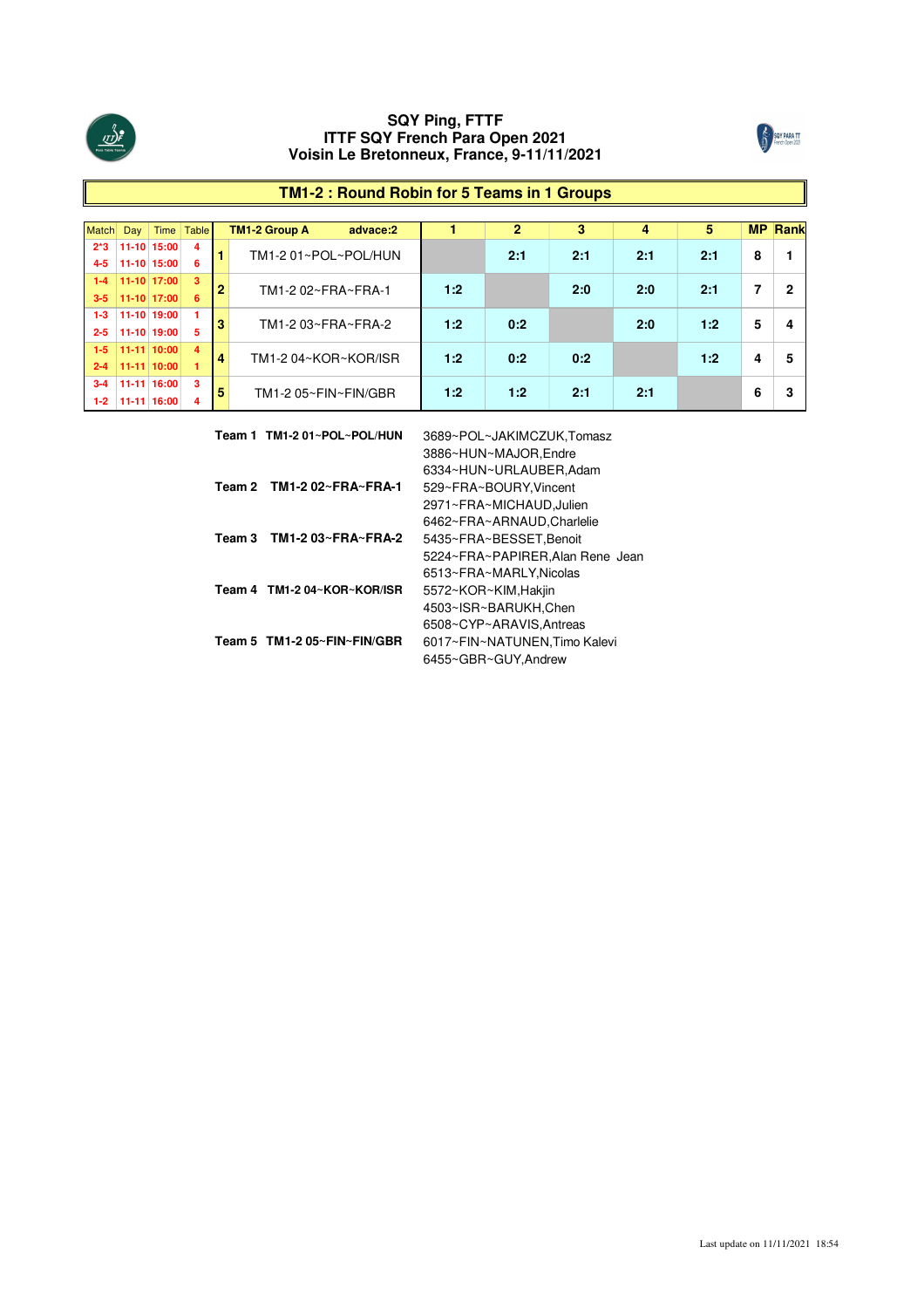



# **TM1-2 : Round Robin for 5 Teams in 1 Groups**

| <b>Match</b> | Day           | Time        | <b>Table</b> |                | TM1-2 Group A<br>advace:2 |     | 2   | 3   | 4   | 5   |   | <b>MP Rank</b> |
|--------------|---------------|-------------|--------------|----------------|---------------------------|-----|-----|-----|-----|-----|---|----------------|
| $2*3$        |               | 11-10 15:00 | 4            |                | TM1-2 01~POL~POL/HUN      |     | 2:1 | 2:1 | 2:1 | 2:1 | 8 |                |
| $4 - 5$      |               | 11-10 15:00 | 6            |                |                           |     |     |     |     |     |   |                |
| $1 - 4$      | $11-10$ 17:00 |             | 3            | $\overline{2}$ | TM1-2 02~FRA~FRA-1        | 1:2 |     | 2:0 | 2:0 | 2:1 | 7 |                |
| $3 - 5$      | $11-10$ 17:00 |             | 6.           |                |                           |     |     |     |     |     |   |                |
| $1 - 3$      |               | 11-10 19:00 |              | 3              | TM1-2 03~FRA~FRA-2        | 1:2 | 0:2 |     | 2:0 | 1:2 | 5 | 4              |
| $2 - 5$      |               | 11-10 19:00 | 5            |                |                           |     |     |     |     |     |   |                |
| $1-5$        | $11-11$ 10:00 |             | 4            | 4              | TM1-204~KOR~KOR/ISR       | 1:2 | 0:2 | 0:2 |     | 1:2 | 4 | 5              |
| $2 - 4$      |               | 11-11 10:00 |              |                |                           |     |     |     |     |     |   |                |
| $3 - 4$      |               | 11-11 16:00 | 3            | 5              | TM1-2 05~FIN~FIN/GBR      | 1:2 | 1:2 | 2:1 | 2:1 |     | 6 |                |
| $1-2$        |               | 11-11 16:00 | 4            |                |                           |     |     |     |     |     |   |                |

|        | Team 1 TM1-2 01~POL~POL/HUN           | 3689~POL~JAKIMCZUK.Tomasz        |
|--------|---------------------------------------|----------------------------------|
|        |                                       | 3886~HUN~MAJOR, Endre            |
|        |                                       | 6334~HUN~URLAUBER, Adam          |
|        | Team 2 TM1-2 $02 \sim FRA \sim FRA-1$ | 529~FRA~BOURY.Vincent            |
|        |                                       | 2971~FRA~MICHAUD, Julien         |
|        |                                       | 6462~FRA~ARNAUD.Charlelie        |
| Team 3 | TM1-2 03~FRA~FRA-2                    | 5435~FRA~BESSET, Benoit          |
|        |                                       | 5224~FRA~PAPIRER, Alan Rene Jean |
|        |                                       | 6513~FRA~MARLY.Nicolas           |
|        | Team 4 TM1-2 04~KOR~KOR/ISR           | 5572~KOR~KIM, Hakiin             |
|        |                                       | 4503~ISR~BARUKH, Chen            |
|        |                                       | 6508~CYP~ARAVIS.Antreas          |
|        | Team 5 TM1-2 05~FIN~FIN/GBR           | 6017~FIN~NATUNEN, Timo Kalevi    |
|        |                                       | 6455~GBR~GUY.Andrew              |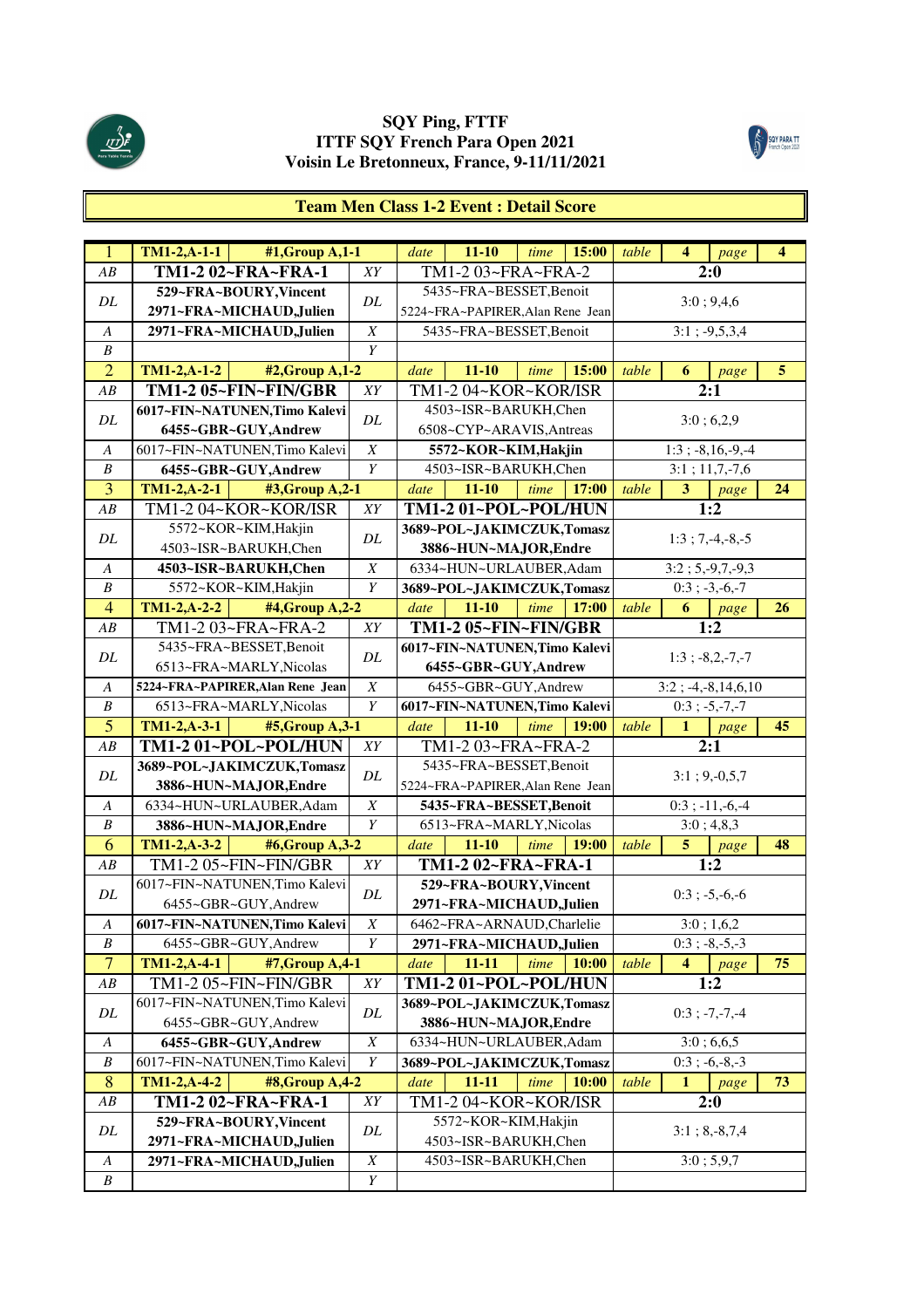



# **Team Men Class 1-2 Event : Detail Score**

| $\overline{1}$                       | $TM1-2,A-1-1$                    | #1, Group $\overline{A,1-1}$ |                                      | date | $11 - 10$                        | time | 15:00 | table | $\overline{4}$       | page                      | 4  |
|--------------------------------------|----------------------------------|------------------------------|--------------------------------------|------|----------------------------------|------|-------|-------|----------------------|---------------------------|----|
| AB                                   | TM1-2 02~FRA~FRA-1               |                              | XY                                   |      | TM1-2 03~FRA~FRA-2               |      |       |       | 2:0                  |                           |    |
|                                      | 529~FRA~BOURY, Vincent           |                              |                                      |      | 5435~FRA~BESSET, Benoit          |      |       |       |                      |                           |    |
| DL                                   | 2971~FRA~MICHAUD,Julien          |                              | DL                                   |      | 5224~FRA~PAPIRER, Alan Rene Jean |      |       |       |                      | 3:0; 9,4,6                |    |
| $\boldsymbol{A}$                     | 2971~FRA~MICHAUD, Julien         |                              | $\boldsymbol{X}$                     |      | 5435~FRA~BESSET,Benoit           |      |       |       |                      | $3:1; -9,5,3,4$           |    |
| $\boldsymbol{B}$                     |                                  |                              | Y                                    |      |                                  |      |       |       |                      |                           |    |
| $\overline{2}$                       | $TM1-2, A-1-2$                   | #2, Group A, 1-2             |                                      | date | $11 - 10$                        | time | 15:00 | table | 6                    | page                      | 5  |
| AB                                   | TM1-2 05~FIN~FIN/GBR             |                              | XY                                   |      | TM1-2 04~KOR~KOR/ISR             |      |       |       | 2:1                  |                           |    |
|                                      | 6017~FIN~NATUNEN,Timo Kalevi     |                              |                                      |      | 4503~ISR~BARUKH,Chen             |      |       |       |                      |                           |    |
| DL                                   | 6455~GBR~GUY, Andrew             |                              | DL                                   |      | 6508~CYP~ARAVIS, Antreas         |      |       |       |                      | 3:0;6,2,9                 |    |
| $\boldsymbol{A}$                     | 6017~FIN~NATUNEN,Timo Kalevi     |                              | $\boldsymbol{X}$                     |      | 5572~KOR~KIM, Hakjin             |      |       |       |                      | $1:3; -8,16,-9,-4$        |    |
| $\boldsymbol{B}$                     | 6455~GBR~GUY, Andrew             |                              | Y                                    |      | 4503~ISR~BARUKH,Chen             |      |       |       |                      | $3:1;11,7,-7,6$           |    |
| $\overline{3}$                       | $TM1-2, A-2-1$                   | #3, Group A, 2-1             |                                      | date | $11 - 10$                        | time | 17:00 | table | 3                    | page                      | 24 |
| ${\cal AB}$                          | TM1-2 04~KOR~KOR/ISR             |                              | XY                                   |      | TM1-2 01~POL~POL/HUN             |      |       |       |                      | 1:2                       |    |
|                                      | 5572~KOR~KIM, Hakjin             |                              | DL                                   |      | 3689~POL~JAKIMCZUK,Tomasz        |      |       |       |                      |                           |    |
| DL                                   | 4503~ISR~BARUKH,Chen             |                              |                                      |      | 3886~HUN~MAJOR, Endre            |      |       |       | $1:3; 7,-4,-8,-5$    |                           |    |
| $\boldsymbol{A}$                     | 4503~ISR~BARUKH,Chen             |                              | $\boldsymbol{X}$                     |      | 6334~HUN~URLAUBER, Adam          |      |       |       |                      | $3:2; 5,-9,7,-9,3$        |    |
| $\boldsymbol{B}$                     | 5572~KOR~KIM, Hakjin             |                              | Y                                    |      | 3689~POL~JAKIMCZUK,Tomasz        |      |       |       |                      | $0:3; -3,-6,-7$           |    |
| $\overline{4}$                       | $TM1-2, A-2-2$                   | #4, Group A, 2-2             |                                      | date | $11 - 10$                        | time | 17:00 | table | 6                    | page                      | 26 |
| ${\cal AB}$                          | TM1-2 03~FRA~FRA-2               |                              | XY                                   |      | TM1-2 05~FIN~FIN/GBR             |      |       |       | 1:2                  |                           |    |
| DL                                   | 5435~FRA~BESSET, Benoit          |                              | DL                                   |      | 6017~FIN~NATUNEN,Timo Kalevi     |      |       |       | $1:3; -8, 2, -7, -7$ |                           |    |
|                                      | 6513~FRA~MARLY, Nicolas          |                              |                                      |      | 6455~GBR~GUY, Andrew             |      |       |       |                      |                           |    |
| $\boldsymbol{A}$                     | 5224~FRA~PAPIRER, Alan Rene Jean |                              | $\boldsymbol{X}$                     |      | 6455~GBR~GUY, Andrew             |      |       |       |                      | $3:2$ ; -4, -8, 14, 6, 10 |    |
| $\boldsymbol{B}$                     | 6513~FRA~MARLY, Nicolas          |                              | $\overline{Y}$                       |      | 6017~FIN~NATUNEN,Timo Kalevi     |      |       |       |                      | $0:3$ ; $-5,-7,-7$        |    |
| $\overline{5}$                       | $TM1-2, A-3-1$                   | #5, Group A, 3-1             |                                      | date | $11 - 10$                        | time | 19:00 | table | $\mathbf{1}$         | page                      | 45 |
| AB                                   |                                  |                              |                                      |      |                                  |      |       |       |                      |                           |    |
|                                      | TM1-201-POL-POL/HUN              |                              | XY                                   |      | TM1-2 03~FRA~FRA-2               |      |       |       | 2:1                  |                           |    |
|                                      | 3689~POL~JAKIMCZUK,Tomasz        |                              |                                      |      | 5435~FRA~BESSET, Benoit          |      |       |       |                      |                           |    |
| DL                                   | 3886~HUN~MAJOR, Endre            |                              | DL                                   |      | 5224~FRA~PAPIRER, Alan Rene Jean |      |       |       |                      | $3:1; 9,-0,5,7$           |    |
| A                                    | 6334~HUN~URLAUBER, Adam          |                              | $\boldsymbol{X}$                     |      | 5435~FRA~BESSET, Benoit          |      |       |       | $0:3$ ; $-11,-6,-4$  |                           |    |
| B                                    | 3886~HUN~MAJOR, Endre            |                              | Y                                    |      | 6513~FRA~MARLY, Nicolas          |      |       |       |                      | 3:0; 4,8,3                |    |
| 6                                    | $TM1-2, A-3-2$                   | #6,Group A,3-2               |                                      | date | $11 - 10$                        | time | 19:00 | table | 5 <sup>5</sup>       | page                      | 48 |
| ${\cal AB}$                          | TM1-2 05~FIN~FIN/GBR             |                              | ${\cal XY}$                          |      | TM1-2 02~FRA~FRA-1               |      |       |       |                      | 1:2                       |    |
|                                      | 6017~FIN~NATUNEN,Timo Kalevi     |                              | DL                                   |      | 529~FRA~BOURY, Vincent           |      |       |       |                      |                           |    |
| DL                                   | 6455~GBR~GUY, Andrew             |                              |                                      |      | 2971~FRA~MICHAUD,Julien          |      |       |       |                      | $0:3; -5,-6,-6$           |    |
| $\boldsymbol{A}$                     | 6017~FIN~NATUNEN,Timo Kalevi     |                              | $\boldsymbol{X}$                     |      | 6462~FRA~ARNAUD,Charlelie        |      |       |       |                      | 3:0; 1,6,2                |    |
| B                                    | 6455~GBR~GUY, Andrew             |                              | Y                                    |      | 2971~FRA~MICHAUD,Julien          |      |       |       |                      | $0:3$ ; $-8,-5,-3$        |    |
| $\overline{7}$                       | $TM1-2, A-4-1$                   | #7, Group A, 4-1             |                                      | date | $11 - 11$                        | time | 10:00 | table | 4                    | page                      | 75 |
| $\overline{AB}$                      | TM1-2 05~FIN~FIN/GBR             |                              | ${\cal XY}$                          |      | TM1-2 01~POL~POL/HUN             |      |       |       |                      | 1:2                       |    |
| DL                                   | 6017~FIN~NATUNEN,Timo Kalevi     |                              | DL                                   |      | 3689~POL~JAKIMCZUK,Tomasz        |      |       |       |                      | $0:3$ ; $-7,-7,-4$        |    |
|                                      | 6455~GBR~GUY, Andrew             |                              |                                      |      | 3886~HUN~MAJOR, Endre            |      |       |       |                      |                           |    |
| $\boldsymbol{A}$                     | 6455~GBR~GUY, Andrew             |                              | $\boldsymbol{X}$                     |      | 6334~HUN~URLAUBER,Adam           |      |       |       |                      | 3:0;6,6,5                 |    |
| B                                    | 6017~FIN~NATUNEN,Timo Kalevi     |                              | $\boldsymbol{Y}$                     |      | 3689~POL~JAKIMCZUK,Tomasz        |      |       |       |                      | $0:3; -6,-8,-3$           |    |
| 8                                    | $TM1-2, A-4-2$                   | #8, Group A, 4-2             |                                      | date | $11 - 11$                        | time | 10:00 | table | 1                    | page                      | 73 |
| ${\cal AB}$                          | TM1-2 02~FRA~FRA-1               |                              | ${\cal XY}$                          |      | TM1-2 04~KOR~KOR/ISR             |      |       |       |                      | 2:0                       |    |
| DL                                   | 529~FRA~BOURY, Vincent           |                              | DL                                   |      | 5572~KOR~KIM, Hakjin             |      |       |       |                      | $3:1; 8,-8,7,4$           |    |
|                                      | 2971~FRA~MICHAUD,Julien          |                              |                                      |      | 4503~ISR~BARUKH,Chen             |      |       |       |                      |                           |    |
| $\boldsymbol{A}$<br>$\boldsymbol{B}$ | 2971~FRA~MICHAUD,Julien          |                              | $\boldsymbol{X}$<br>$\boldsymbol{Y}$ |      | 4503~ISR~BARUKH,Chen             |      |       |       |                      | 3:0; 5,9,7                |    |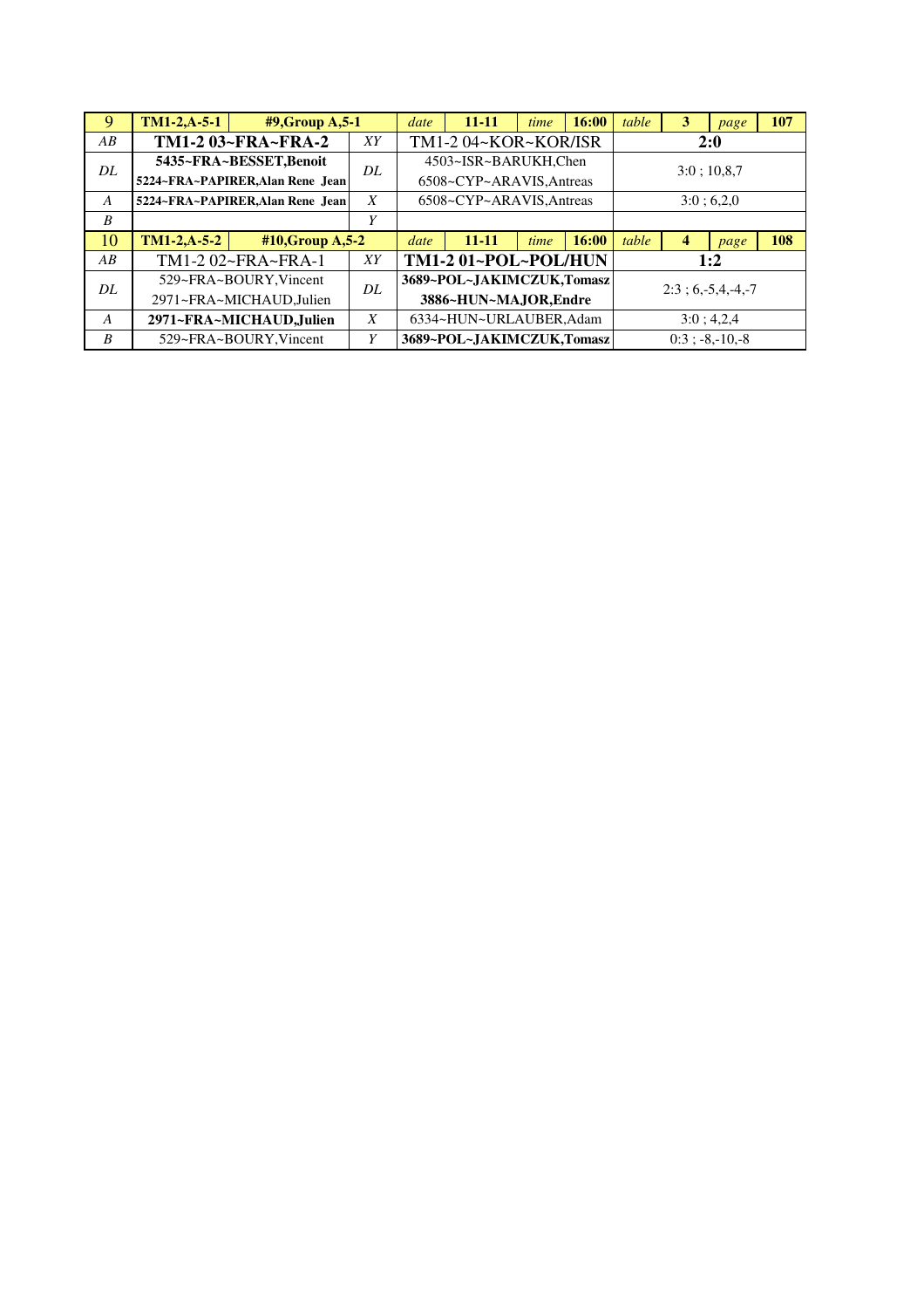|                  | $TM1-2,A-5-1$                 | $#9$ , Group A, 5-1              |                  | date                  | 11-11                     | time | 16:00 | table              | 3 | page            | 107 |
|------------------|-------------------------------|----------------------------------|------------------|-----------------------|---------------------------|------|-------|--------------------|---|-----------------|-----|
| $\overline{AB}$  |                               | TM1-2 03~FRA~FRA-2               | XY               | TM1-2 04~KOR~KOR/ISR  |                           |      | 2:0   |                    |   |                 |     |
| DL               | 5435~FRA~BESSET, Benoit<br>DL |                                  |                  | 4503~ISR~BARUKH,Chen  |                           |      |       | 3:0:10,8.7         |   |                 |     |
|                  |                               | 5224~FRA~PAPIRER, Alan Rene Jean |                  |                       | 6508~CYP~ARAVIS, Antreas  |      |       |                    |   |                 |     |
| A                |                               | 5224~FRA~PAPIRER, Alan Rene Jean | $\boldsymbol{X}$ |                       | 6508~CYP~ARAVIS, Antreas  |      |       | 3:0; 6,2,0         |   |                 |     |
| $\boldsymbol{B}$ |                               |                                  | V                |                       |                           |      |       |                    |   |                 |     |
| 10               | $TM1-2, A-5-2$                | #10, Group A, 5-2                |                  | date                  | 11-11                     | time | 16:00 | table              | 4 | page            | 108 |
| AB               |                               | TM1-2 02~FRA~FRA-1               | XY               |                       | TM1-2 01~POL~POL/HUN      |      |       |                    |   | 1:2             |     |
| DL               |                               | 529~FRA~BOURY, Vincent           | DL               |                       | 3689~POL~JAKIMCZUK,Tomasz |      |       | $2:3:6,-5,4,-4,-7$ |   |                 |     |
|                  |                               | 2971~FRA~MICHAUD, Julien         |                  | 3886~HUN~MAJOR, Endre |                           |      |       |                    |   |                 |     |
| A                |                               | 2971~FRA~MICHAUD, Julien         | X                |                       | 6334~HUN~URLAUBER, Adam   |      |       |                    |   | 3:0; 4,2,4      |     |
| $\boldsymbol{B}$ |                               | 529~FRA~BOURY, Vincent           | V                |                       | 3689~POL~JAKIMCZUK,Tomasz |      |       |                    |   | $0:3:-8,-10,-8$ |     |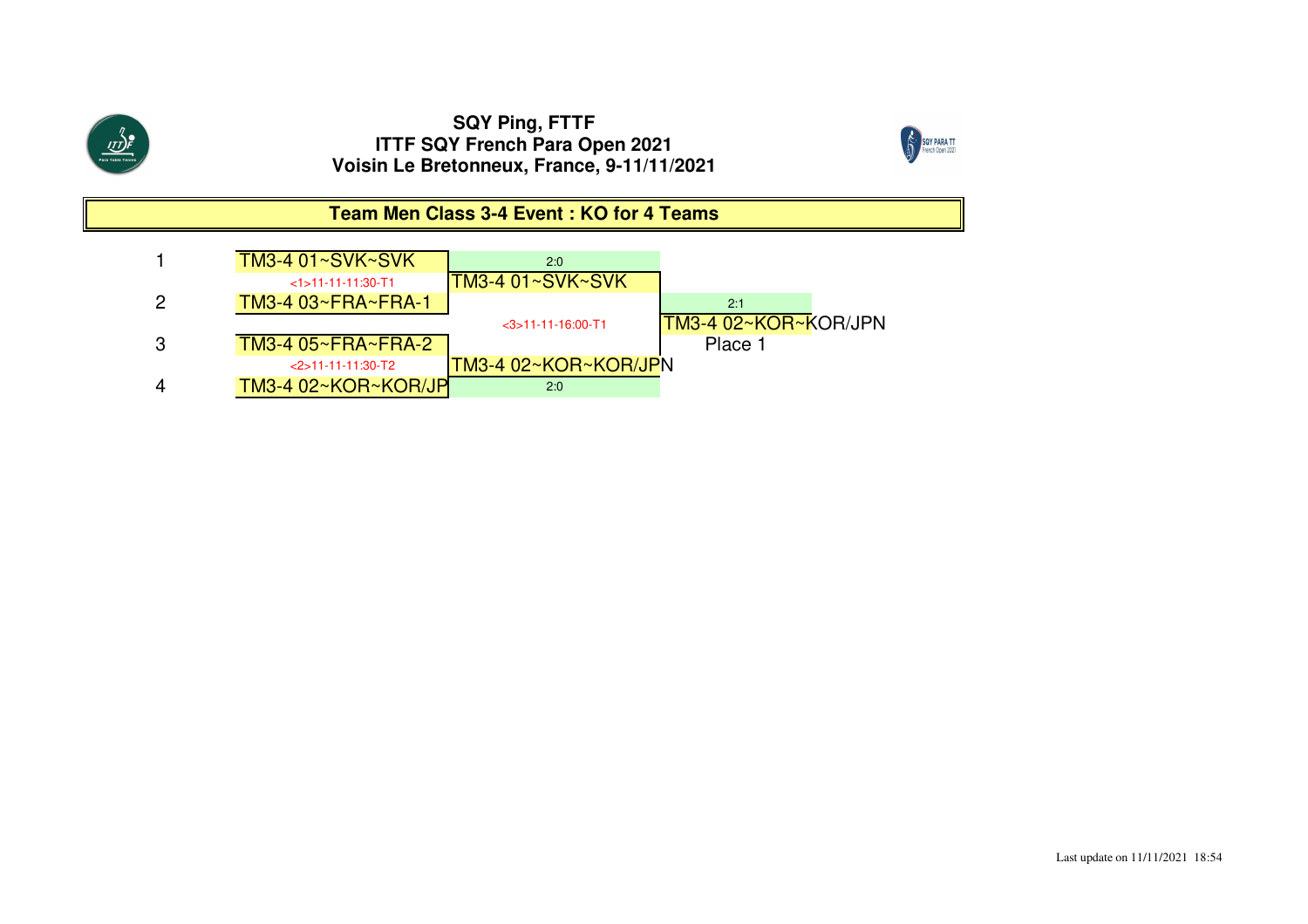



**Team Men Class 3-4 Event : KO for 4 Teams**

|   | TM3-4 01~SVK~SVK     | 2:0                  |                             |
|---|----------------------|----------------------|-----------------------------|
|   | $<1$ >11-11-11:30-T1 | 'TM3-4 01∼SVK∼SVK`   |                             |
| 2 | TM3-4 03~FRA~FRA-1   |                      | 2:1                         |
|   |                      | $<$ 3>11-11-16:00-T1 | <b>TM3-4 02∼KOR∼KOR/JPN</b> |
| 3 | TM3-4 05~FRA~FRA-2   |                      | Place 1                     |
|   | $<$ 2>11-11-11:30-T2 | TM3-4 02~KOR~KOR/JPN |                             |
|   | TM3-4 02~KOR~KOR/JP  | 2:0                  |                             |
|   |                      |                      |                             |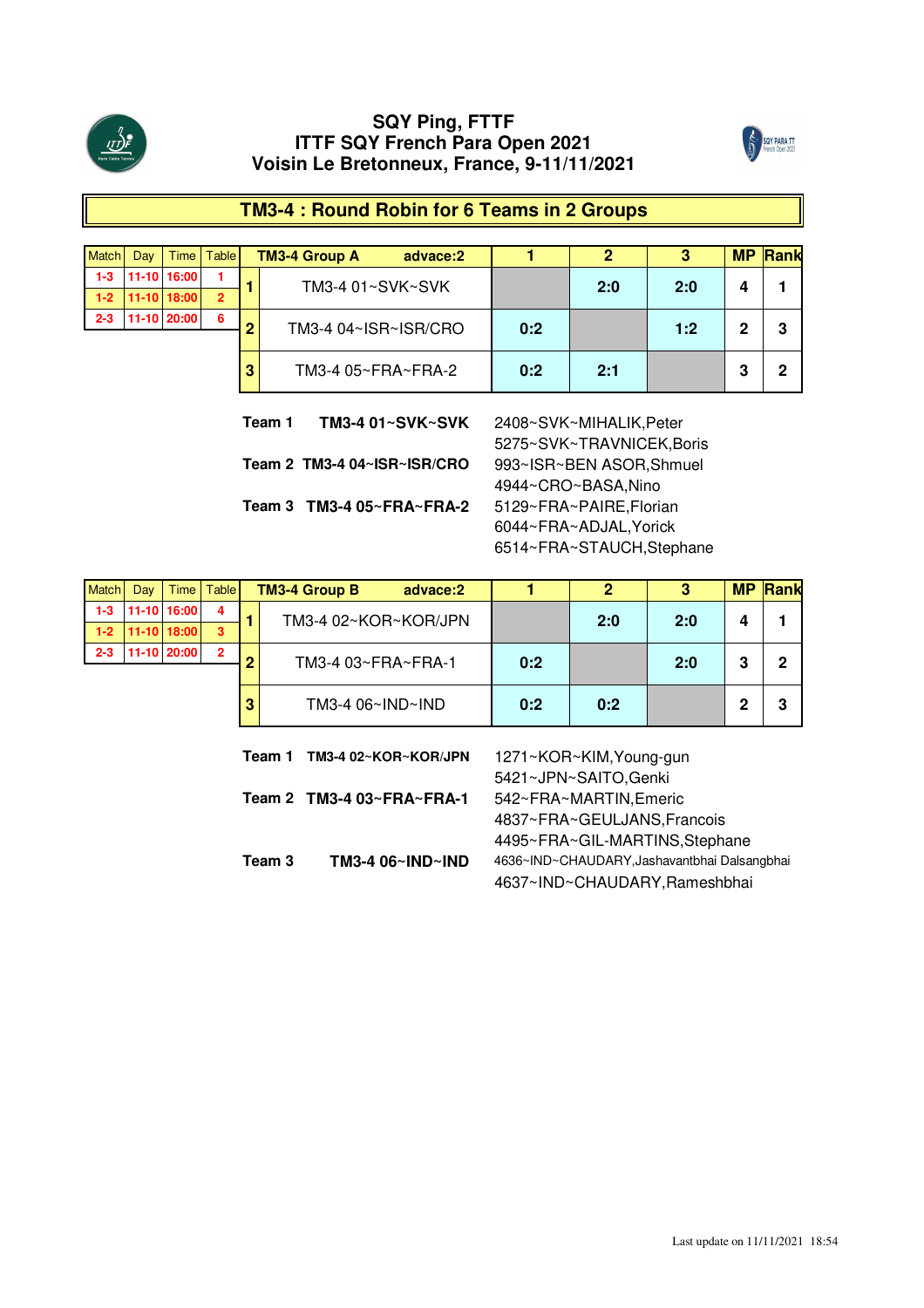



# **TM3-4 : Round Robin for 6 Teams in 2 Groups**

| <b>Match</b> | Dav | Time I          | <b>Table</b>       |     | <b>TM3-4 Group A</b><br>advace:2 |     |     | 3   | <b>MP</b> | Rank |
|--------------|-----|-----------------|--------------------|-----|----------------------------------|-----|-----|-----|-----------|------|
| $1 - 3$      |     | $11-10$ 16:00   |                    |     | TM3-4 01~SVK~SVK                 |     | 2:0 | 2:0 | 4         |      |
| $1-2$        |     | $ 11-10 18:00 $ | $\overline{2}$     |     |                                  |     |     |     |           |      |
| $2 - 3$      |     | 11-10 20:00     | 6                  | n   | TM3-4 04~ISR~ISR/CRO             | 0:2 |     | 1:2 | 2         | 3    |
|              |     |                 |                    |     |                                  |     |     |     |           |      |
|              |     | 3               | TM3-4 05~FRA~FRA-2 | 0:2 | 2:1                              |     | 3   | 2   |           |      |

**Team 2 TM3-4 04~ISR~ISR/CRO** 993~ISR~BEN ASOR,Shmuel **Team 3 TM3-4 05~FRA~FRA-2** 5129~FRA~PAIRE,Florian **Team 1**

**TM3-4 01~SVK~SVK** 2408~SVK~MIHALIK,Peter 5275~SVK~TRAVNICEK,Boris 4944~CRO~BASA,Nino 6044~FRA~ADJAL,Yorick 6514~FRA~STAUCH,Stephane

| <b>Match</b> | Day | Time        | <b>Table</b>            |     | <b>TM3-4 Group B</b><br>advace:2 |     | 2           | 3   | <b>MP</b> | Rank |
|--------------|-----|-------------|-------------------------|-----|----------------------------------|-----|-------------|-----|-----------|------|
| $1 - 3$      |     | 11-10 16:00 | $\overline{\mathbf{4}}$ |     | TM3-4 02~KOR~KOR/JPN             |     | 2:0         | 2:0 | 4         |      |
| $1-2$        |     | 11-10 18:00 | 3                       |     |                                  |     |             |     |           |      |
| $2 - 3$      |     | 11-10 20:00 | $\overline{2}$          | ົ   | TM3-4 03~FRA~FRA-1               | 0:2 |             | 2:0 | 3         | 2    |
|              |     |             |                         |     |                                  |     |             |     |           |      |
|              |     | 3           | TM3-4 06~IND~IND        | 0:2 | 0:2                              |     | $\mathbf 2$ | 3   |           |      |

| Team 1 | TM3-4 02~KOR~KOR/JPN                  | 1271~KOR~KIM, Young-gun                      |
|--------|---------------------------------------|----------------------------------------------|
|        |                                       | 5421~JPN~SAITO, Genki                        |
|        | Team 2 TM3-4 $03 \sim FRA \sim FRA-1$ | 542~FRA~MARTIN, Emeric                       |
|        |                                       | 4837~FRA~GEULJANS, Francois                  |
|        |                                       | 4495~FRA~GIL-MARTINS, Stephane               |
| Team 3 | TM3-4 06~IND~IND                      | 4636~IND~CHAUDARY, Jashavantbhai Dalsangbhai |
|        |                                       | 4637~IND~CHAUDARY, Rameshbhai                |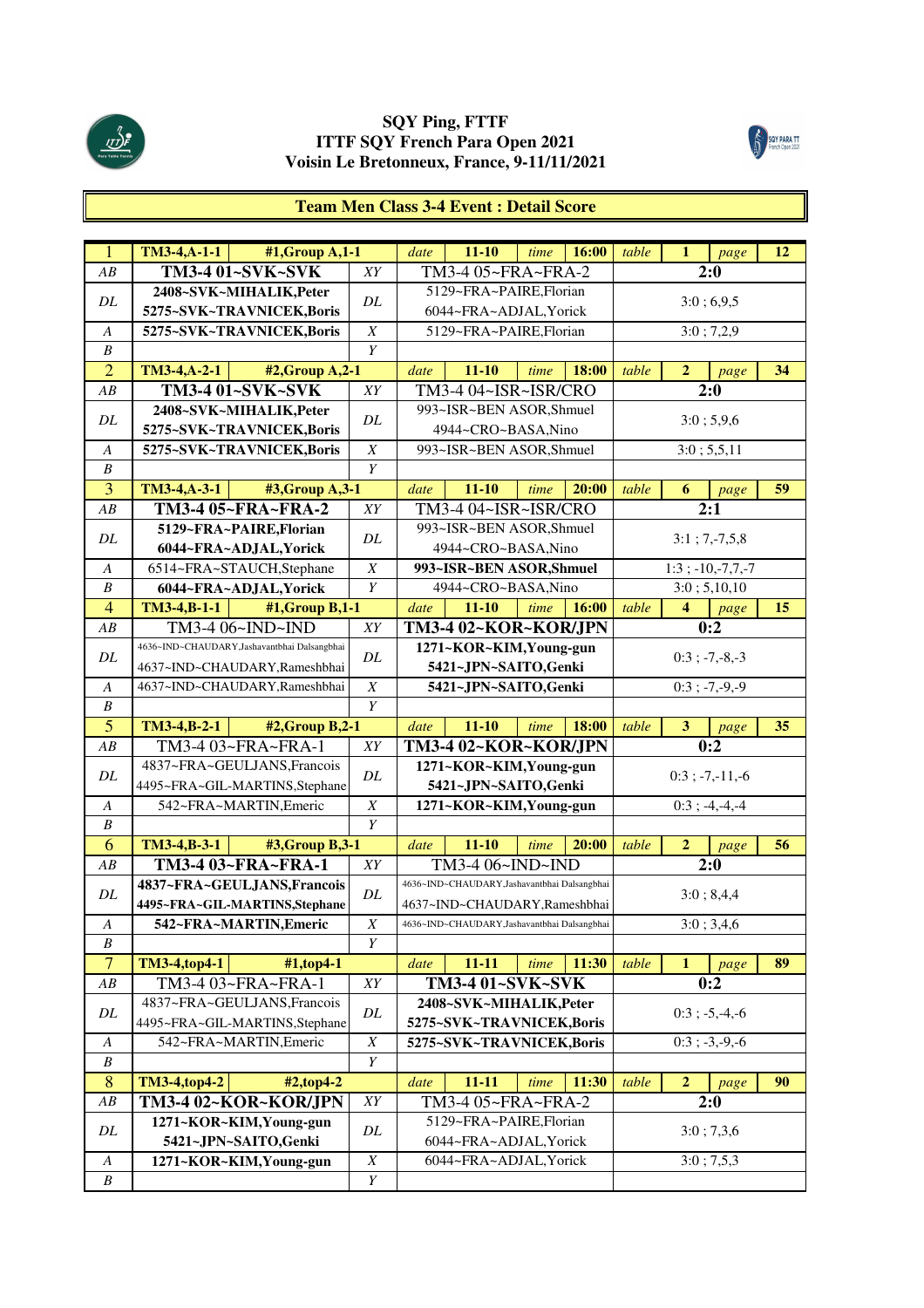



#### **Team Men Class 3-4 Event : Detail Score**

| $\overline{1}$                       | $TM3-4,A-1-1$<br>#1, Group A, 1-1           |                  | date                                             | $11 - 10$                                    | time | 16:00      | table | $\mathbf{1}$            | page                  | 12 |
|--------------------------------------|---------------------------------------------|------------------|--------------------------------------------------|----------------------------------------------|------|------------|-------|-------------------------|-----------------------|----|
| AB                                   | TM3-4 01~SVK~SVK                            | XY               |                                                  | TM3-4 05~FRA~FRA-2                           |      |            |       |                         | 2:0                   |    |
|                                      | 2408~SVK~MIHALIK, Peter                     |                  |                                                  | 5129~FRA~PAIRE,Florian                       |      |            |       |                         |                       |    |
| DL                                   | 5275~SVK~TRAVNICEK,Boris                    | DL               |                                                  | 6044~FRA~ADJAL, Yorick                       |      |            |       |                         | 3:0;6,9,5             |    |
| $\boldsymbol{A}$                     | 5275~SVK~TRAVNICEK,Boris                    | $\boldsymbol{X}$ |                                                  | 5129~FRA~PAIRE,Florian                       |      |            |       |                         | 3:0; 7,2,9            |    |
| $\boldsymbol{B}$                     |                                             | Y                |                                                  |                                              |      |            |       |                         |                       |    |
| $\overline{2}$                       | TM3-4, A-2-1<br>#2, Group A, 2-1            |                  | date                                             | $11 - 10$                                    | time | 18:00      | table | $\overline{2}$          | page                  | 34 |
| AB                                   | TM3-4 01~SVK~SVK                            | XY               |                                                  | TM3-4 04~ISR~ISR/CRO                         |      |            |       |                         | 2:0                   |    |
|                                      | 2408~SVK~MIHALIK, Peter                     |                  |                                                  | 993~ISR~BEN ASOR, Shmuel                     |      |            |       |                         |                       |    |
| DL                                   | 5275~SVK~TRAVNICEK,Boris                    | DL               |                                                  | 4944~CRO~BASA,Nino                           |      |            |       |                         | 3:0; 5,9,6            |    |
| A                                    | 5275~SVK~TRAVNICEK,Boris                    | $\boldsymbol{X}$ |                                                  | 993~ISR~BEN ASOR, Shmuel                     |      |            |       |                         | 3:0; 5,5,11           |    |
| $\boldsymbol{B}$                     |                                             | $\boldsymbol{Y}$ |                                                  |                                              |      |            |       |                         |                       |    |
| $\overline{3}$                       | TM3-4, A-3-1<br>#3, Group A, 3-1            |                  | date                                             | $11 - 10$                                    | time | 20:00      | table | 6                       | page                  | 59 |
| AB                                   | TM3-4 05~FRA~FRA-2                          | XY               |                                                  | TM3-4 04~ISR~ISR/CRO                         |      |            |       |                         | 2:1                   |    |
|                                      | 5129~FRA~PAIRE,Florian                      |                  |                                                  | 993~ISR~BEN ASOR, Shmuel                     |      |            |       |                         |                       |    |
| DL                                   | 6044~FRA~ADJAL, Yorick                      | DL               |                                                  | 4944~CRO~BASA,Nino                           |      |            |       |                         | $3:1; 7,-7,5,8$       |    |
| $\boldsymbol{A}$                     | 6514~FRA~STAUCH,Stephane                    | $\boldsymbol{X}$ |                                                  | 993~ISR~BEN ASOR, Shmuel                     |      |            |       |                         | $1:3$ ; $-10,-7,7,-7$ |    |
| $\boldsymbol{B}$                     | 6044~FRA~ADJAL, Yorick                      | Y                |                                                  | 4944~CRO~BASA,Nino                           |      |            |       |                         | 3:0; 5,10,10          |    |
| $\overline{4}$                       | TM3-4,B-1-1<br>#1, Group B, 1-1             |                  | date                                             | $11 - 10$                                    | time | 16:00      | table | 4                       | page                  | 15 |
| AB                                   | TM3-4 06~IND~IND                            | XY               |                                                  | TM3-4 02~KOR~KOR/JPN                         |      |            |       |                         | 0:2                   |    |
|                                      | 4636~IND~CHAUDARY,Jashavantbhai Dalsangbhai |                  |                                                  | 1271~KOR~KIM, Young-gun                      |      |            |       |                         |                       |    |
| DL                                   | 4637~IND~CHAUDARY, Rameshbhai               | DL               |                                                  | 5421~JPN~SAITO,Genki                         |      |            |       |                         | $0:3$ ; $-7,-8,-3$    |    |
| A                                    | 4637~IND~CHAUDARY, Rameshbhai               | $\boldsymbol{X}$ |                                                  | 5421~JPN~SAITO,Genki                         |      |            |       |                         | $0:3$ ; -7,-9,-9      |    |
| $\boldsymbol{B}$                     |                                             | $\overline{Y}$   |                                                  |                                              |      |            |       |                         |                       |    |
| $\overline{5}$                       | TM3-4, B-2-1<br>#2, Group B, 2-1            |                  | date                                             | $11 - 10$                                    | time | 18:00      | table | $\overline{\mathbf{3}}$ | page                  | 35 |
| AB                                   | TM3-4 03~FRA~FRA-1                          | XY               |                                                  | TM3-4 02~KOR~KOR/JPN                         |      |            |       |                         | 0:2                   |    |
| DL                                   | 4837~FRA~GEULJANS, Francois                 | DL               |                                                  | 1271~KOR~KIM, Young-gun                      |      |            |       |                         | $0:3$ ; $-7,-11,-6$   |    |
|                                      | 4495~FRA~GIL-MARTINS, Stephane              |                  |                                                  | 5421~JPN~SAITO,Genki                         |      |            |       |                         |                       |    |
| A                                    | 542~FRA~MARTIN, Emeric                      | $\boldsymbol{X}$ |                                                  | 1271~KOR~KIM, Young-gun                      |      |            |       |                         | $0:3; -4,-4,-4$       |    |
| $\boldsymbol{B}$                     |                                             | Y                |                                                  |                                              |      |            |       |                         |                       |    |
| 6                                    | TM3-4, B-3-1<br>#3, Group B, 3-1            |                  | date                                             | $11 - 10$                                    | time | 20:00      | table | $\overline{2}$          | page                  | 56 |
| AB                                   | TM3-4 03~FRA~FRA-1                          | XY               |                                                  | TM3-4 06~IND~IND                             |      |            |       |                         | $\overline{2:0}$      |    |
| DL                                   | 4837~FRA~GEULJANS, Francois                 | DL               |                                                  | 4636~IND~CHAUDARY, Jashavantbhai Dalsangbhai |      |            |       |                         | 3:0; 8,4,4            |    |
|                                      | 4495~FRA~GIL-MARTINS, Stephane              |                  |                                                  | 4637~IND~CHAUDARY, Rameshbhai                |      |            |       |                         |                       |    |
| $\boldsymbol{A}$                     | 542~FRA~MARTIN, Emeric                      | $\boldsymbol{X}$ |                                                  | 4636~IND~CHAUDARY, Jashavantbhai Dalsangbhai |      |            |       |                         | 3:0; 3,4,6            |    |
| $\boldsymbol{B}$                     |                                             | Y                |                                                  |                                              |      |            |       |                         |                       |    |
| $\overline{7}$                       | TM3-4,top4-1<br>#1,top4-1                   |                  | date                                             | $11 - 11$                                    | time | 11:30      | table | $\mathbf{1}$            | page                  | 89 |
| ${\cal AB}$                          | TM3-4 03~FRA~FRA-1                          | ${\cal XY}$      |                                                  | TM3-4 01~SVK~SVK                             |      |            |       |                         | 0:2                   |    |
| DL                                   | 4837~FRA~GEULJANS, Francois                 | DL               |                                                  | 2408~SVK~MIHALIK, Peter                      |      |            |       |                         | $0:3$ ; $-5,-4,-6$    |    |
|                                      | 4495~FRA~GIL-MARTINS, Stephane              |                  |                                                  | 5275~SVK~TRAVNICEK,Boris                     |      |            |       |                         |                       |    |
| $\boldsymbol{A}$                     | 542~FRA~MARTIN, Emeric                      | $\overline{X}$   |                                                  | 5275~SVK~TRAVNICEK,Boris                     |      |            |       |                         | $0:3; -3,-9,-6$       |    |
| B                                    |                                             | $\overline{Y}$   |                                                  |                                              |      |            |       |                         |                       |    |
| 8                                    | TM3-4,top4-2<br>#2,top4-2                   |                  | date                                             | $11 - 11$                                    | time | 11:30      | table | $\mathbf{2}$            | page                  | 90 |
| $\overline{AB}$                      | TM3-4 02~KOR~KOR/JPN                        | ${\cal XY}$      |                                                  | TM3-4 05~FRA~FRA-2                           |      |            |       |                         | 2:0                   |    |
| DL                                   | 1271~KOR~KIM, Young-gun                     | $\cal DL$        | 5129~FRA~PAIRE,Florian<br>6044~FRA~ADJAL, Yorick |                                              |      | 3:0; 7,3,6 |       |                         |                       |    |
|                                      | 5421~JPN~SAITO,Genki                        |                  |                                                  |                                              |      |            |       |                         |                       |    |
| $\boldsymbol{A}$<br>$\boldsymbol{B}$ | 1271~KOR~KIM, Young-gun                     | $\boldsymbol{X}$ |                                                  | 6044~FRA~ADJAL, Yorick                       |      |            |       |                         | 3:0; 7,5,3            |    |
|                                      |                                             | $\boldsymbol{Y}$ |                                                  |                                              |      |            |       |                         |                       |    |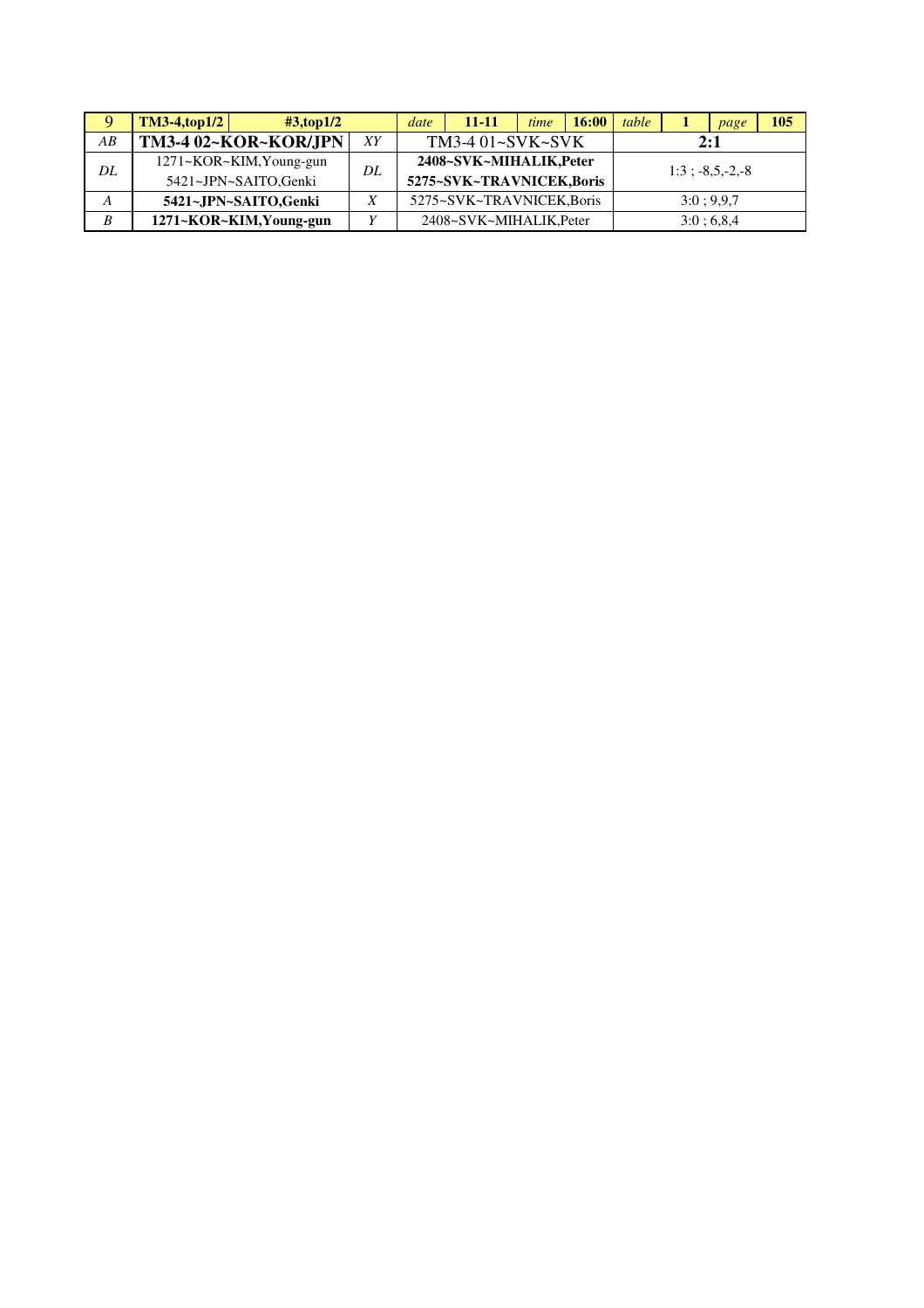| Q  | $TM3-4, top1/2$         | $\text{\#3,top1/2}$ | date | 11-11                    | time | 16:00 | table |     | page             | 105 |
|----|-------------------------|---------------------|------|--------------------------|------|-------|-------|-----|------------------|-----|
| AB | TM3-4 02~KOR~KOR/JPN    | XΥ                  |      | $TM3-401-SVK-SVK$        |      |       |       | 2:1 |                  |     |
| DL | 1271~KOR~KIM, Young-gun | DL                  |      | 2408~SVK~MIHALIK, Peter  |      |       |       |     | $1:3:-8.5.-2.-8$ |     |
|    | 5421~JPN~SAITO,Genki    |                     |      | 5275~SVK~TRAVNICEK,Boris |      |       |       |     |                  |     |
| А  | 5421~JPN~SAITO,Genki    | Χ                   |      | 5275~SVK~TRAVNICEK.Boris |      |       |       |     | 3:0:9.9.7        |     |
| B  | 1271~KOR~KIM, Young-gun |                     |      | 2408~SVK~MIHALIK.Peter   |      |       |       |     | 3:0:6,8,4        |     |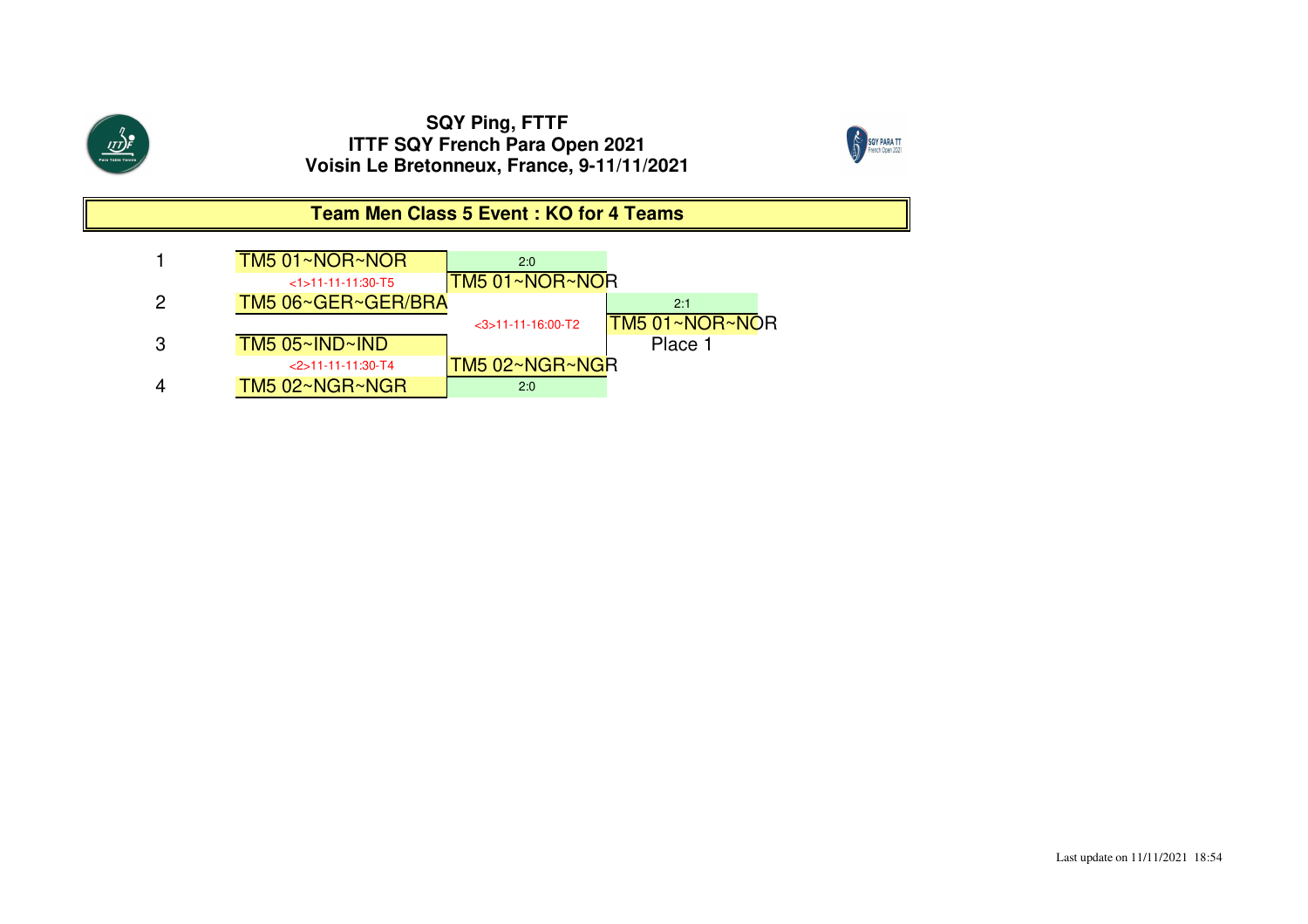$\overbrace{\text{III}}^{\eta}_{\text{para Table Tennis}}$ 



## **Team Men Class 5 Event : KO for 4 Teams**

|   | TM5 01~NOR~NOR         | 2:0                  |                       |
|---|------------------------|----------------------|-----------------------|
|   | $<1$ > 11-11-11:30-T5  | ITM5 01∼NOR∼NOR      |                       |
| 2 | TM5 06~GER~GER/BRA     |                      | 2:1                   |
|   |                        | $<$ 3>11-11-16:00-T2 | <b>TM5 01~NOR~NOR</b> |
| 3 | $TM5$ 05~ $IND$ ~ $ND$ |                      | Place 1               |
|   | $<$ 2>11-11-11:30-T4   | TM5 02~NGR~NGR       |                       |
|   | TM5 02~NGR~NGR         | 2:0                  |                       |
|   |                        |                      |                       |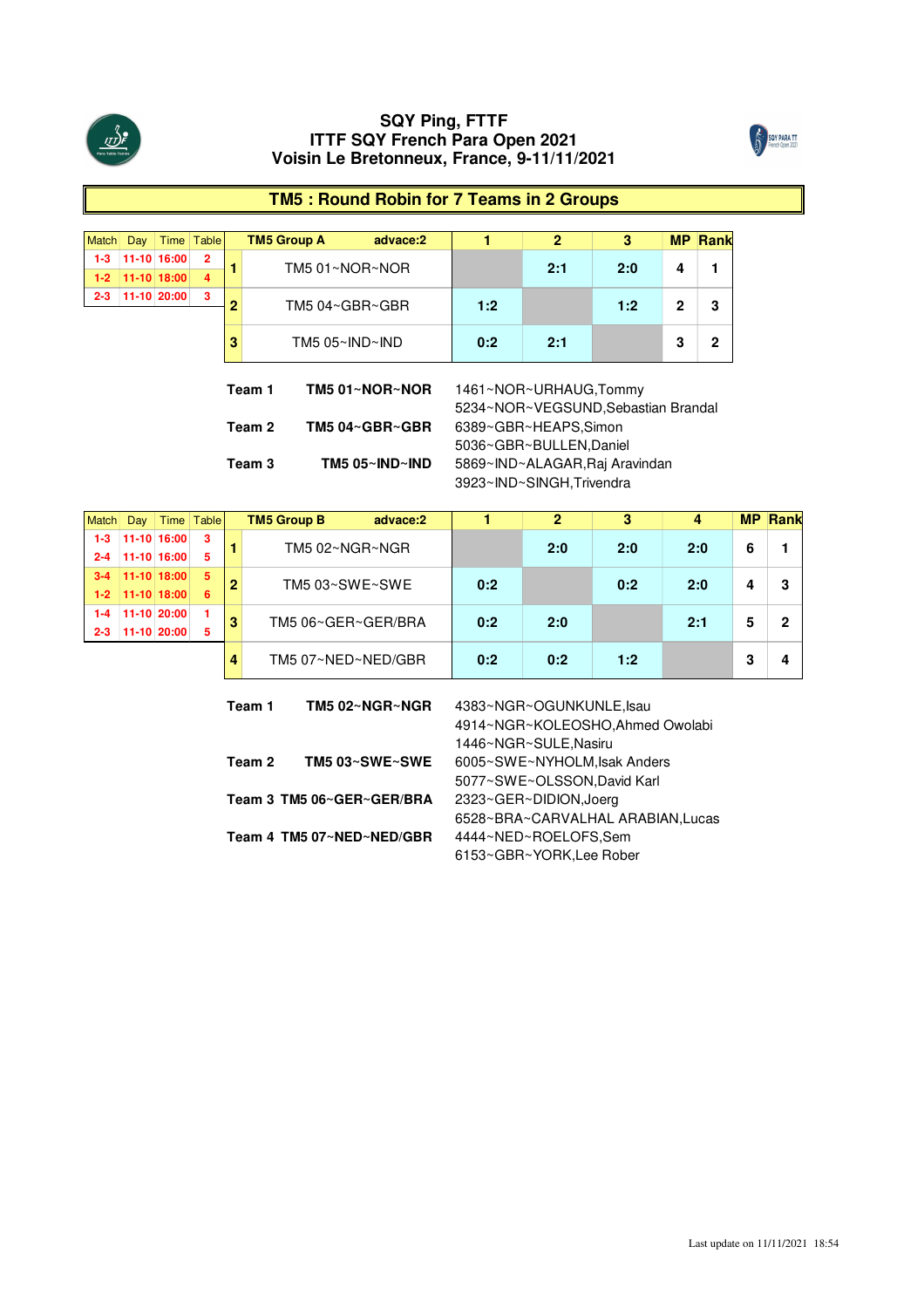



# **TM5 : Round Robin for 7 Teams in 2 Groups**

| Match   | Day                                           |             | Time Table     |                                | <b>TM5 Group A</b> | advace:2       | 1                                   | 2   | 3   | <b>MP</b>    | Rank         |  |  |
|---------|-----------------------------------------------|-------------|----------------|--------------------------------|--------------------|----------------|-------------------------------------|-----|-----|--------------|--------------|--|--|
| $1 - 3$ |                                               | 11-10 16:00 | $\overline{2}$ | 1                              |                    |                |                                     | 2:1 | 2:0 | 4            | 1            |  |  |
| $1 - 2$ |                                               | 11-10 18:00 | 4              |                                | TM5 01~NOR~NOR     |                |                                     |     |     |              |              |  |  |
| $2 - 3$ |                                               | 11-10 20:00 | 3              | 2                              |                    |                | 1:2                                 |     | 1:2 | $\mathbf{2}$ | 3            |  |  |
|         |                                               |             |                |                                | TM5 04~GBR~GBR     |                |                                     |     |     |              |              |  |  |
|         |                                               |             |                | 3                              |                    | TM5 05~IND~IND | 0:2                                 | 2:1 |     | 3            | $\mathbf{2}$ |  |  |
|         |                                               |             |                |                                |                    |                |                                     |     |     |              |              |  |  |
|         |                                               |             |                |                                |                    |                |                                     |     |     |              |              |  |  |
|         |                                               |             |                |                                | Team 1             | TM5 01~NOR~NOR | 1461~NOR~URHAUG,Tommy               |     |     |              |              |  |  |
|         |                                               |             |                |                                |                    |                | 5234~NOR~VEGSUND, Sebastian Brandal |     |     |              |              |  |  |
|         |                                               |             |                |                                | Team 2             | TM5 04~GBR~GBR | 6389~GBR~HEAPS.Simon                |     |     |              |              |  |  |
|         |                                               |             |                | 5036~GBR~BULLEN, Daniel        |                    |                |                                     |     |     |              |              |  |  |
|         | TM5 $05~\text{N}$ ND $~\text{N}$ ND<br>Team 3 |             |                | 5869~IND~ALAGAR, Raj Aravindan |                    |                |                                     |     |     |              |              |  |  |
|         |                                               |             |                |                                |                    |                | 3923~IND~SINGH, Trivendra           |     |     |              |              |  |  |

|         |                         |             | Time Table | <b>TM5 Group B</b><br>advace:2 |     |     |     |     |  |
|---------|-------------------------|-------------|------------|--------------------------------|-----|-----|-----|-----|--|
| 1-3     |                         | 11-10 16:00 | 3          | TM5 02~NGR~NGR                 |     | 2:0 | 2:0 | 2:0 |  |
| 2-4     |                         | 11-10 16:00 | 5          |                                |     |     |     |     |  |
|         |                         | 11-10 18:00 | 5          | TM5 03~SWE~SWE                 | 0:2 |     | 0:2 | 2:0 |  |
| $1-2$   | $\pm$ 11-10 18:00 $\pm$ |             | 6          |                                |     |     |     |     |  |
| -4      |                         | 11-10 20:00 |            | TM5 06~GER~GER/BRA             | 0:2 | 2:0 |     | 2:1 |  |
| $2 - 3$ |                         | 11-10 20:00 | 5          |                                |     |     |     |     |  |
|         |                         |             |            | TM5 07~NED~NED/GBR             | 0:2 | 0:2 | 1:2 |     |  |

| Team 1 | TM5 02~NGR~NGR            | 4383~NGR~OGUNKUNLE, Isau          |
|--------|---------------------------|-----------------------------------|
|        |                           | 4914~NGR~KOLEOSHO, Ahmed Owolabi  |
|        |                           | 1446~NGR~SULE, Nasiru             |
| Team 2 | TM5 03~SWE~SWE            | 6005~SWE~NYHOLM, Isak Anders      |
|        |                           | 5077~SWE~OLSSON, David Karl       |
|        | Team 3 TM5 06~GER~GER/BRA | 2323~GER~DIDION, Joerg            |
|        |                           | 6528~BRA~CARVALHAL ARABIAN, Lucas |
|        | Team 4 TM5 07~NED~NED/GBR | 4444~NED~ROELOFS,Sem              |
|        |                           | 6153~GBR~YORK, Lee Rober          |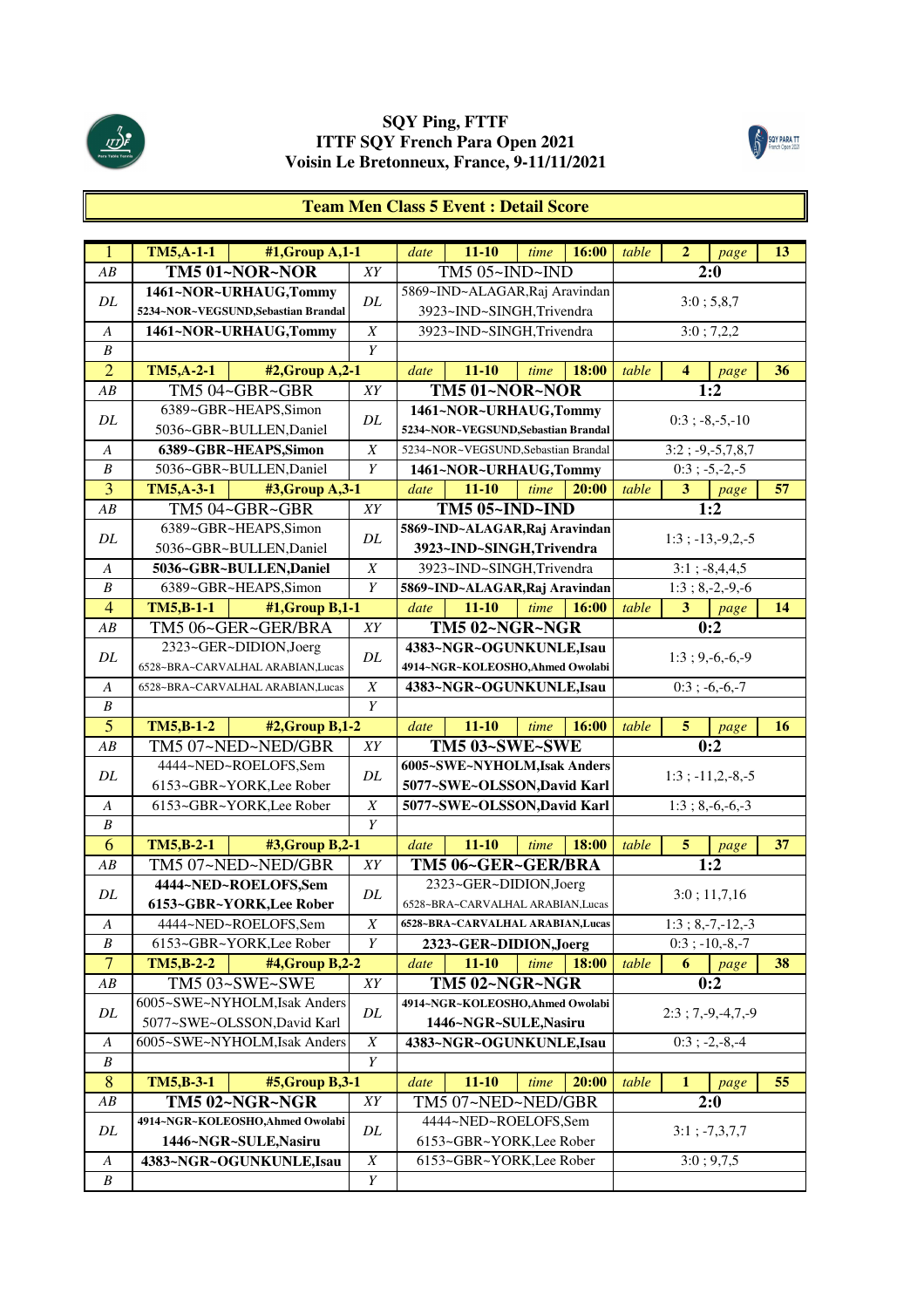



#### **Team Men Class 5 Event : Detail Score**

| $\mathbf{1}$                         | <b>TM5, A-1-1</b> | #1, Group A, 1-1                    |                                      | date | $11 - 10$                           | time | 16:00 | table | $\boldsymbol{2}$ | page                     | 13 |
|--------------------------------------|-------------------|-------------------------------------|--------------------------------------|------|-------------------------------------|------|-------|-------|------------------|--------------------------|----|
| AB                                   |                   | TM5 01~NOR~NOR                      | XY                                   |      | TM5 05~IND~IND                      |      |       |       |                  | 2:0                      |    |
|                                      |                   | 1461~NOR~URHAUG,Tommy               |                                      |      | 5869~IND~ALAGAR, Raj Aravindan      |      |       |       |                  |                          |    |
| DL                                   |                   | 5234~NOR~VEGSUND, Sebastian Brandal | $\cal DL$                            |      | 3923~IND~SINGH,Trivendra            |      |       |       |                  | 3:0; 5,8,7               |    |
| $\boldsymbol{A}$                     |                   | 1461~NOR~URHAUG,Tommy               | $\boldsymbol{X}$                     |      | 3923~IND~SINGH,Trivendra            |      |       |       |                  | 3:0; 7,2,2               |    |
| $\boldsymbol{B}$                     |                   |                                     | Y                                    |      |                                     |      |       |       |                  |                          |    |
| $\overline{2}$                       | <b>TM5, A-2-1</b> | #2, Group A, 2-1                    |                                      | date | $11 - 10$                           | time | 18:00 | table | $\overline{4}$   | page                     | 36 |
| AB                                   |                   | TM5 04~GBR~GBR                      | XY                                   |      | TM5 01~NOR~NOR                      |      |       |       |                  | 1:2                      |    |
|                                      |                   | 6389~GBR~HEAPS,Simon                |                                      |      | 1461~NOR~URHAUG,Tommy               |      |       |       |                  |                          |    |
| DL                                   |                   | 5036~GBR~BULLEN, Daniel             | DL                                   |      | 5234~NOR~VEGSUND, Sebastian Brandal |      |       |       |                  | $0:3$ ; $-8,-5,-10$      |    |
| A                                    |                   | 6389~GBR~HEAPS,Simon                | $\boldsymbol{X}$                     |      | 5234~NOR~VEGSUND, Sebastian Brandal |      |       |       |                  | $3:2; -9,-5,7,8,7$       |    |
| B                                    |                   | 5036~GBR~BULLEN, Daniel             | Y                                    |      | 1461~NOR~URHAUG,Tommy               |      |       |       |                  | $0:3$ ; $-5,-2,-5$       |    |
| $\overline{3}$                       | TM5, A-3-1        | #3, Group A, 3-1                    |                                      | date | $11 - 10$                           | time | 20:00 | table | 3 <sup>1</sup>   | page                     | 57 |
| AB                                   |                   | TM5 04~GBR~GBR                      | XY                                   |      | <b>TM5 05~IND~IND</b>               |      |       |       |                  | 1:2                      |    |
|                                      |                   | 6389~GBR~HEAPS,Simon                |                                      |      | 5869~IND~ALAGAR, Raj Aravindan      |      |       |       |                  |                          |    |
| DL                                   |                   | 5036~GBR~BULLEN, Daniel             | DL                                   |      | 3923~IND~SINGH,Trivendra            |      |       |       |                  | $1:3$ ; $-13, -9, 2, -5$ |    |
| $\boldsymbol{A}$                     |                   | 5036~GBR~BULLEN,Daniel              | $\boldsymbol{X}$                     |      | 3923~IND~SINGH,Trivendra            |      |       |       |                  | $3:1$ ; $-8,4,4,5$       |    |
| $\boldsymbol{B}$                     |                   | 6389~GBR~HEAPS,Simon                | Y                                    |      | 5869~IND~ALAGAR, Raj Aravindan      |      |       |       |                  | $1:3; 8,-2,-9,-6$        |    |
| $\overline{4}$                       | <b>TM5,B-1-1</b>  | $#1$ , Group B, 1-1                 |                                      | date | $11 - 10$                           | time | 16:00 | table | 3                | page                     | 14 |
| AB                                   |                   | TM5 06~GER~GER/BRA                  | XY                                   |      | TM5 02~NGR~NGR                      |      |       |       |                  | 0:2                      |    |
|                                      |                   | 2323~GER~DIDION, Joerg              |                                      |      | 4383~NGR~OGUNKUNLE,Isau             |      |       |       |                  |                          |    |
| DL                                   |                   | 6528~BRA~CARVALHAL ARABIAN, Lucas   | DL                                   |      | 4914~NGR~KOLEOSHO, Ahmed Owolabi    |      |       |       |                  | $1:3; 9,-6,-6,-9$        |    |
| A                                    |                   | 6528~BRA~CARVALHAL ARABIAN, Lucas   | $\boldsymbol{X}$                     |      | 4383~NGR~OGUNKUNLE,Isau             |      |       |       |                  | $0:3; -6,-6,-7$          |    |
| B                                    |                   |                                     | Y                                    |      |                                     |      |       |       |                  |                          |    |
|                                      |                   |                                     |                                      |      |                                     |      |       |       |                  |                          |    |
| $\overline{5}$                       | <b>TM5,B-1-2</b>  | $#2$ , Group B, 1-2                 |                                      | date | $11 - 10$                           | time | 16:00 | table | 5                | page                     | 16 |
| AB                                   |                   | TM5 07~NED~NED/GBR                  | XY                                   |      | <b>TM5 03~SWE~SWE</b>               |      |       |       |                  | 0:2                      |    |
|                                      |                   | 4444~NED~ROELOFS,Sem                |                                      |      | 6005~SWE~NYHOLM, Isak Anders        |      |       |       |                  |                          |    |
| DL                                   |                   | 6153~GBR~YORK, Lee Rober            | DL                                   |      | 5077~SWE~OLSSON, David Karl         |      |       |       |                  | $1:3$ ; $-11,2,-8,-5$    |    |
| A                                    |                   | 6153~GBR~YORK, Lee Rober            | X                                    |      | 5077~SWE~OLSSON, David Karl         |      |       |       |                  | $1:3; 8,-6,-6,-3$        |    |
| $\boldsymbol{B}$                     |                   |                                     | Y                                    |      |                                     |      |       |       |                  |                          |    |
| 6                                    | <b>TM5,B-2-1</b>  | #3, Group B, 2-1                    |                                      | date | $11 - 10$                           | time | 18:00 | table | 5                | page                     | 37 |
| ${\cal AB}$                          |                   | TM5 07~NED~NED/GBR                  | XY                                   |      | TM5 06~GER~GER/BRA                  |      |       |       |                  | 1:2                      |    |
|                                      |                   | 4444~NED~ROELOFS,Sem                |                                      |      | 2323~GER~DIDION,Joerg               |      |       |       |                  |                          |    |
| DL                                   |                   | 6153~GBR~YORK, Lee Rober            | DL                                   |      | 6528~BRA~CARVALHAL ARABIAN, Lucas   |      |       |       |                  | 3:0;11,7,16              |    |
| $\boldsymbol{A}$                     |                   | 4444~NED~ROELOFS,Sem                | X                                    |      | 6528~BRA~CARVALHAL ARABIAN, Lucas   |      |       |       |                  | $1:3; 8,-7,-12,-3$       |    |
| B                                    |                   | 6153~GBR~YORK, Lee Rober            | Y                                    |      | 2323~GER~DIDION, Joerg              |      |       |       |                  | $0:3$ ; $-10,-8,-7$      |    |
| $\overline{7}$                       | $TM5,B-2-2$       | #4, Group B, 2-2                    |                                      | date | $11 - 10$                           | time | 18:00 | table | 6                | page                     | 38 |
| ${\cal AB}$                          |                   | TM5 03~SWE~SWE                      | XY                                   |      | <b>TM5 02~NGR~NGR</b>               |      |       |       |                  | 0:2                      |    |
|                                      |                   | 6005~SWE~NYHOLM, Isak Anders        |                                      |      | 4914~NGR~KOLEOSHO, Ahmed Owolabi    |      |       |       |                  |                          |    |
| DL                                   |                   | 5077~SWE~OLSSON, David Karl         | DL                                   |      | 1446~NGR~SULE, Nasiru               |      |       |       |                  | $2:3; 7,-9,-4,7,-9$      |    |
| A                                    |                   | 6005~SWE~NYHOLM, Isak Anders        | $\overline{X}$                       |      | 4383~NGR~OGUNKUNLE,Isau             |      |       |       |                  | $0:3$ ; $-2,-8,-4$       |    |
| $\boldsymbol{B}$                     |                   |                                     | $\overline{Y}$                       |      |                                     |      |       |       |                  |                          |    |
| 8                                    | TM5,B-3-1         | #5, Group B, 3-1                    |                                      | date | $11 - 10$                           | time | 20:00 | table | $\mathbf{1}$     | page                     | 55 |
| $\overline{AB}$                      |                   | TM5 02~NGR~NGR                      | XY                                   |      | TM5 07~NED~NED/GBR                  |      |       |       |                  | 2:0                      |    |
|                                      |                   | 4914~NGR~KOLEOSHO, Ahmed Owolabi    |                                      |      | 4444~NED~ROELOFS,Sem                |      |       |       |                  |                          |    |
| $\cal DL$                            |                   | 1446~NGR~SULE, Nasiru               | DL                                   |      | 6153~GBR~YORK, Lee Rober            |      |       |       |                  | $3:1; -7, 3, 7, 7$       |    |
| $\boldsymbol{A}$<br>$\boldsymbol{B}$ |                   | 4383~NGR~OGUNKUNLE,Isau             | $\boldsymbol{X}$<br>$\boldsymbol{Y}$ |      | 6153~GBR~YORK, Lee Rober            |      |       |       |                  | 3:0; 9,7,5               |    |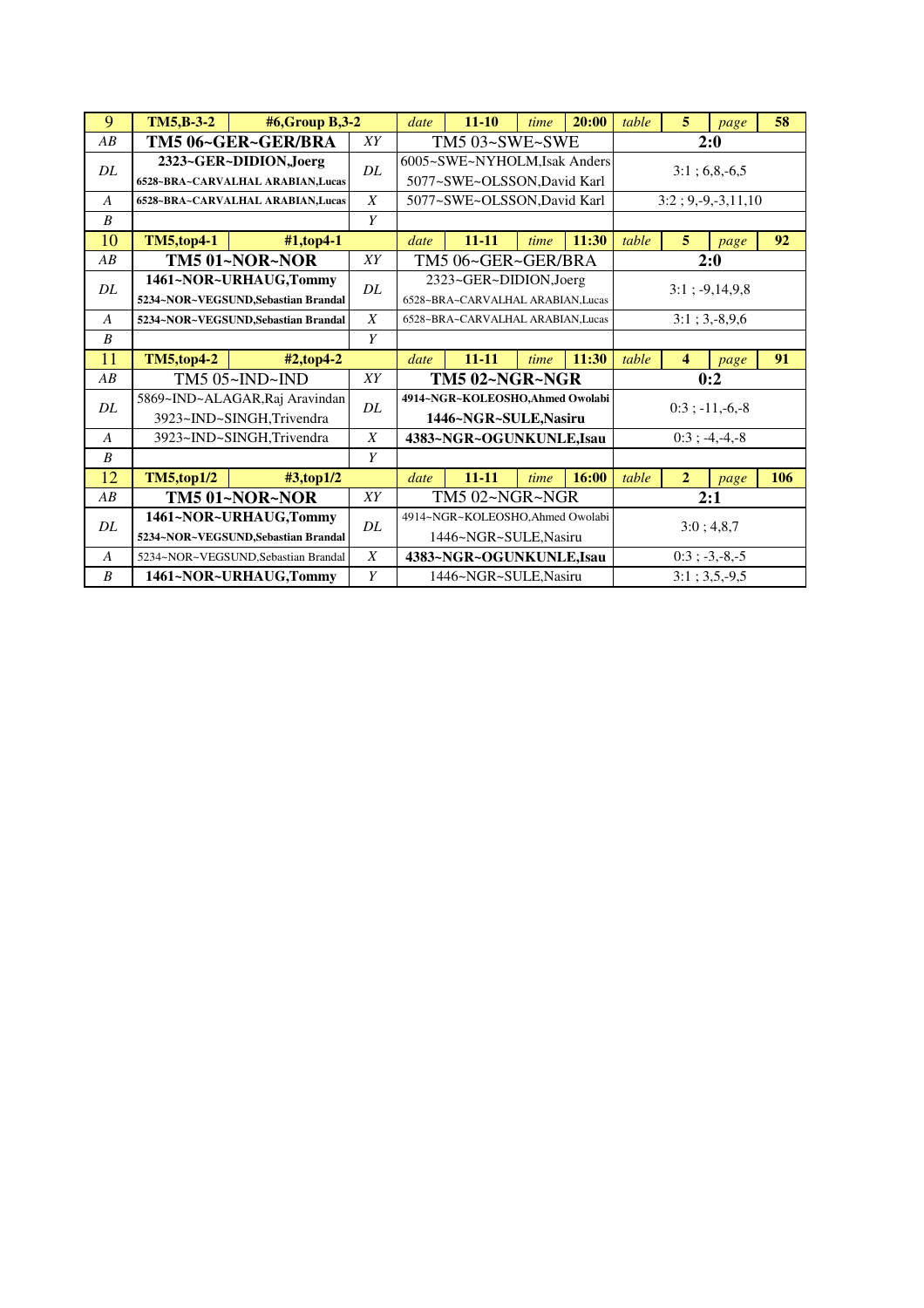| 9                | <b>TM5,B-3-2</b>  | #6, Group B, 3-2                                             |                                    | date | $11 - 10$                                                  | time | 20:00 | table                | 5              | page                | 58  |
|------------------|-------------------|--------------------------------------------------------------|------------------------------------|------|------------------------------------------------------------|------|-------|----------------------|----------------|---------------------|-----|
| AB               |                   | TM5 06~GER~GER/BRA                                           | XY                                 |      | TM5 03~SWE~SWE                                             |      |       |                      |                | 2:0                 |     |
| DL               |                   | 2323~GER~DIDION, Joerg<br>6528~BRA~CARVALHAL ARABIAN.Lucas   | DL                                 |      | 6005~SWE~NYHOLM, Isak Anders<br>5077~SWE~OLSSON,David Karl |      |       |                      |                | $3:1:6,8,-6,5$      |     |
| $\overline{A}$   |                   | 6528~BRA~CARVALHAL ARABIAN, Lucas                            | X                                  |      | 5077~SWE~OLSSON, David Karl                                |      |       | $3:2; 9,-9,-3,11,10$ |                |                     |     |
| $\boldsymbol{B}$ |                   |                                                              | Y                                  |      |                                                            |      |       |                      |                |                     |     |
| 10               | <b>TM5,top4-1</b> | $#1$ ,top4-1                                                 |                                    | date | $11 - 11$                                                  | time | 11:30 | table                | 5              | page                | 92  |
| AB               |                   | TM5 01~NOR~NOR                                               | XY                                 |      | TM5 06~GER~GER/BRA                                         |      |       |                      |                | 2:0                 |     |
| DL               |                   | 1461~NOR~URHAUG,Tommy<br>5234~NOR~VEGSUND, Sebastian Brandal | DL                                 |      | 2323~GER~DIDION, Joerg<br>6528~BRA~CARVALHAL ARABIAN.Lucas |      |       |                      |                | $3:1$ ; $-9,14,9,8$ |     |
| $\overline{A}$   |                   | 5234~NOR~VEGSUND, Sebastian Brandal                          | X                                  |      | 6528~BRA~CARVALHAL ARABIAN.Lucas                           |      |       |                      |                | $3:1; 3,-8,9,6$     |     |
| $\boldsymbol{B}$ |                   |                                                              | Y                                  |      |                                                            |      |       |                      |                |                     |     |
| 11               | <b>TM5,top4-2</b> |                                                              | $11 - 11$<br>11:30<br>date<br>time |      |                                                            |      | table | $\overline{4}$       |                | 91                  |     |
|                  |                   |                                                              |                                    |      |                                                            |      |       |                      | page           |                     |     |
| AB               |                   | #2,top4-2<br>TM5 05~IND~IND                                  | XY                                 |      | TM5 02~NGR~NGR                                             |      |       |                      |                | 0:2                 |     |
| DL               |                   | 5869~IND~ALAGAR, Raj Aravindan<br>3923~IND~SINGH,Trivendra   | DL                                 |      | 4914~NGR~KOLEOSHO,Ahmed Owolabi<br>1446~NGR~SULE, Nasiru   |      |       |                      |                | $0:3$ ; $-11,-6,-8$ |     |
| A                |                   | 3923~IND~SINGH,Trivendra                                     | $\boldsymbol{X}$                   |      | 4383~NGR~OGUNKUNLE,Isau                                    |      |       |                      |                | $0:3$ ; -4, -4, -8  |     |
| $\boldsymbol{B}$ |                   |                                                              | Y                                  |      |                                                            |      |       |                      |                |                     |     |
| 12               | <b>TM5,top1/2</b> | $\#3$ ,top1/2                                                |                                    | date | $11 - 11$                                                  | time | 16:00 | table                | $\overline{2}$ | page                | 106 |
| AB               |                   | TM5 01~NOR~NOR                                               | XY                                 |      | <b>TM5 02~NGR~NGR</b>                                      |      |       |                      |                | 2:1                 |     |
| DL               |                   | 1461~NOR~URHAUG,Tommy<br>5234~NOR~VEGSUND, Sebastian Brandal | DL                                 |      | 4914~NGR~KOLEOSHO,Ahmed Owolabi<br>1446~NGR~SULE, Nasiru   |      |       |                      |                | 3:0; 4,8,7          |     |
| $\overline{A}$   |                   | 5234~NOR~VEGSUND.Sebastian Brandal                           | $\boldsymbol{X}$                   |      | 4383~NGR~OGUNKUNLE,Isau                                    |      |       |                      |                | $0:3$ ; $-3,-8,-5$  |     |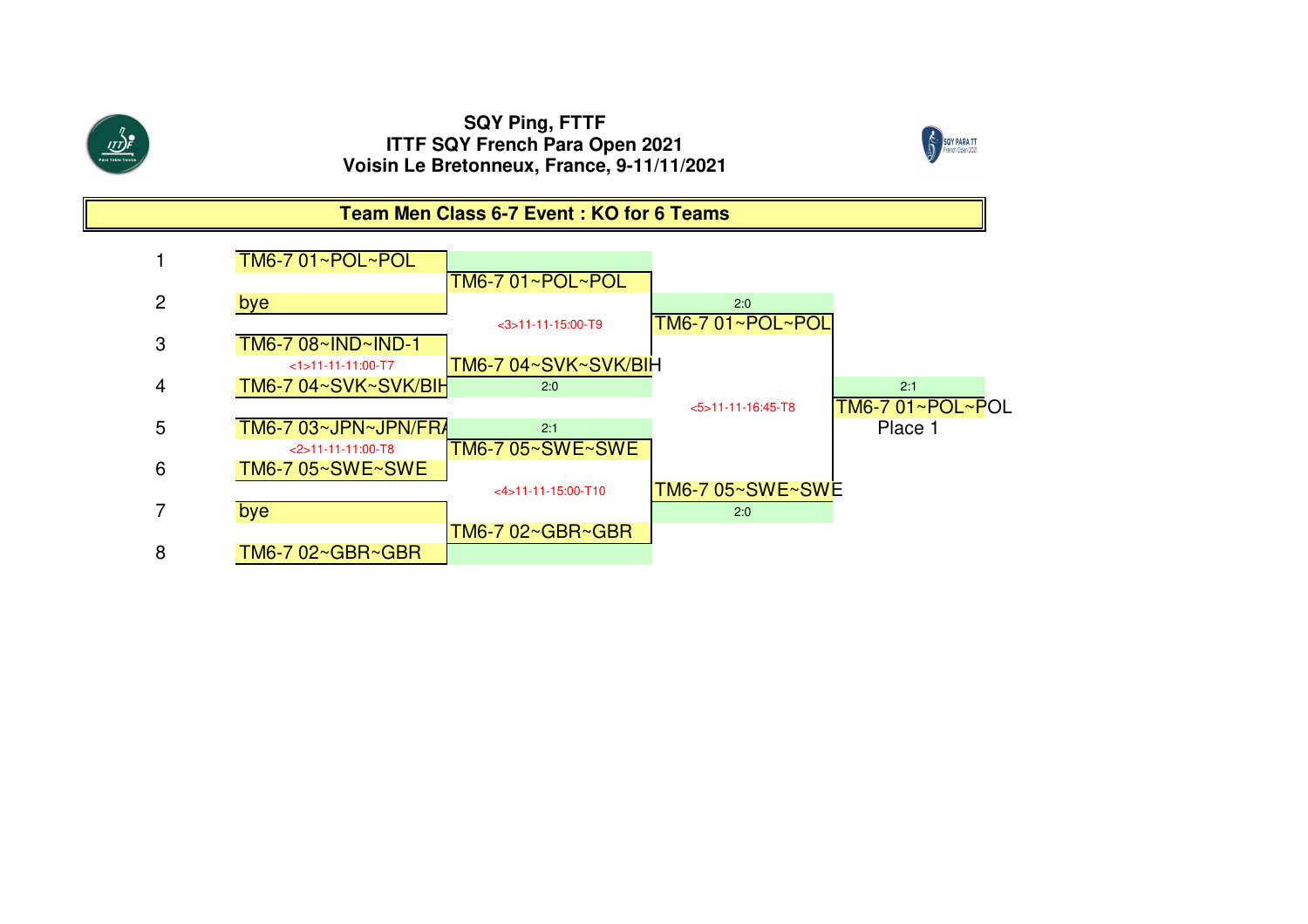

<u>ולט </u>



**Team Men Class 6-7 Event : KO for 6 Teams**

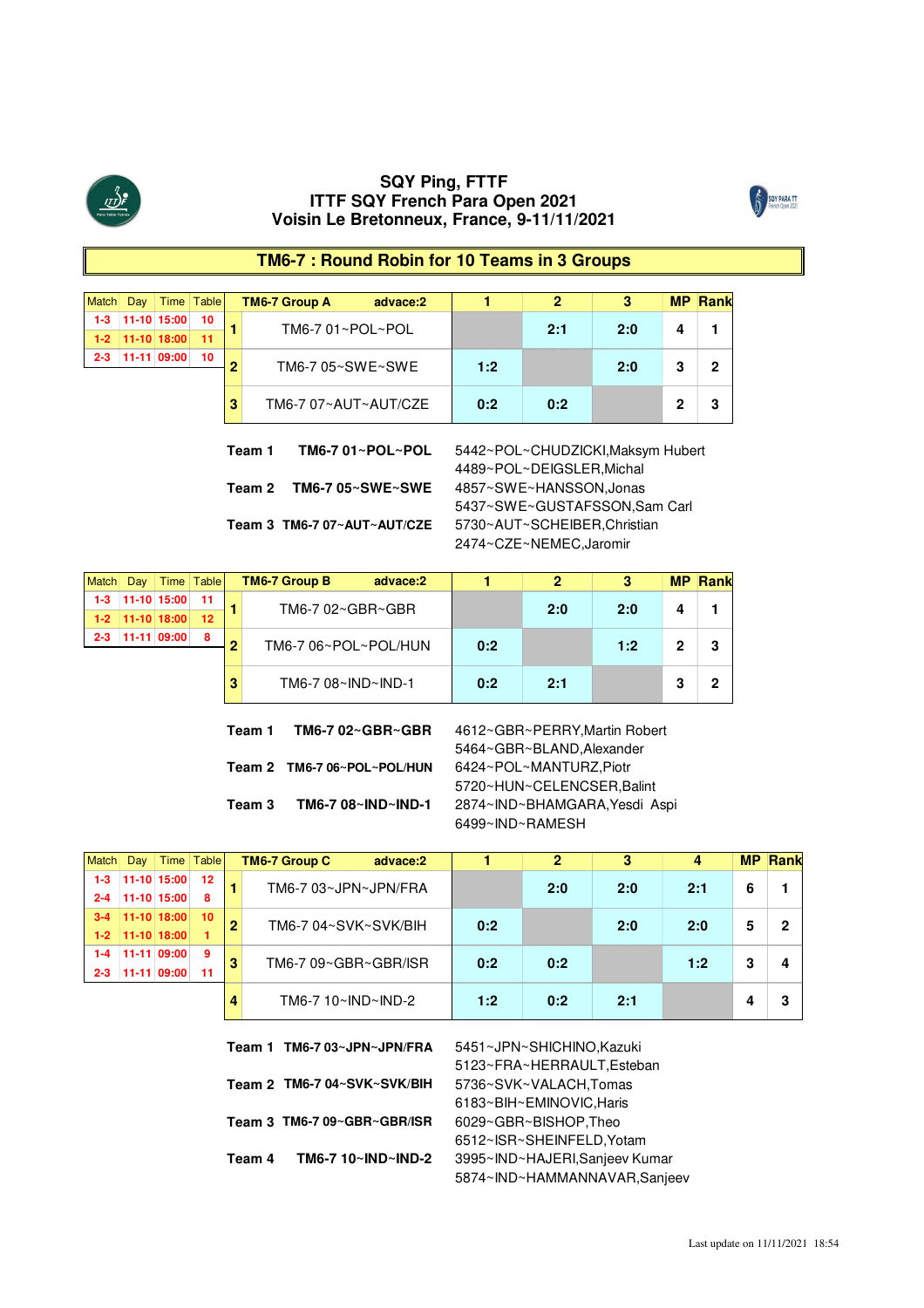



#### **TM6-7 : Round Robin for 10 Teams in 3 Groups**

| Match   | Dav |                   | Time Table |   | <b>TM6-7 Group A</b> | advace:2         |     |     |     | ⊿Ranr |
|---------|-----|-------------------|------------|---|----------------------|------------------|-----|-----|-----|-------|
| $1-3$   |     | 11-10 15:00       | 10         |   | TM6-7 01~POL~POL     |                  |     | 2:1 | 2:0 |       |
|         |     | $1-2$ 11-10 18:00 | - 11       |   |                      |                  |     |     |     |       |
| $2 - 3$ |     | 11-11 09:00       | 10         | n |                      | TM6-7 05~SWE~SWE |     |     | 2:0 |       |
|         |     |                   |            |   |                      |                  | 1:2 |     |     |       |
|         |     |                   |            | 3 | TM6-7 07~AUT~AUT/CZE |                  | 0:2 | 0:2 |     |       |

**Team 2 TM6-7 05~SWE~SWE** 4857~SWE~HANSSON,Jonas

**Team 1 TM6-7 01~POL~POL** 5442~POL~CHUDZICKI,Maksym Hubert 4489~POL~DEIGSLER,Michal 5437~SWE~GUSTAFSSON,Sam Carl 5730~AUT~SCHEIBER,Christian 2474~CZE~NEMEC,Jaromir

**Team 3 TM6-7 07~AUT~AUT/CZE**

| Dav |                       | Time Table               |   | <b>TM6-7 Group B</b><br>advace:2 |       |    | היו המוקדמים המוקדמים המוקדמים המוקדמים המוקדמים המוקדמים המוקדמים המוקדמים המוקדמים המוקדמים המוקדמים המוקדמים המוקדמים | мΡ |  |
|-----|-----------------------|--------------------------|---|----------------------------------|-------|----|--------------------------------------------------------------------------------------------------------------------------|----|--|
|     | $1-3$ 11-10 15:00     | ------------------------ |   | TM6-7 02~GBR~GBR                 |       | 20 | 2:0                                                                                                                      |    |  |
|     | $1-2$   11-10   18:00 | $-12$                    |   |                                  |       |    |                                                                                                                          |    |  |
|     | 11-11 09:00           | 8                        | n | TM6-7 06~POL~POL/HUN             | $n-2$ |    | 1:2                                                                                                                      |    |  |
|     |                       |                          |   | TM6-7 08~IND~IND-1               | በ 2   | 21 |                                                                                                                          |    |  |

**Team 2 TM6-7 06~POL~POL/HUN** 6424~POL~MANTURZ,Piotr

5464~GBR~BLAND,Alexander **Team 3 TM6-7 08~IND~IND-1** 2874~IND~BHAMGARA,Yesdi Aspi **Team 1 TM6-7 02~GBR~GBR** 4612~GBR~PERRY,Martin Robert 5720~HUN~CELENCSER,Balint 6499~IND~RAMESH

|         | Jav           | Time         | <b>Table</b> |   | <b>TM6-7 Group C</b> | advace:2 |     |     |     |     |   |  |
|---------|---------------|--------------|--------------|---|----------------------|----------|-----|-----|-----|-----|---|--|
| 1-3     |               | 11-10 15:00  | 12           |   | TM6-7 03~JPN~JPN/FRA |          |     | 2:0 | 2:0 | 2:1 |   |  |
| $2 - 4$ | $11-10$ 15:00 |              | 8            |   |                      |          |     |     |     |     | b |  |
|         |               | 11-10 18:00  | - 10         |   | TM6-7 04~SVK~SVK/BIH |          | 0:2 |     | 2:0 |     |   |  |
| $1-2$   | $11-10$ 18:00 |              |              | 2 |                      |          |     |     |     | 2:0 |   |  |
|         |               | $11-1109:00$ | 9            | 3 | TM6-7 09~GBR~GBR/ISR |          | 0:2 | 0:2 |     | 1:2 |   |  |
| 2-3     | 11-11         | 09:00        |              |   |                      |          |     |     |     |     |   |  |
|         |               |              |              |   | $TM6-7 10~N D~N D-1$ |          | 1:2 | n 2 | 2:1 |     |   |  |

|        | Team 1 TM6-7 03~JPN~JPN/FRA   | 5451~JPN~SHICHINO, Kazuki      |
|--------|-------------------------------|--------------------------------|
|        |                               | 5123~FRA~HERRAULT, Esteban     |
|        | Team 2   TM6-7 04~SVK~SVK/BIH | 5736~SVK~VALACH,Tomas          |
|        |                               | 6183~BIH~EMINOVIC, Haris       |
|        | Team 3 TM6-7 09~GBR~GBR/ISR   | 6029~GBR~BISHOP, Theo          |
|        |                               | 6512~ISR~SHEINFELD.Yotam       |
| Team 4 | TM6-7 10~IND~IND-2            | 3995~IND~HAJERI, Sanjeev Kumar |
|        |                               | 5874~IND~HAMMANNAVAR,Sanjeev   |
|        |                               |                                |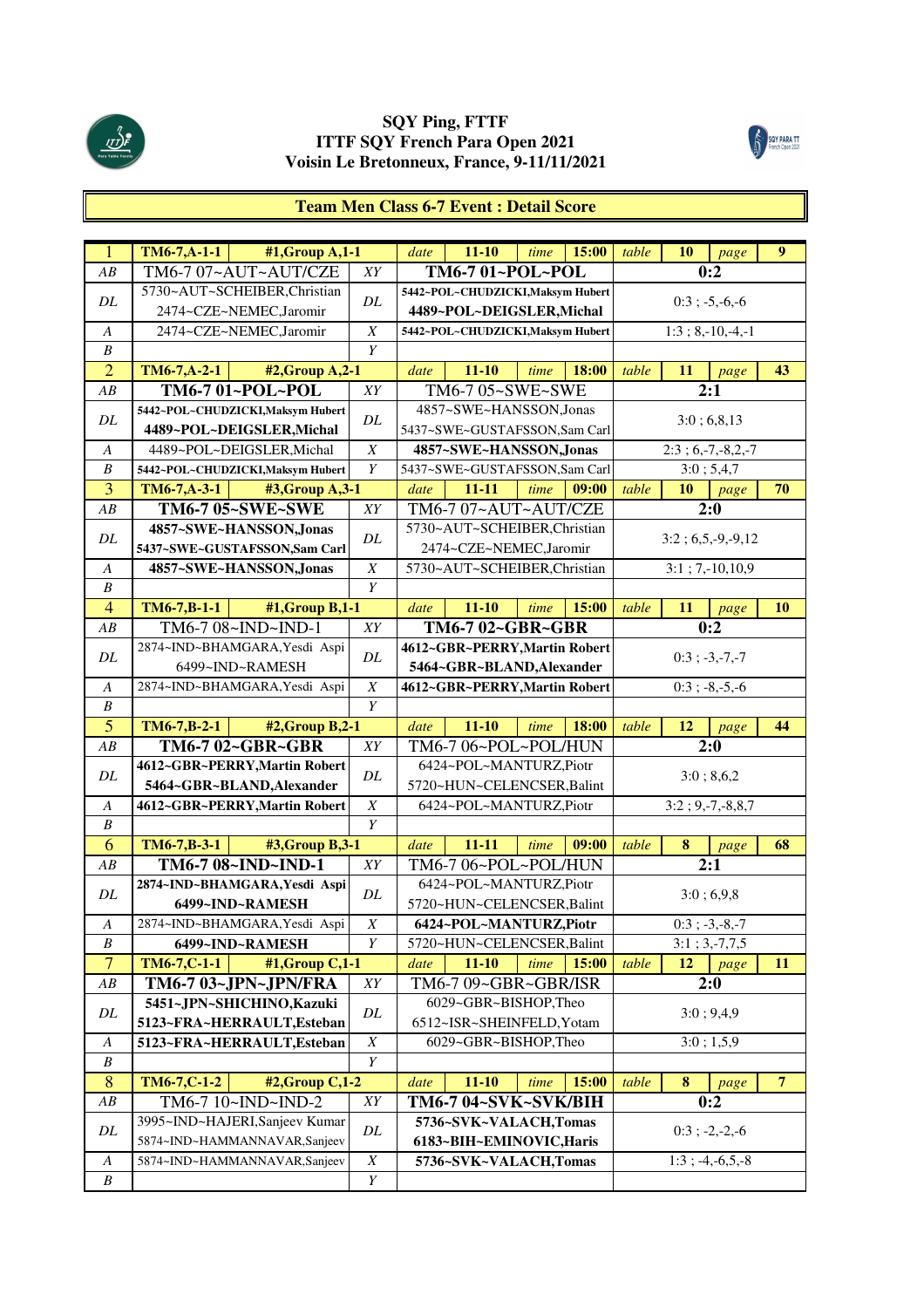



# **Team Men Class 6-7 Event : Detail Score**

| $\mathbf{1}$     | $TM6-7, A-1-1$<br>#1, Group A, 1-1 |                                      | date                                              | $11 - 10$                         | time | 15:00 | table              | 10 | page                | 9              |
|------------------|------------------------------------|--------------------------------------|---------------------------------------------------|-----------------------------------|------|-------|--------------------|----|---------------------|----------------|
| AB               | TM6-7 07~AUT~AUT/CZE               | XY                                   |                                                   | TM6-7 01~POL~POL                  |      |       |                    |    | 0:2                 |                |
|                  | 5730~AUT~SCHEIBER,Christian        |                                      |                                                   | 5442~POL~CHUDZICKI, Maksym Hubert |      |       |                    |    |                     |                |
| DL               | 2474~CZE~NEMEC,Jaromir             | DL                                   |                                                   | 4489~POL~DEIGSLER, Michal         |      |       |                    |    | $0:3; -5,-6,-6$     |                |
| $\boldsymbol{A}$ | 2474~CZE~NEMEC,Jaromir             | $\boldsymbol{X}$                     |                                                   | 5442~POL~CHUDZICKI, Maksym Hubert |      |       |                    |    | $1:3; 8,-10,-4,-1$  |                |
| $\boldsymbol{B}$ |                                    | Y                                    |                                                   |                                   |      |       |                    |    |                     |                |
| $\overline{2}$   | TM6-7, A-2-1<br>#2, Group A, 2-1   |                                      | date                                              | $11 - 10$                         | time | 18:00 | table              | 11 | page                | 43             |
| AB               | TM6-7 01~POL~POL                   | XY                                   |                                                   | TM6-7 05~SWE~SWE                  |      |       |                    |    | 2:1                 |                |
|                  | 5442~POL~CHUDZICKI, Maksym Hubert  |                                      |                                                   | 4857~SWE~HANSSON,Jonas            |      |       |                    |    |                     |                |
| DL               | 4489~POL~DEIGSLER, Michal          | DL                                   |                                                   | 5437~SWE~GUSTAFSSON,Sam Carl      |      |       |                    |    | 3:0; 6,8,13         |                |
| A                | 4489~POL~DEIGSLER, Michal          | $\boldsymbol{X}$                     |                                                   | 4857~SWE~HANSSON, Jonas           |      |       |                    |    | $2:3; 6,-7,-8,2,-7$ |                |
| B                | 5442~POL~CHUDZICKI, Maksym Hubert  | Y                                    |                                                   | 5437~SWE~GUSTAFSSON,Sam Carl      |      |       |                    |    | 3:0; 5,4,7          |                |
| 3                | TM6-7, A-3-1<br>#3, Group A, 3-1   |                                      | date                                              | $11 - 11$                         | time | 09:00 | table              | 10 | page                | 70             |
| AB               | TM6-7 05~SWE~SWE                   | XY                                   |                                                   | TM6-7 07~AUT~AUT/CZE              |      |       |                    |    | 2:0                 |                |
|                  | 4857~SWE~HANSSON, Jonas            |                                      |                                                   | 5730~AUT~SCHEIBER,Christian       |      |       |                    |    |                     |                |
| DL               | 5437~SWE~GUSTAFSSON,Sam Carl       | DL                                   |                                                   | 2474~CZE~NEMEC,Jaromir            |      |       |                    |    | $3:2; 6,5,-9,-9,12$ |                |
| $\boldsymbol{A}$ | 4857~SWE~HANSSON, Jonas            | $\boldsymbol{X}$                     |                                                   | 5730~AUT~SCHEIBER,Christian       |      |       |                    |    | $3:1; 7,-10,10,9$   |                |
| $\boldsymbol{B}$ |                                    | $\boldsymbol{Y}$                     |                                                   |                                   |      |       |                    |    |                     |                |
| $\overline{4}$   | TM6-7,B-1-1<br>$#1$ , Group B, 1-1 |                                      | date                                              | $11 - 10$                         | time | 15:00 | table              | 11 | page                | <b>10</b>      |
| AB               | TM6-7 08~IND~IND-1                 | XY                                   |                                                   | TM6-7 02~GBR~GBR                  |      |       |                    |    | 0:2                 |                |
| DL               | 2874~IND~BHAMGARA, Yesdi Aspi      | DL                                   |                                                   | 4612~GBR~PERRY, Martin Robert     |      |       |                    |    | $0:3; -3,-7,-7$     |                |
|                  | 6499~IND~RAMESH                    |                                      |                                                   | 5464~GBR~BLAND, Alexander         |      |       |                    |    |                     |                |
| $\boldsymbol{A}$ | 2874~IND~BHAMGARA, Yesdi Aspi      | $\boldsymbol{X}$                     |                                                   | 4612~GBR~PERRY, Martin Robert     |      |       |                    |    | $0:3; -8,-5,-6$     |                |
| $\boldsymbol{B}$ |                                    | Y                                    |                                                   |                                   |      |       |                    |    |                     |                |
| $\overline{5}$   | $TM6-7,B-2-1$<br>#2, Group B, 2-1  |                                      | date                                              | $11 - 10$                         | time | 18:00 | table              | 12 | page                | 44             |
| AB               | TM6-7 02~GBR~GBR                   | XY                                   |                                                   | TM6-7 06~POL~POL/HUN              |      |       |                    |    | 2:0                 |                |
| DL               | 4612~GBR~PERRY, Martin Robert      | DL                                   |                                                   | 6424~POL~MANTURZ,Piotr            |      |       |                    |    | 3:0; 8,6,2          |                |
|                  | 5464~GBR~BLAND, Alexander          |                                      |                                                   | 5720~HUN~CELENCSER, Balint        |      |       |                    |    |                     |                |
| A                | 4612~GBR~PERRY, Martin Robert      | X                                    |                                                   | 6424~POL~MANTURZ,Piotr            |      |       |                    |    | $3:2; 9,-7,-8,8,7$  |                |
| $\boldsymbol{B}$ |                                    | Y                                    |                                                   |                                   |      |       |                    |    |                     |                |
| 6                | TM6-7,B-3-1<br>#3, Group B, 3-1    |                                      | date                                              | $11 - 11$                         | time | 09:00 | table              | 8  | page                | 68             |
| AB               | TM6-7 08~IND~IND-1                 | XY                                   |                                                   | TM6-7 06~POL~POL/HUN              |      |       |                    |    | $\overline{2:1}$    |                |
| DL               | 2874~IND~BHAMGARA, Yesdi Aspi      | DL                                   |                                                   | 6424~POL~MANTURZ,Piotr            |      |       |                    |    | 3:0; 6,9,8          |                |
|                  | 6499~IND~RAMESH                    |                                      |                                                   | 5720~HUN~CELENCSER, Balint        |      |       |                    |    |                     |                |
| $\boldsymbol{A}$ | 2874~IND~BHAMGARA, Yesdi Aspi      | X                                    |                                                   | 6424~POL~MANTURZ,Piotr            |      |       |                    |    | $0:3; -3,-8,-7$     |                |
| $\boldsymbol{B}$ | 6499~IND~RAMESH                    | Y                                    |                                                   | 5720~HUN~CELENCSER, Balint        |      |       |                    |    | $3:1; 3,-7,7,5$     |                |
| $\overline{7}$   | TM6-7,C-1-1<br>#1, Group C, 1-1    |                                      | date                                              | $11 - 10$                         | time | 15:00 | table              | 12 | page                | 11             |
| ${\cal AB}$      | TM6-7 03~JPN~JPN/FRA               | ${\cal XY}$                          |                                                   | TM6-7 09~GBR~GBR/ISR              |      |       |                    |    | 2:0                 |                |
| DL               | 5451~JPN~SHICHINO, Kazuki          | DL                                   |                                                   | 6029~GBR~BISHOP,Theo              |      |       |                    |    | 3:0; 9,4,9          |                |
|                  | 5123~FRA~HERRAULT, Esteban         |                                      |                                                   | 6512~ISR~SHEINFELD, Yotam         |      |       |                    |    |                     |                |
| A                | 5123~FRA~HERRAULT, Esteban         | $\overline{X}$                       |                                                   | 6029~GBR~BISHOP,Theo              |      |       |                    |    | 3:0; 1,5,9          |                |
| B                |                                    | Y                                    |                                                   |                                   |      |       |                    |    |                     |                |
| $\bf 8$          | TM6-7,C-1-2<br>#2, Group C, 1-2    |                                      | date                                              | $11 - 10$                         | time | 15:00 | table              | 8  | page                | $\overline{7}$ |
| $\overline{AB}$  | TM6-7 10~IND~IND-2                 | ${\it XY}$                           |                                                   | TM6-7 04~SVK~SVK/BIH              |      |       |                    |    | 0:2                 |                |
| $\cal DL$        | 3995~IND~HAJERI, Sanjeev Kumar     | DL                                   | 5736~SVK~VALACH,Tomas                             |                                   |      |       | $0:3$ ; -2, -2, -6 |    |                     |                |
|                  | 5874~IND~HAMMANNAVAR,Sanjeev       |                                      | 6183~BIH~EMINOVIC, Haris<br>5736~SVK~VALACH,Tomas |                                   |      |       | $1:3; -4,-6,5,-8$  |    |                     |                |
| $\boldsymbol{A}$ | 5874~IND~HAMMANNAVAR,Sanjeev       | $\boldsymbol{X}$<br>$\boldsymbol{Y}$ |                                                   |                                   |      |       |                    |    |                     |                |
| $\boldsymbol{B}$ |                                    |                                      |                                                   |                                   |      |       |                    |    |                     |                |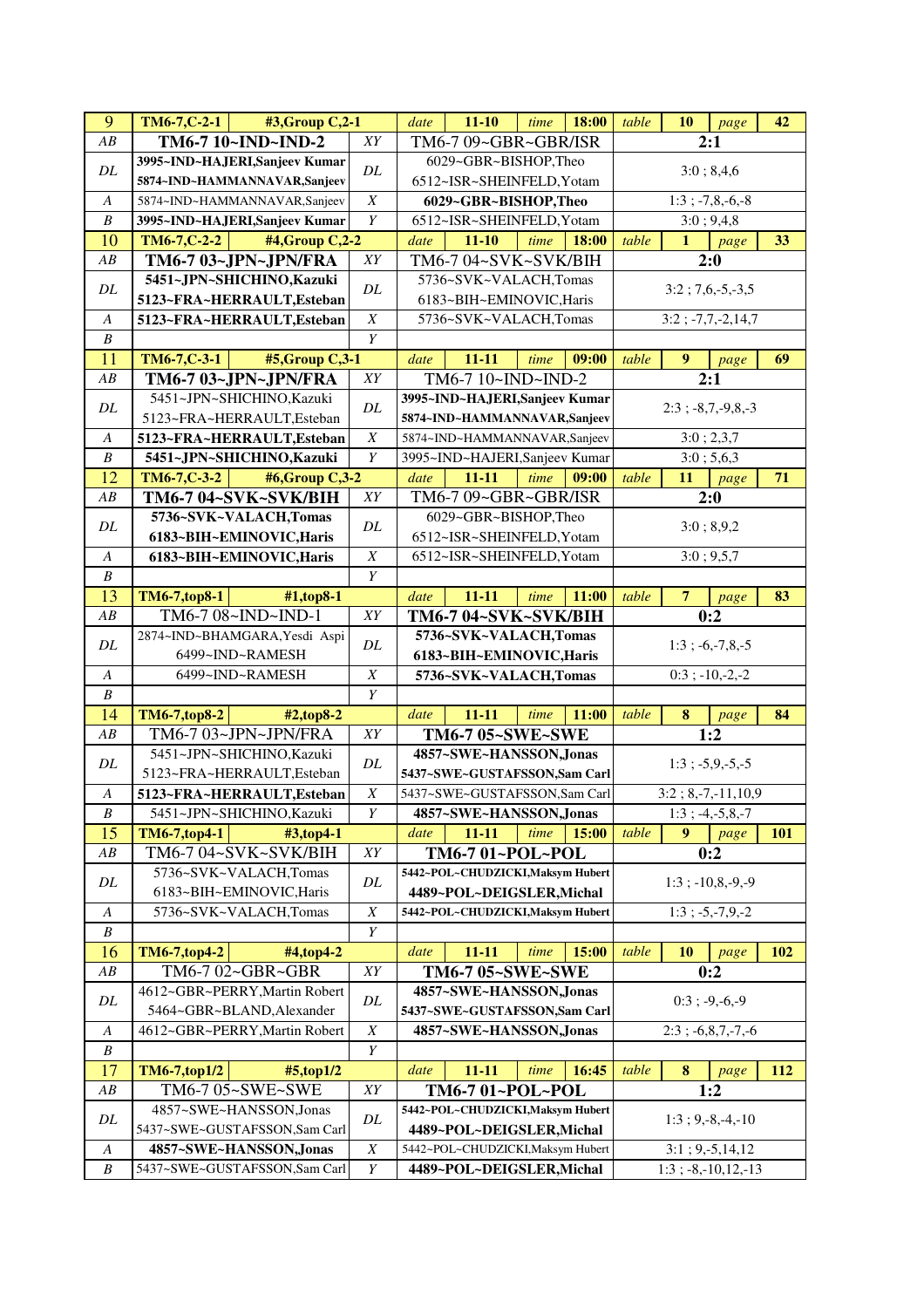| $\overline{9}$   | $TM6-7, C-2-1$<br>#3, Group C, 2-1                  |                  | date | $11 - 10$                                         | time | 18:00 | table | 10               | page                   | 42         |
|------------------|-----------------------------------------------------|------------------|------|---------------------------------------------------|------|-------|-------|------------------|------------------------|------------|
| AB               | TM6-7 10~IND~IND-2                                  | XY               |      | TM6-7 09~GBR~GBR/ISR                              |      |       |       |                  | 2:1                    |            |
| $\cal DL$        | 3995~IND~HAJERI, Sanjeev Kumar                      | DL               |      | 6029~GBR~BISHOP,Theo                              |      |       |       |                  | 3:0; 8,4,6             |            |
|                  | 5874~IND~HAMMANNAVAR,Sanjeev                        |                  |      | 6512~ISR~SHEINFELD, Yotam                         |      |       |       |                  |                        |            |
| $\boldsymbol{A}$ | 5874~IND~HAMMANNAVAR,Sanjeev                        | $\boldsymbol{X}$ |      | 6029~GBR~BISHOP,Theo                              |      |       |       |                  | $1:3; -7, 8, -6, -8$   |            |
| $\boldsymbol{B}$ | 3995~IND~HAJERI, Sanjeev Kumar                      | Y                |      | 6512~ISR~SHEINFELD, Yotam                         |      |       |       |                  | 3:0; 9,4,8             |            |
| 10               | $TM6-7, C-2-2$<br>#4, Group C, 2-2                  |                  | date | $11 - 10$                                         | time | 18:00 | table | $\mathbf{1}$     | page                   | 33         |
| AB               | TM6-7 03~JPN~JPN/FRA                                | XY               |      | TM6-7 04~SVK~SVK/BIH                              |      |       |       |                  | 2:0                    |            |
| $\cal DL$        | 5451~JPN~SHICHINO, Kazuki                           | $\cal DL$        |      | 5736~SVK~VALACH,Tomas                             |      |       |       |                  | $3:2; 7,6,-5,-3,5$     |            |
|                  | 5123~FRA~HERRAULT, Esteban                          |                  |      | 6183~BIH~EMINOVIC, Haris                          |      |       |       |                  |                        |            |
| $\boldsymbol{A}$ | 5123~FRA~HERRAULT, Esteban                          | $\boldsymbol{X}$ |      | 5736~SVK~VALACH,Tomas                             |      |       |       |                  | $3:2$ ; $-7,7,-2,14,7$ |            |
| $\boldsymbol{B}$ |                                                     | $\overline{Y}$   |      |                                                   |      |       |       |                  |                        |            |
| 11               | TM6-7,C-3-1<br>#5, Group C, 3-1                     |                  | date | $11 - 11$                                         | time | 09:00 | table | $\boldsymbol{9}$ | page                   | 69         |
| AB               | TM6-7 03~JPN~JPN/FRA                                | $\overline{XY}$  |      | TM6-7 10~IND~IND-2                                |      |       |       |                  | $\overline{2:1}$       |            |
| DL               | 5451~JPN~SHICHINO, Kazuki                           | DL               |      | 3995~IND~HAJERI, Sanjeev Kumar                    |      |       |       |                  | $2:3$ ; $-8,7,-9,8,-3$ |            |
|                  | 5123~FRA~HERRAULT, Esteban                          |                  |      | 5874~IND~HAMMANNAVAR, Sanjeev                     |      |       |       |                  |                        |            |
| A                | 5123~FRA~HERRAULT, Esteban                          | $\overline{X}$   |      | 5874~IND~HAMMANNAVAR,Sanjeev                      |      |       |       |                  | 3:0; 2,3,7             |            |
| $\boldsymbol{B}$ | 5451~JPN~SHICHINO, Kazuki                           | Y                |      | 3995~IND~HAJERI, Sanjeev Kumar                    |      |       |       |                  | 3:0; 5,6,3             |            |
| 12               | #6,Group C,3-2<br>$TM6-7, C-3-2$                    |                  | date | $11 - 11$                                         | time | 09:00 | table | 11               | page                   | 71         |
| AB               | TM6-7 04~SVK~SVK/BIH                                | XY               |      | TM6-7 09~GBR~GBR/ISR                              |      |       |       |                  | 2:0                    |            |
| DL               | 5736~SVK~VALACH,Tomas                               | DL               |      | 6029~GBR~BISHOP,Theo                              |      |       |       |                  | 3:0; 8,9,2             |            |
|                  | 6183~BIH~EMINOVIC, Haris                            |                  |      | 6512~ISR~SHEINFELD, Yotam                         |      |       |       |                  |                        |            |
| A                | 6183~BIH~EMINOVIC, Haris                            | $\boldsymbol{X}$ |      | 6512~ISR~SHEINFELD, Yotam                         |      |       |       |                  | 3:0; 9,5,7             |            |
| $\boldsymbol{B}$ |                                                     | Y                |      |                                                   |      |       |       |                  |                        |            |
| 13               | <b>TM6-7,top8-1</b><br>#1,top8-1                    |                  | date | 11-11                                             | time | 11:00 | table | $\overline{7}$   | page                   | 83         |
| AB               | TM6-7 08~IND~IND-1<br>2874~IND~BHAMGARA, Yesdi Aspi | ${\cal XY}$      |      | TM6-7 04~SVK~SVK/BIH                              |      |       |       |                  | 0:2                    |            |
| $\cal DL$        | 6499~IND~RAMESH                                     | $\cal DL$        |      | 5736~SVK~VALACH,Tomas                             |      |       |       |                  | $1:3; -6,-7,8,-5$      |            |
| $\boldsymbol{A}$ | 6499~IND~RAMESH                                     | $\overline{X}$   |      | 6183~BIH~EMINOVIC, Haris<br>5736~SVK~VALACH,Tomas |      |       |       |                  | $0:3; -10,-2,-2$       |            |
| $\boldsymbol{B}$ |                                                     | $\overline{Y}$   |      |                                                   |      |       |       |                  |                        |            |
| 14               | <b>TM6-7,top8-2</b><br>$#2, top8-2$                 |                  | date | $11 - 11$                                         | time | 11:00 | table | $\bf{8}$         | page                   | 84         |
| AB               | TM6-7 03~JPN~JPN/FRA                                | ${\cal XY}$      |      | TM6-7 05~SWE~SWE                                  |      |       |       |                  | 1:2                    |            |
|                  | 5451~JPN~SHICHINO, Kazuki                           |                  |      | 4857~SWE~HANSSON, Jonas                           |      |       |       |                  |                        |            |
| DL               | 5123~FRA~HERRAULT, Esteban                          | DL               |      | 5437~SWE~GUSTAFSSON,Sam Carl                      |      |       |       |                  | $1:3; -5,9,-5,-5$      |            |
| $\boldsymbol{A}$ | 5123~FRA~HERRAULT, Esteban                          | $\boldsymbol{X}$ |      | 5437~SWE~GUSTAFSSON,Sam Carl                      |      |       |       |                  | $3:2; 8,-7,-11,10,9$   |            |
| $\boldsymbol{B}$ | 5451~JPN~SHICHINO, Kazuki                           | Y                |      | 4857~SWE~HANSSON, Jonas                           |      |       |       |                  | $1:3; -4,-5,8,-7$      |            |
| 15               | TM6-7,top4-1<br>#3,top4-1                           |                  | date | $11 - 11$                                         | time | 15:00 | table | 9                | page                   | 101        |
| $\overline{AB}$  | TM6-7 04~SVK~SVK/BIH                                | ${\cal XY}$      |      | TM6-7 01~POL~POL                                  |      |       |       |                  | 0:2                    |            |
|                  | 5736~SVK~VALACH,Tomas                               |                  |      | 5442~POL~CHUDZICKI, Maksym Hubert                 |      |       |       |                  |                        |            |
| DL               | 6183~BIH~EMINOVIC, Haris                            | DL               |      | 4489~POL~DEIGSLER, Michal                         |      |       |       |                  | $1:3$ ; $-10,8,-9,-9$  |            |
| $\boldsymbol{A}$ | 5736~SVK~VALACH,Tomas                               | $\boldsymbol{X}$ |      | 5442~POL~CHUDZICKI, Maksym Hubert                 |      |       |       |                  | $1:3; -5,-7,9,-2$      |            |
| $\boldsymbol{B}$ |                                                     | Y                |      |                                                   |      |       |       |                  |                        |            |
| 16               | TM6-7,top4-2<br>#4,top4-2                           |                  | date | $11 - 11$                                         | time | 15:00 | table | <b>10</b>        | page                   | <b>102</b> |
| AB               | TM6-7 02~GBR~GBR                                    | XY               |      | TM6-7 05~SWE~SWE                                  |      |       |       |                  | 0:2                    |            |
|                  | 4612~GBR~PERRY, Martin Robert                       |                  |      | 4857~SWE~HANSSON, Jonas                           |      |       |       |                  |                        |            |
| DL               | 5464~GBR~BLAND, Alexander                           | DL               |      | 5437~SWE~GUSTAFSSON,Sam Carl                      |      |       |       |                  | $0:3$ ; -9,-6,-9       |            |
| A                | 4612~GBR~PERRY, Martin Robert                       | $\boldsymbol{X}$ |      | 4857~SWE~HANSSON, Jonas                           |      |       |       |                  | $2:3$ ; $-6,8,7,-7,-6$ |            |
| B                |                                                     | Y                |      |                                                   |      |       |       |                  |                        |            |
| 17               | TM6-7,top1/2<br>#5,top1/2                           |                  | date | $11 - 11$                                         | time | 16:45 | table | 8                | page                   | <b>112</b> |
| AB               | TM6-7 05~SWE~SWE                                    | XY               |      | TM6-7 01~POL~POL                                  |      |       |       |                  | 1:2                    |            |
|                  | 4857~SWE~HANSSON,Jonas                              |                  |      | 5442~POL~CHUDZICKI, Maksym Hubert                 |      |       |       |                  |                        |            |
| DL               | 5437~SWE~GUSTAFSSON,Sam Carl                        | DL               |      | 4489~POL~DEIGSLER, Michal                         |      |       |       |                  | $1:3; 9,-8,-4,-10$     |            |
| $\boldsymbol{A}$ | 4857~SWE~HANSSON, Jonas                             | $\boldsymbol{X}$ |      | 5442~POL~CHUDZICKI, Maksym Hubert                 |      |       |       |                  | $3:1; 9,-5,14,12$      |            |
| $\boldsymbol{B}$ | 5437~SWE~GUSTAFSSON,Sam Carl                        | $\boldsymbol{Y}$ |      | 4489~POL~DEIGSLER, Michal                         |      |       |       |                  | $1:3; -8,-10,12,-13$   |            |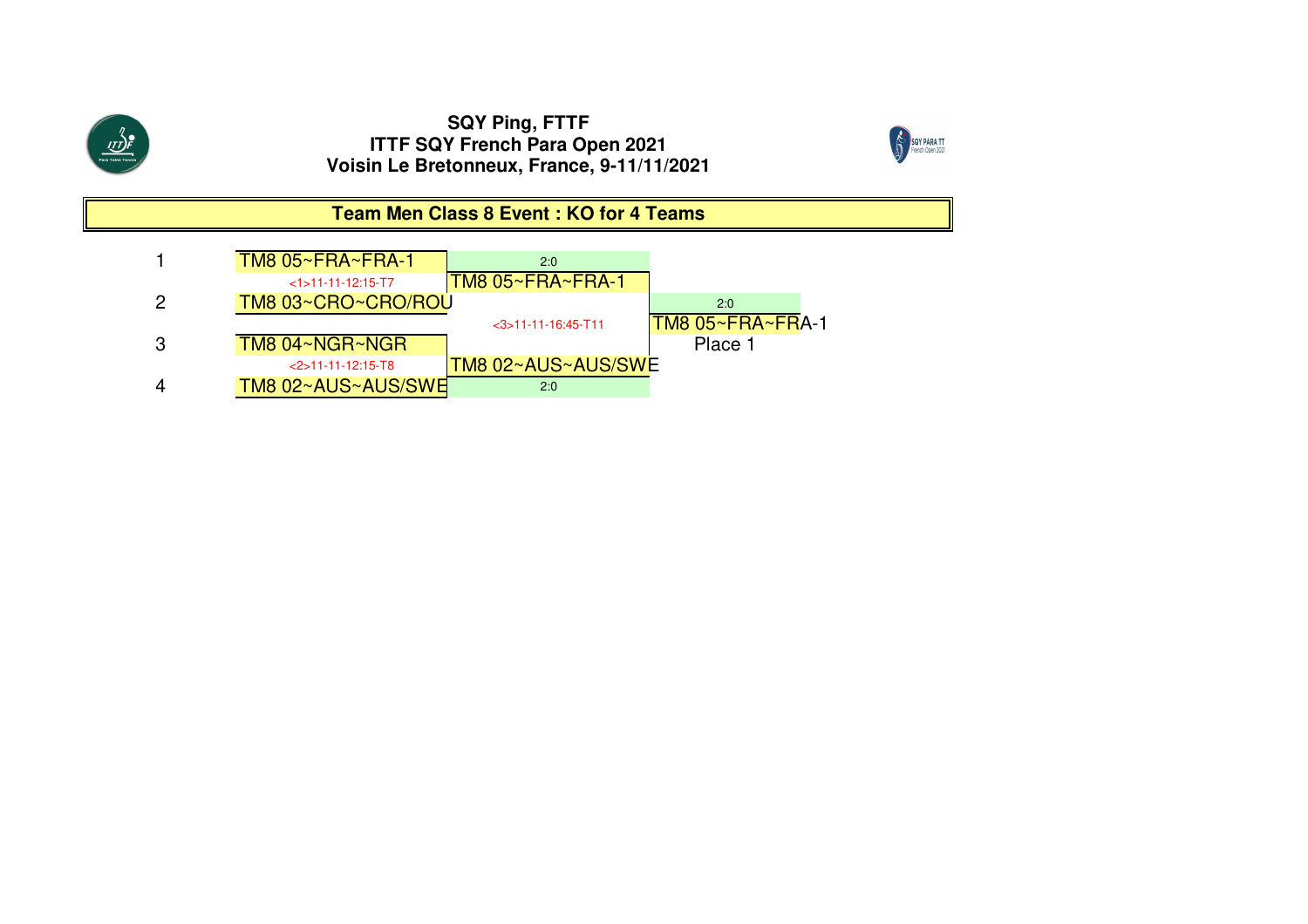



# **Team Men Class 8 Event : KO for 4 Teams**

| <b>TM8 05~FRA~FRA-1</b> | 2:0                   |                   |
|-------------------------|-----------------------|-------------------|
| $<1$ > 11-11-12:15-T7   | TM8 05~FRA~FRA-1      |                   |
| TM8 03~CRO~CRO/ROU      |                       | 2:0               |
|                         | $<$ 3>11-11-16:45-T11 | ITM8 05~FRA~FRA-1 |
| TM8 04~NGR~NGR          |                       | Place 1           |
| $<$ 2>11-11-12:15-T8    | TM8 02~AUS~AUS/SWE    |                   |
| TM8 02~AUS~AUS/SWE      | 2:0                   |                   |
|                         |                       |                   |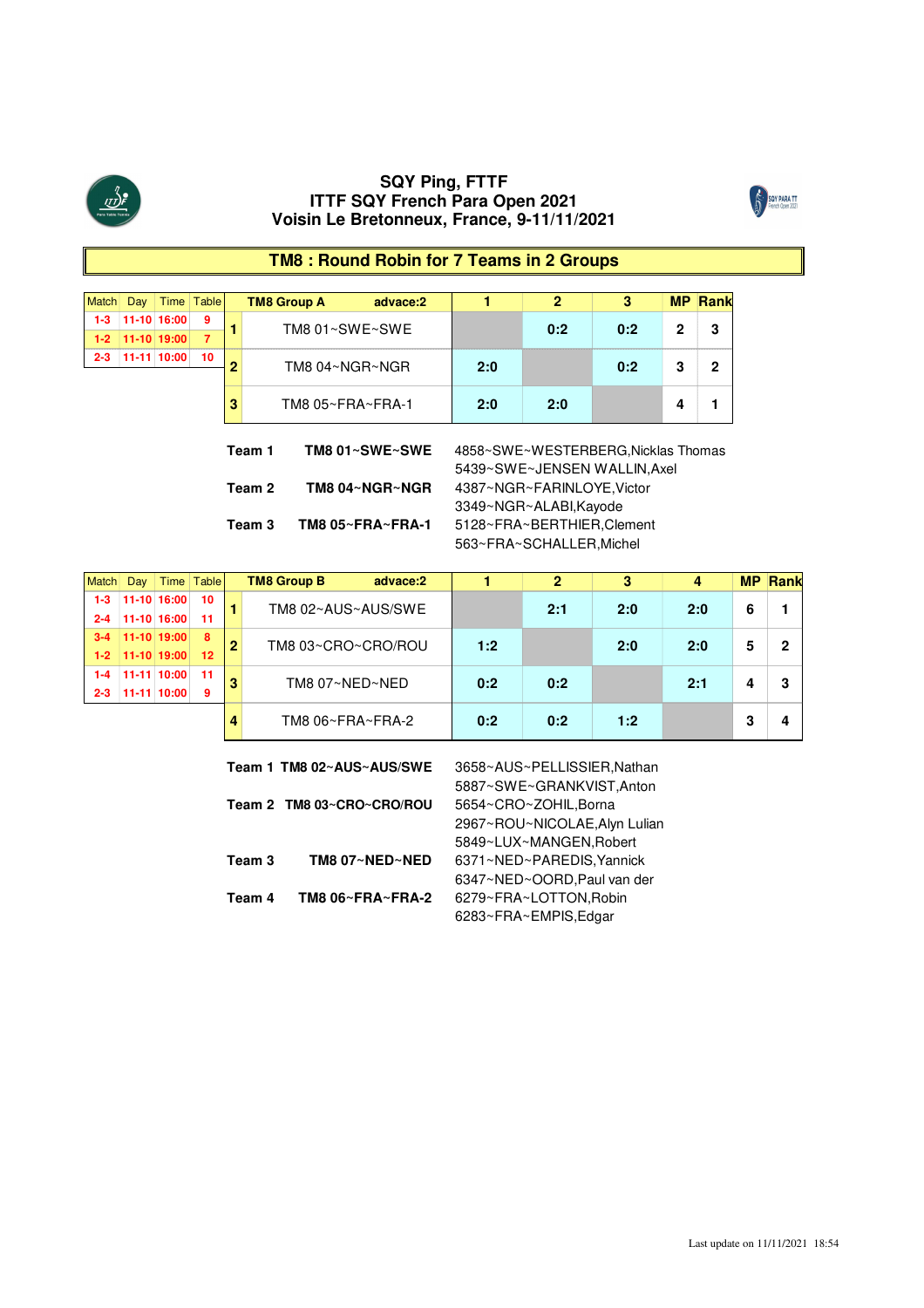



# **TM8 : Round Robin for 7 Teams in 2 Groups**

| <b>Match</b> | Day |               | Time   Table |   | <b>TM8 Group A</b> | advace:2       |                                                                     | 2   | 3   | <b>MP</b> | <b>Rank</b> |
|--------------|-----|---------------|--------------|---|--------------------|----------------|---------------------------------------------------------------------|-----|-----|-----------|-------------|
| $1 - 3$      |     | 11-10 16:00   | 9            |   | TM8 01~SWE~SWE     |                |                                                                     | 0:2 | 0:2 | 2         | 3           |
| $1-2$        |     | $11-10$ 19:00 | 7            |   |                    |                |                                                                     |     |     |           |             |
| $2 - 3$      |     | 11-11 10:00   | 10           | 2 | TM8 04~NGR~NGR     |                | 2:0                                                                 |     | 0:2 | 3         | 2           |
|              |     |               |              |   |                    |                |                                                                     |     |     |           |             |
|              |     |               |              |   | TM8 05~FRA~FRA-1   |                | 2:0                                                                 | 2:0 |     |           |             |
|              |     |               |              |   | Team 1             | TM8 01~SWE~SWE | 4858~SWE~WESTERBERG, Nicklas Thomas<br>5439~SWE~JENSEN WALLIN, Axel |     |     |           |             |
|              |     |               |              |   | Team 2             | TM8 04~NGR~NGR | 4387~NGR~FARINLOYE, Victor                                          |     |     |           |             |

|         | Jav           | Time            | Table | <b>TM8 Group B</b> | advace:2 |     |     |     |     | MP | <b>Rank</b> |
|---------|---------------|-----------------|-------|--------------------|----------|-----|-----|-----|-----|----|-------------|
|         |               | 11-10 16:00     | 10    | TM8 02~AUS~AUS/SWE |          |     | 2:1 | 2:0 | 2:0 |    |             |
| $2 - 4$ | 11-10 16:00   |                 | -11   |                    |          |     |     |     |     |    |             |
|         |               | $11-10$ $19:00$ | 8     | TM8 03~CRO~CRO/ROU |          | 1:2 |     | 2:0 | 2:0 |    |             |
| $1-2$   | $11-10$ 19:00 |                 | 12    |                    |          |     |     |     |     |    |             |
|         |               | 10:00 I         | -11   | TM8 07~NED~NED     |          | 0:2 | 0:2 |     | 2:1 |    |             |
| 2-3     | $11-11$ 10:00 |                 | 9     |                    |          |     |     |     |     |    |             |
|         |               |                 |       | TM8 06~FRA~FRA-2   |          | 0:2 | 0:2 | 1.9 |     |    |             |

**Team 3 TM8 05~FRA~FRA-1** 5128~FRA~BERTHIER,Clement

3349~NGR~ALABI,Kayode

563~FRA~SCHALLER,Michel

|        | Team 1 TM8 02~AUS~AUS/SWE | 3658~AUS~PELLISSIER, Nathan   |
|--------|---------------------------|-------------------------------|
|        |                           | 5887~SWE~GRANKVIST, Anton     |
|        | Team 2 TM8 03~CRO~CRO/ROU | 5654~CRO~ZOHIL, Borna         |
|        |                           | 2967~ROU~NICOLAE, Alyn Lulian |
|        |                           | 5849~LUX~MANGEN.Robert        |
| Team 3 | TM8 07~NED~NED            | 6371~NED~PAREDIS.Yannick      |
|        |                           | 6347~NED~OORD, Paul van der   |
| Team 4 | TM8 06~FRA~FRA-2          | 6279~FRA~LOTTON, Robin        |
|        |                           | 6283~FRA~EMPIS, Edgar         |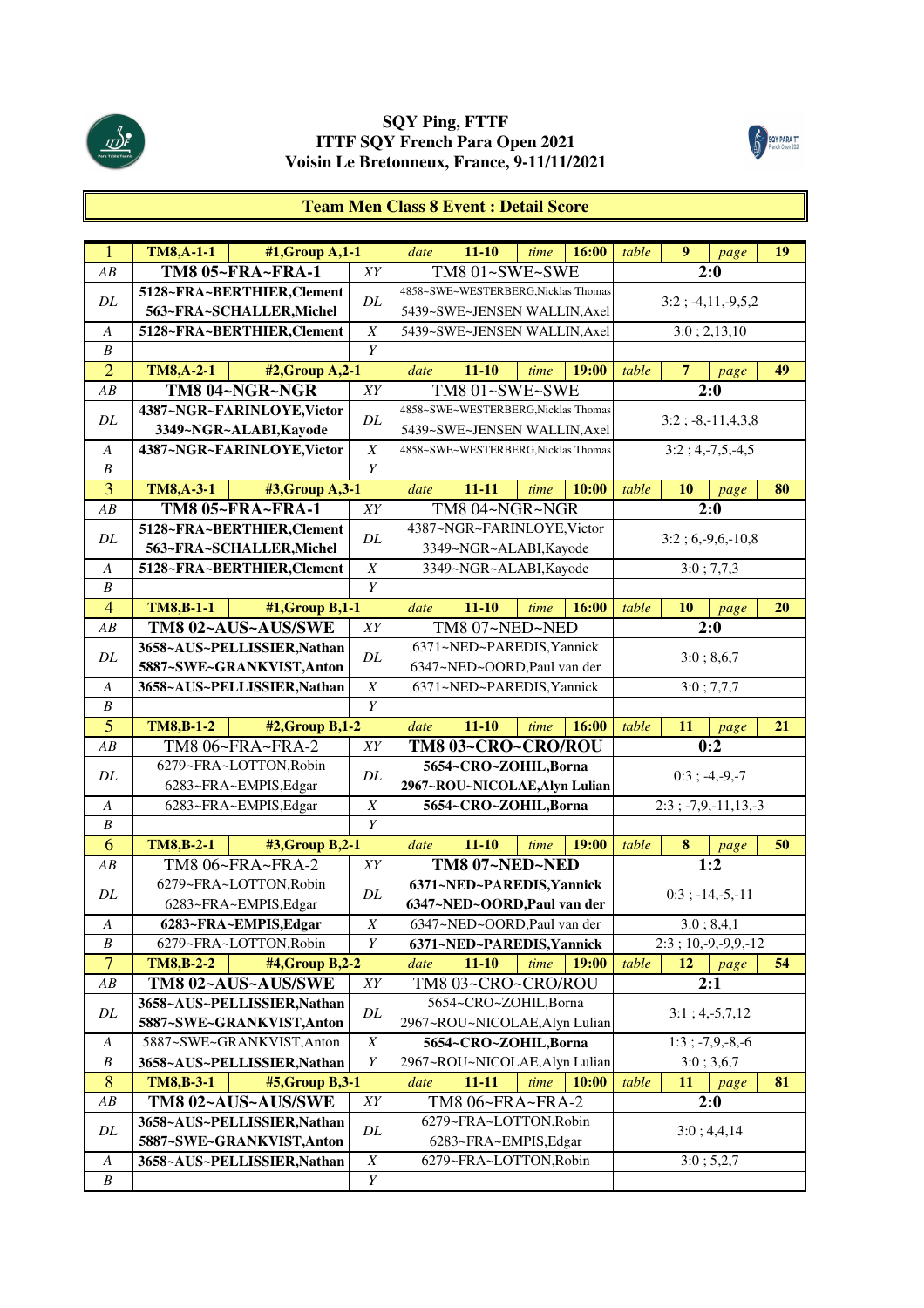



#### **Team Men Class 8 Event : Detail Score**

| $\mathbf{1}$         | <b>TM8,A-1-1</b> | #1, Group A, 1-1                                        |                  | date | $11 - 10$                           | time | 16:00 | table | 9              |                            | 19        |
|----------------------|------------------|---------------------------------------------------------|------------------|------|-------------------------------------|------|-------|-------|----------------|----------------------------|-----------|
| AB                   |                  | TM8 05~FRA~FRA-1                                        | XY               |      | TM8 01~SWE~SWE                      |      |       |       |                | page<br>2:0                |           |
|                      |                  | 5128~FRA~BERTHIER, Clement                              |                  |      | 4858~SWE~WESTERBERG, Nicklas Thomas |      |       |       |                |                            |           |
| DL                   |                  | 563~FRA~SCHALLER, Michel                                | DL               |      | 5439~SWE~JENSEN WALLIN, Axel        |      |       |       |                | $3:2$ ; -4,11,-9,5,2       |           |
| A                    |                  | 5128~FRA~BERTHIER, Clement                              | $\boldsymbol{X}$ |      | 5439~SWE~JENSEN WALLIN, Axel        |      |       |       |                | 3:0; 2,13,10               |           |
| $\boldsymbol{B}$     |                  |                                                         | Y                |      |                                     |      |       |       |                |                            |           |
| $\overline{2}$       | <b>TM8,A-2-1</b> | #2, Group A, 2-1                                        |                  | date | $11 - 10$                           | time | 19:00 | table | $\overline{7}$ | page                       | 49        |
| AB                   |                  | TM8 04~NGR~NGR                                          | XY               |      | TM8 01~SWE~SWE                      |      |       |       |                | 2:0                        |           |
|                      |                  | 4387~NGR~FARINLOYE, Victor                              |                  |      | 4858~SWE~WESTERBERG, Nicklas Thomas |      |       |       |                |                            |           |
| DL                   |                  | 3349~NGR~ALABI, Kayode                                  | DL               |      | 5439~SWE~JENSEN WALLIN, Axel        |      |       |       |                | $3:2$ ; $-8$ , $-11,4,3,8$ |           |
| A                    |                  | 4387~NGR~FARINLOYE, Victor                              | $\boldsymbol{X}$ |      | 4858~SWE~WESTERBERG, Nicklas Thomas |      |       |       |                | $3:2; 4,-7,5,-4,5$         |           |
| B                    |                  |                                                         | Y                |      |                                     |      |       |       |                |                            |           |
| 3                    | <b>TM8,A-3-1</b> | #3, Group A, 3-1                                        |                  | date | $11 - 11$                           | time | 10:00 | table | 10             | page                       | 80        |
| AB                   |                  | TM8 05~FRA~FRA-1                                        | XY               |      | TM8 04~NGR~NGR                      |      |       |       |                | 2:0                        |           |
|                      |                  | 5128~FRA~BERTHIER,Clement                               |                  |      | 4387~NGR~FARINLOYE, Victor          |      |       |       |                |                            |           |
| DL                   |                  | 563~FRA~SCHALLER, Michel                                | DL               |      | 3349~NGR~ALABI, Kayode              |      |       |       |                | $3:2; 6,-9,6,-10,8$        |           |
| $\boldsymbol{A}$     |                  | 5128~FRA~BERTHIER,Clement                               | $\boldsymbol{X}$ |      | 3349~NGR~ALABI, Kayode              |      |       |       |                | 3:0; 7,7,3                 |           |
| $\boldsymbol{B}$     |                  |                                                         | $\overline{Y}$   |      |                                     |      |       |       |                |                            |           |
| $\overline{4}$       | <b>TM8,B-1-1</b> | #1, Group B, 1-1                                        |                  | date | $11 - 10$                           | time | 16:00 | table | <b>10</b>      | page                       | <b>20</b> |
| AB                   |                  | TM8 02~AUS~AUS/SWE                                      | XY               |      | TM8 07~NED~NED                      |      |       |       |                | 2:0                        |           |
|                      |                  | 3658~AUS~PELLISSIER, Nathan                             |                  |      | 6371~NED~PAREDIS, Yannick           |      |       |       |                |                            |           |
| DL                   |                  | 5887~SWE~GRANKVIST,Anton                                | $\cal DL$        |      | 6347~NED~OORD,Paul van der          |      |       |       |                | 3:0; 8,6,7                 |           |
| $\boldsymbol{A}$     |                  | 3658~AUS~PELLISSIER, Nathan                             | $\boldsymbol{X}$ |      | 6371~NED~PAREDIS, Yannick           |      |       |       |                | 3:0; 7,7,7                 |           |
| $\boldsymbol{B}$     |                  |                                                         | $\overline{Y}$   |      |                                     |      |       |       |                |                            |           |
|                      |                  |                                                         |                  |      |                                     |      |       |       |                |                            |           |
|                      |                  |                                                         |                  | date |                                     | time |       | table |                |                            |           |
| $\overline{5}$<br>AB | <b>TM8,B-1-2</b> | #2, Group B, 1-2                                        | XY               |      | $11 - 10$                           |      | 16:00 |       | 11             | page                       | 21        |
|                      |                  | TM8 06~FRA~FRA-2                                        |                  |      | TM8 03~CRO~CRO/ROU                  |      |       |       |                | 0:2                        |           |
| DL                   |                  | 6279~FRA~LOTTON, Robin<br>6283~FRA~EMPIS, Edgar         | $\cal DL$        |      | 5654~CRO~ZOHIL, Borna               |      |       |       |                | $0:3; -4,-9,-7$            |           |
| A                    |                  |                                                         | $\boldsymbol{X}$ |      | 2967~ROU~NICOLAE, Alyn Lulian       |      |       |       |                |                            |           |
| $\boldsymbol{B}$     |                  | 6283~FRA~EMPIS, Edgar                                   | Y                |      | 5654~CRO~ZOHIL, Borna               |      |       |       |                | $2:3$ ; -7,9,-11,13,-3     |           |
| 6                    | <b>TM8,B-2-1</b> |                                                         |                  | date | $11 - 10$                           | time | 19:00 | table | 8              |                            | 50        |
| AB                   |                  | #3, Group B, 2-1<br>TM8 06~FRA~FRA-2                    | XY               |      | TM8 07~NED~NED                      |      |       |       |                | page<br>1:2                |           |
|                      |                  | 6279~FRA~LOTTON, Robin                                  |                  |      | 6371~NED~PAREDIS, Yannick           |      |       |       |                |                            |           |
| DL                   |                  | 6283~FRA~EMPIS, Edgar                                   | DL               |      | 6347~NED~OORD, Paul van der         |      |       |       |                | $0:3$ ; $-14, -5, -11$     |           |
| $\boldsymbol{A}$     |                  | 6283~FRA~EMPIS, Edgar                                   | X                |      | 6347~NED~OORD, Paul van der         |      |       |       |                | 3:0; 8,4,1                 |           |
| B                    |                  | 6279~FRA~LOTTON, Robin                                  | Y                |      | 6371~NED~PAREDIS, Yannick           |      |       |       |                | $2:3$ ; 10, -9, -9, 9, -12 |           |
| $\overline{7}$       | <b>TM8,B-2-2</b> | #4, Group B, 2-2                                        |                  | date | $11 - 10$                           | time | 19:00 | table | 12             | page                       | 54        |
| ${\cal AB}$          |                  |                                                         | ${\cal XY}$      |      | TM8 03~CRO~CRO/ROU                  |      |       |       |                | 2:1                        |           |
|                      |                  | TM8 02~AUS~AUS/SWE                                      |                  |      | 5654~CRO~ZOHIL, Borna               |      |       |       |                |                            |           |
| DL                   |                  | 3658~AUS~PELLISSIER, Nathan<br>5887~SWE~GRANKVIST,Anton | DL               |      | 2967~ROU~NICOLAE, Alyn Lulian       |      |       |       |                | $3:1; 4,-5,7,12$           |           |
| A                    |                  | 5887~SWE~GRANKVIST,Anton                                | $\overline{X}$   |      | 5654~CRO~ZOHIL, Borna               |      |       |       |                | $1:3; -7,9,-8,-6$          |           |
| B                    |                  | 3658~AUS~PELLISSIER, Nathan                             | Y                |      | 2967~ROU~NICOLAE, Alyn Lulian       |      |       |       |                | 3:0; 3,6,7                 |           |
| 8                    | <b>TM8,B-3-1</b> | #5, Group B, 3-1                                        |                  | date | $11 - 11$                           | time | 10:00 | table | 11             | page                       | 81        |
| $\overline{AB}$      |                  | TM8 02~AUS~AUS/SWE                                      | XY               |      | TM8 06~FRA~FRA-2                    |      |       |       |                | 2:0                        |           |
|                      |                  | 3658~AUS~PELLISSIER, Nathan                             |                  |      | 6279~FRA~LOTTON, Robin              |      |       |       |                |                            |           |
| $\cal DL$            |                  | 5887~SWE~GRANKVIST, Anton                               | ${\cal DL}$      |      | 6283~FRA~EMPIS, Edgar               |      |       |       |                | 3:0; 4,4,14                |           |
| $\boldsymbol{A}$     |                  | 3658~AUS~PELLISSIER, Nathan                             | $\boldsymbol{X}$ |      | 6279~FRA~LOTTON, Robin              |      |       |       |                | 3:0; 5,2,7                 |           |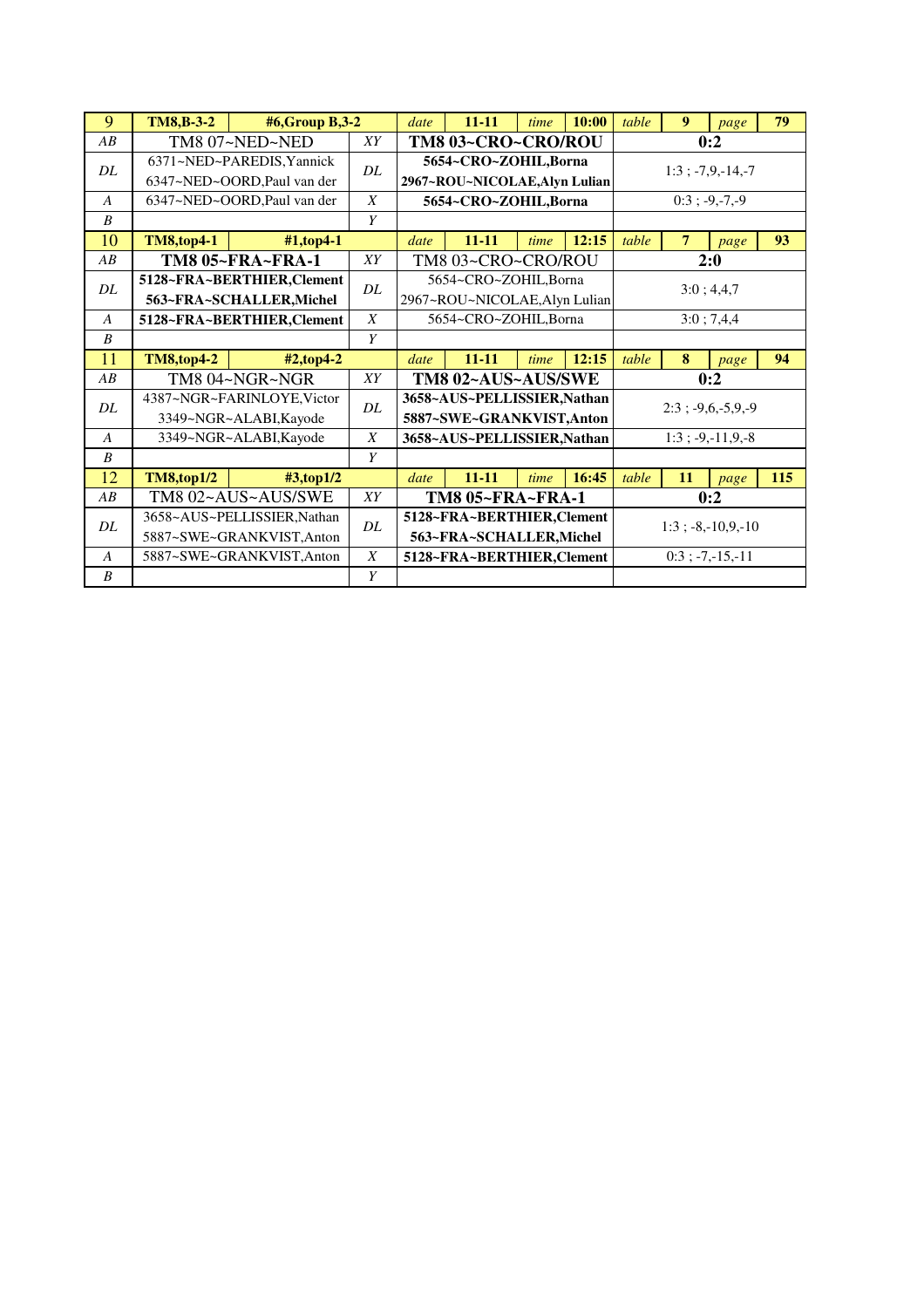| 9                | <b>TM8,B-3-2</b>  | #6,Group B,3-2                                           |                  | date | $11 - 11$                                                | time | 10:00 | table | 9              | page                   | 79  |  |
|------------------|-------------------|----------------------------------------------------------|------------------|------|----------------------------------------------------------|------|-------|-------|----------------|------------------------|-----|--|
| AB               |                   | TM8 07~NED~NED                                           | XY               |      | TM8 03~CRO~CRO/ROU                                       |      |       |       |                | 0:2                    |     |  |
| DL               |                   | 6371~NED~PAREDIS, Yannick<br>6347~NED~OORD, Paul van der | DL.              |      | 5654~CRO~ZOHIL, Borna<br>2967~ROU~NICOLAE, Alyn Lulian   |      |       |       |                | $1:3$ ; $-7,9,-14,-7$  |     |  |
| A                |                   | 6347~NED~OORD, Paul van der                              | $\boldsymbol{X}$ |      | 5654~CRO~ZOHIL, Borna                                    |      |       |       |                | $0:3; -9,-7,-9$        |     |  |
| $\boldsymbol{B}$ |                   |                                                          | Y                |      |                                                          |      |       |       |                |                        |     |  |
| 10               | <b>TM8,top4-1</b> | #1,top4-1                                                |                  | date | $11 - 11$                                                | time | 12:15 | table | $\overline{7}$ | page                   | 93  |  |
| AB               |                   | <b>TM8 05~FRA~FRA-1</b>                                  | XY               |      | TM8 03~CRO~CRO/ROU                                       |      |       |       |                | 2:0                    |     |  |
| DL               |                   | 5128~FRA~BERTHIER, Clement                               | DL               |      | 5654~CRO~ZOHIL,Borna                                     |      |       |       |                | 3:0; 4,4,7             |     |  |
|                  |                   | 563~FRA~SCHALLER, Michel                                 |                  |      | 2967~ROU~NICOLAE, Alyn Lulian                            |      |       |       |                |                        |     |  |
| $\overline{A}$   |                   | 5128~FRA~BERTHIER, Clement                               | $\boldsymbol{X}$ |      | 5654~CRO~ZOHIL, Borna                                    |      |       |       |                | 3:0; 7,4,4             |     |  |
| $\boldsymbol{B}$ |                   |                                                          | Y                |      |                                                          |      |       |       |                |                        |     |  |
| 11               | <b>TM8,top4-2</b> | $#2$ , top 4-2                                           |                  | date | $11 - 11$                                                | time | 12:15 | table | 8              | page                   | 94  |  |
| AB               |                   | TM8 04~NGR~NGR                                           | XY               |      | TM8 02~AUS~AUS/SWE                                       |      |       |       |                | 0:2                    |     |  |
|                  |                   |                                                          |                  |      |                                                          |      |       |       |                |                        |     |  |
| DL               |                   | 4387~NGR~FARINLOYE, Victor<br>3349~NGR~ALABI, Kayode     | DL               |      | 3658~AUS~PELLISSIER, Nathan<br>5887~SWE~GRANKVIST, Anton |      |       |       |                | $2:3$ ; $-9,6,-5,9,-9$ |     |  |
| $\overline{A}$   |                   | 3349~NGR~ALABI, Kayode                                   | $\boldsymbol{X}$ |      | 3658~AUS~PELLISSIER, Nathan                              |      |       |       |                | $1:3$ ; -9,-11,9,-8    |     |  |
| B                |                   |                                                          | Y                |      |                                                          |      |       |       |                |                        |     |  |
| 12               | <b>TM8,top1/2</b> | $\#3$ ,top1/2                                            |                  | date | $11 - 11$                                                | time | 16:45 | table | 11             | page                   | 115 |  |
| AB               |                   | TM8 02~AUS~AUS/SWE                                       | XY               |      | TM8 05~FRA~FRA-1                                         |      |       |       |                | 0:2                    |     |  |
|                  |                   | 3658~AUS~PELLISSIER, Nathan                              |                  |      | 5128~FRA~BERTHIER, Clement                               |      |       |       |                |                        |     |  |
| DL               |                   | 5887~SWE~GRANKVIST, Anton                                | DL               |      | 563~FRA~SCHALLER, Michel                                 |      |       |       |                | $1:3$ ; -8,-10,9,-10   |     |  |
| $\boldsymbol{A}$ |                   | 5887~SWE~GRANKVIST, Anton                                | $\boldsymbol{X}$ |      | 5128~FRA~BERTHIER, Clement                               |      |       |       |                | $0:3; -7,-15,-11$      |     |  |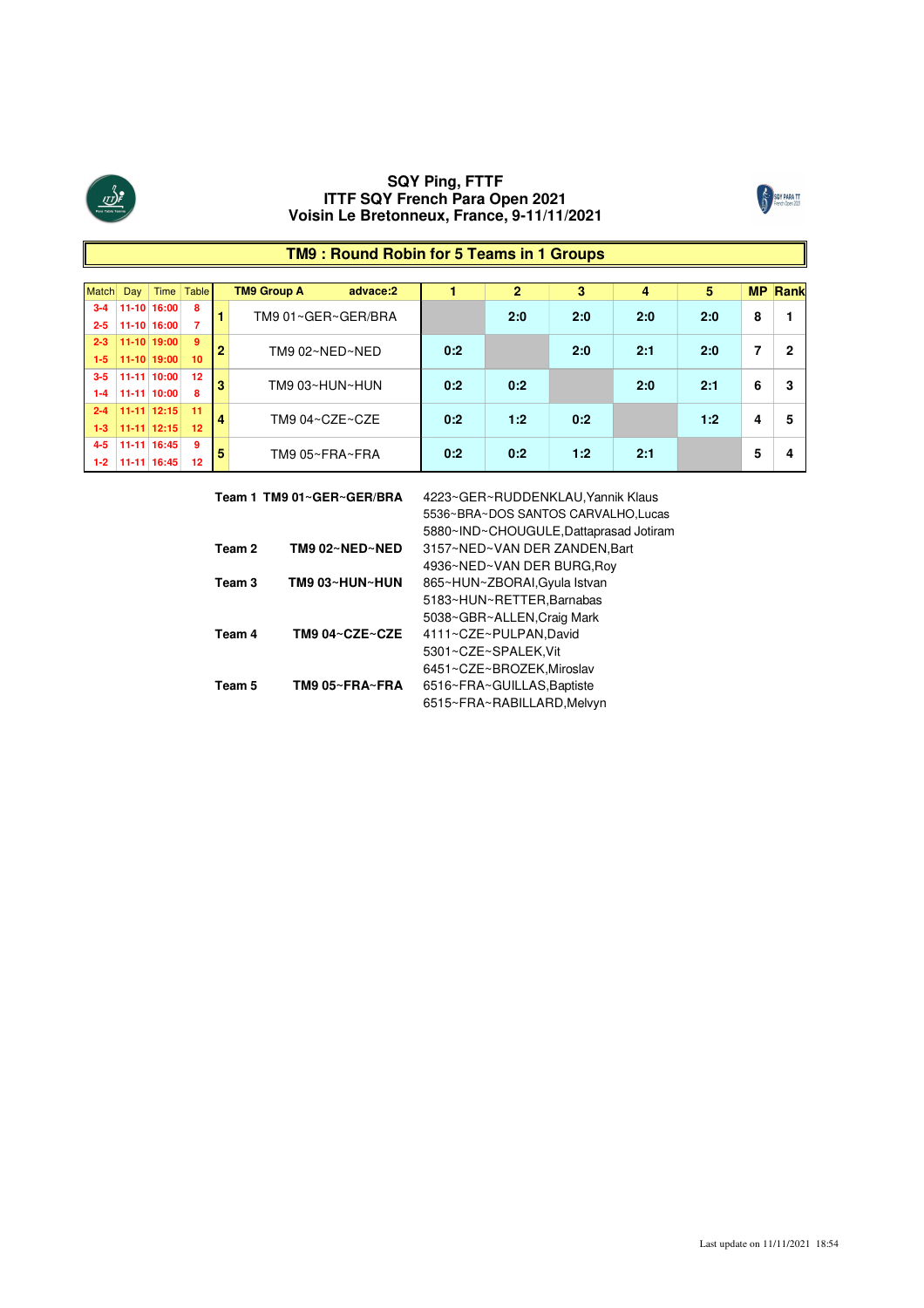



#### **16:00 7 2-5 11-10 3-4 11-10 16:00 8** Match Day Time Table **2-3 11-10 19:00 9 1-5 11-10 19:00 10 1-4 11-11 10:00 8 3-5 11-11 10:00 12 1-3 11-11 12:15 12 2-4 11-11 12:15 11 1-2 11-11 16:45 12 4-5 11-11 16:45 9 0:2 2:0 TM9 Group A advace:2 1 2 3** TM9 02~NED~NED TM9 03~HUN~HUN **3 0:2 0:2 5 MP Rank 1 4** TM9 01~GER~GER/BRA **2:0 8** TM9 04~CZE~CZE **0:2 2:0 4 5** TM9 05~FRA~FRA **0:2 2 1:2 0:2 1:2 2:0 2:1 2:0 7 6 4 2:0 2:0 2:1 1:2 1 2 3 5 4 5 0:2 2:1 TM9 : Round Robin for 5 Teams in 1 Groups**

|        | Team 1  TM9 01∼GER∼GER/BRA | 4223~GER~RUDDENKLAU, Yannik Klaus      |
|--------|----------------------------|----------------------------------------|
|        |                            | 5536~BRA~DOS SANTOS CARVALHO, Lucas    |
|        |                            | 5880~IND~CHOUGULE, Dattaprasad Jotiram |
| Team 2 | TM9 02~NED~NED             | 3157~NED~VAN DER ZANDEN, Bart          |
|        |                            | 4936~NED~VAN DER BURG, Roy             |
| Team 3 | TM9 03~HUN~HUN             | 865~HUN~ZBORAI, Gyula Istvan           |
|        |                            | 5183~HUN~RETTER, Barnabas              |
|        |                            | 5038~GBR~ALLEN, Craig Mark             |
| Team 4 | TM9 04~CZE~CZE             | 4111~CZE~PULPAN,David                  |
|        |                            | 5301~CZE~SPALEK.Vit                    |
|        |                            | 6451~CZE~BROZEK, Miroslav              |
| Team 5 | TM9 05~FRA~FRA             | 6516~FRA~GUILLAS, Baptiste             |
|        |                            | 6515~FRA~RABILLARD, Melvyn             |
|        |                            |                                        |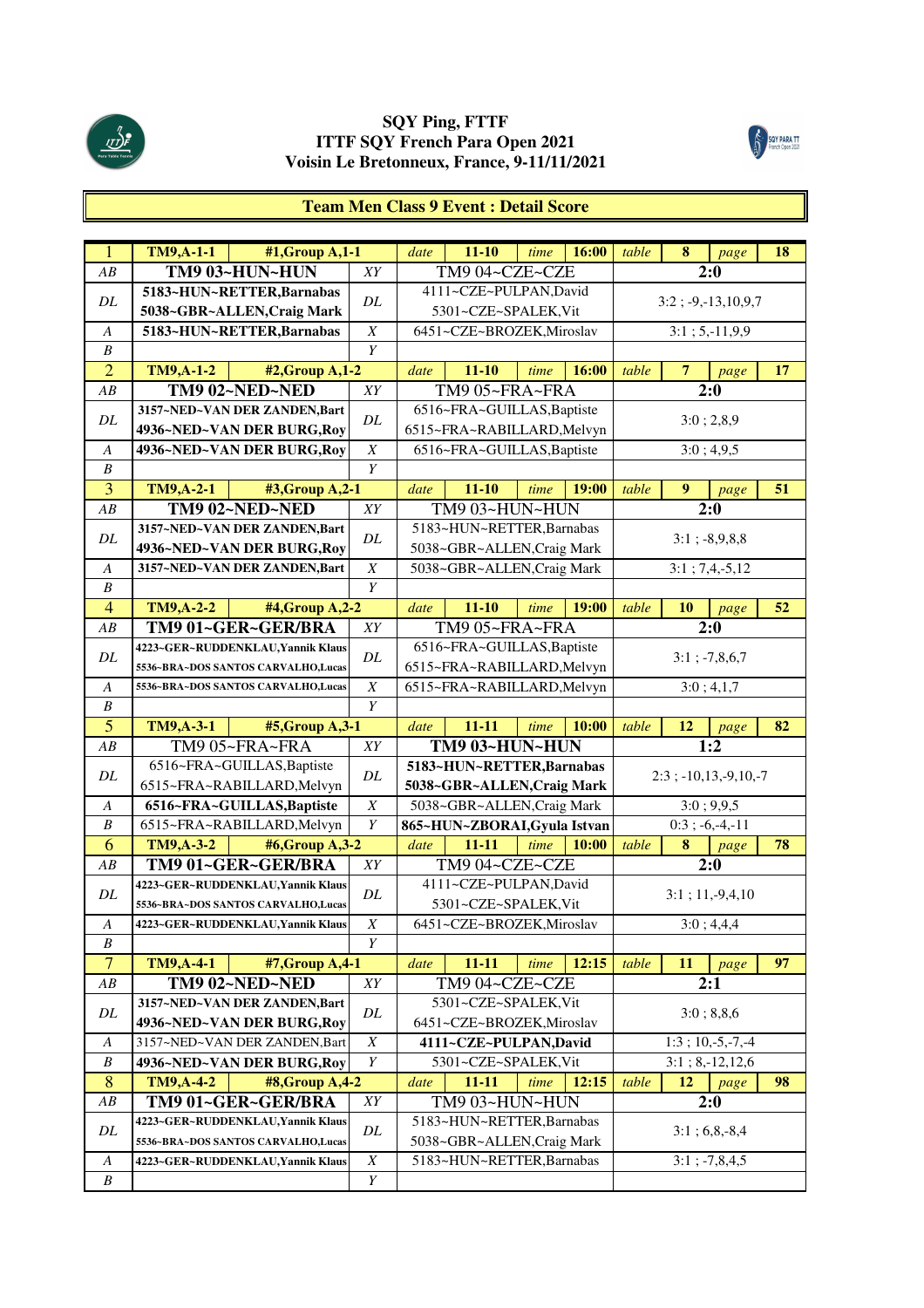



#### **Team Men Class 9 Event : Detail Score**

| $\mathbf{1}$     | <b>TM9, A-1-1</b> | #1, Group A, 1-1                    |                  | date | $11 - 10$                    | time | 16:00 | table | 8              | page                      | 18 |
|------------------|-------------------|-------------------------------------|------------------|------|------------------------------|------|-------|-------|----------------|---------------------------|----|
| AB               |                   | TM9 03~HUN~HUN                      | XY               |      | TM9 04~CZE~CZE               |      |       |       |                | 2:0                       |    |
|                  |                   | 5183~HUN~RETTER, Barnabas           |                  |      | 4111~CZE~PULPAN,David        |      |       |       |                |                           |    |
| $\cal DL$        |                   | 5038~GBR~ALLEN, Craig Mark          | DL               |      | 5301~CZE~SPALEK, Vit         |      |       |       |                | $3:2$ ; -9,-13,10,9,7     |    |
| $\boldsymbol{A}$ |                   | 5183~HUN~RETTER, Barnabas           | $\boldsymbol{X}$ |      | 6451~CZE~BROZEK, Miroslav    |      |       |       |                | $3:1; 5,-11,9,9$          |    |
| $\boldsymbol{B}$ |                   |                                     | $\overline{Y}$   |      |                              |      |       |       |                |                           |    |
| $\overline{2}$   | <b>TM9, A-1-2</b> | #2, Group A, 1-2                    |                  | date | $11 - 10$                    | time | 16:00 | table | $\overline{7}$ | page                      | 17 |
| AB               |                   | TM9 02~NED~NED                      | XY               |      | TM9 05~FRA~FRA               |      |       |       |                | 2:0                       |    |
|                  |                   | 3157~NED~VAN DER ZANDEN, Bart       |                  |      | 6516~FRA~GUILLAS, Baptiste   |      |       |       |                |                           |    |
| DL               |                   | 4936~NED~VAN DER BURG, Roy          | DL               |      | 6515~FRA~RABILLARD, Melvyn   |      |       |       |                | 3:0; 2,8,9                |    |
| A                |                   | 4936~NED~VAN DER BURG, Roy          | $\overline{X}$   |      | 6516~FRA~GUILLAS, Baptiste   |      |       |       |                | 3:0; 4,9,5                |    |
| B                |                   |                                     | Y                |      |                              |      |       |       |                |                           |    |
| 3                | <b>TM9, A-2-1</b> | #3, Group A, 2-1                    |                  | date | $11 - 10$                    | time | 19:00 | table | 9              | page                      | 51 |
| AB               |                   | TM9 02~NED~NED                      | XY               |      | TM9 03~HUN~HUN               |      |       |       |                | 2:0                       |    |
|                  |                   | 3157~NED~VAN DER ZANDEN, Bart       |                  |      | 5183~HUN~RETTER, Barnabas    |      |       |       |                |                           |    |
| DL               |                   | 4936~NED~VAN DER BURG, Roy          | DL               |      | 5038~GBR~ALLEN, Craig Mark   |      |       |       |                | $3:1$ ; $-8,9,8,8$        |    |
| A                |                   | 3157~NED~VAN DER ZANDEN, Bart       | $\boldsymbol{X}$ |      | 5038~GBR~ALLEN, Craig Mark   |      |       |       |                | $3:1; 7,4,-5,12$          |    |
| $\boldsymbol{B}$ |                   |                                     | $\overline{Y}$   |      |                              |      |       |       |                |                           |    |
| $\overline{4}$   | <b>TM9, A-2-2</b> | #4, Group A, 2-2                    |                  | date | $11 - 10$                    | time | 19:00 | table | <b>10</b>      | page                      | 52 |
| AB               |                   | TM9 01~GER~GER/BRA                  | XY               |      | TM9 05~FRA~FRA               |      |       |       |                | 2:0                       |    |
|                  |                   | 4223~GER~RUDDENKLAU, Yannik Klaus   |                  |      | 6516~FRA~GUILLAS, Baptiste   |      |       |       |                |                           |    |
| $\cal DL$        |                   | 5536~BRA~DOS SANTOS CARVALHO,Lucas  | $\cal DL$        |      | 6515~FRA~RABILLARD, Melvyn   |      |       |       |                | $3:1$ ; $-7,8,6,7$        |    |
| $\boldsymbol{A}$ |                   | 5536~BRA~DOS SANTOS CARVALHO,Lucas  | $\boldsymbol{X}$ |      | 6515~FRA~RABILLARD, Melvyn   |      |       |       |                | 3:0; 4,1,7                |    |
| $\boldsymbol{B}$ |                   |                                     | $\overline{Y}$   |      |                              |      |       |       |                |                           |    |
| $\overline{5}$   |                   |                                     |                  |      |                              |      |       |       |                |                           |    |
|                  | <b>TM9,A-3-1</b>  | #5, Group A, 3-1                    |                  | date | $11 - 11$                    | time | 10:00 | table | 12             | page                      | 82 |
| AB               |                   | TM9 05~FRA~FRA                      | XY               |      | TM9 03~HUN~HUN               |      |       |       |                | 1:2                       |    |
|                  |                   | 6516~FRA~GUILLAS, Baptiste          |                  |      | 5183~HUN~RETTER, Barnabas    |      |       |       |                |                           |    |
| DL               |                   | 6515~FRA~RABILLARD, Melvyn          | DL               |      | 5038~GBR~ALLEN, Craig Mark   |      |       |       |                | $2:3$ ; $-10,13,-9,10,-7$ |    |
| A                |                   | 6516~FRA~GUILLAS, Baptiste          | $\boldsymbol{X}$ |      | 5038~GBR~ALLEN, Craig Mark   |      |       |       |                | 3:0; 9,9,5                |    |
| B                |                   | 6515~FRA~RABILLARD, Melvyn          | Y                |      | 865~HUN~ZBORAI, Gyula Istvan |      |       |       |                | $0:3; -6,-4,-11$          |    |
| 6                | TM9, A-3-2        | #6,Group A,3-2                      |                  | date | $11 - 11$                    | time | 10:00 | table | 8              | page                      | 78 |
| ${\cal AB}$      |                   | TM9 01~GER~GER/BRA                  | XY               |      | TM9 04~CZE~CZE               |      |       |       |                | $\overline{2:0}$          |    |
|                  |                   | 4223~GER~RUDDENKLAU, Yannik Klaus   |                  |      | 4111~CZE~PULPAN,David        |      |       |       |                |                           |    |
| DL               |                   | 5536~BRA~DOS SANTOS CARVALHO,Lucas  | DL               |      | 5301~CZE~SPALEK, Vit         |      |       |       |                | $3:1; 11,-9,4,10$         |    |
| $\boldsymbol{A}$ |                   | 4223~GER~RUDDENKLAU, Yannik Klaus   | $\boldsymbol{X}$ |      | 6451~CZE~BROZEK, Miroslav    |      |       |       |                | 3:0;4,4,4                 |    |
| B                |                   |                                     | Y                |      |                              |      |       |       |                |                           |    |
| $\overline{7}$   | <b>TM9, A-4-1</b> | #7, Group A, 4-1                    |                  | date | 11-11                        | time | 12:15 | table | 11             | page                      | 97 |
| AB               |                   | TM9 02~NED~NED                      | ${\cal XY}$      |      | TM9 04~CZE~CZE               |      |       |       |                | 2:1                       |    |
|                  |                   | 3157~NED~VAN DER ZANDEN, Bart       |                  |      | 5301~CZE~SPALEK, Vit         |      |       |       |                |                           |    |
| DL               |                   | 4936~NED~VAN DER BURG, Roy          | DL               |      | 6451~CZE~BROZEK, Miroslav    |      |       |       |                | 3:0; 8,8,6                |    |
| A                |                   | 3157~NED~VAN DER ZANDEN, Bart       | $\boldsymbol{X}$ |      | 4111~CZE~PULPAN,David        |      |       |       |                | $1:3; 10,-5,-7,-4$        |    |
| B                |                   | 4936~NED~VAN DER BURG, Roy          | Y                |      | 5301~CZE~SPALEK, Vit         |      |       |       |                | $3:1; 8,-12,12,6$         |    |
| 8                | TM9, A-4-2        | #8, Group A, 4-2                    |                  | date | $11 - 11$                    | time | 12:15 | table | 12             | page                      | 98 |
| AB               |                   | TM9 01~GER~GER/BRA                  | XY               |      | TM9 03~HUN~HUN               |      |       |       |                | 2:0                       |    |
|                  |                   | 4223~GER~RUDDENKLAU, Yannik Klaus   |                  |      | 5183~HUN~RETTER, Barnabas    |      |       |       |                |                           |    |
| DL               |                   | 5536~BRA~DOS SANTOS CARVALHO, Lucas | DL               |      | 5038~GBR~ALLEN, Craig Mark   |      |       |       |                | $3:1;6,8,-8,4$            |    |
| A                |                   | 4223~GER~RUDDENKLAU, Yannik Klaus   | $\boldsymbol{X}$ |      | 5183~HUN~RETTER, Barnabas    |      |       |       |                | $3:1$ ; $-7,8,4,5$        |    |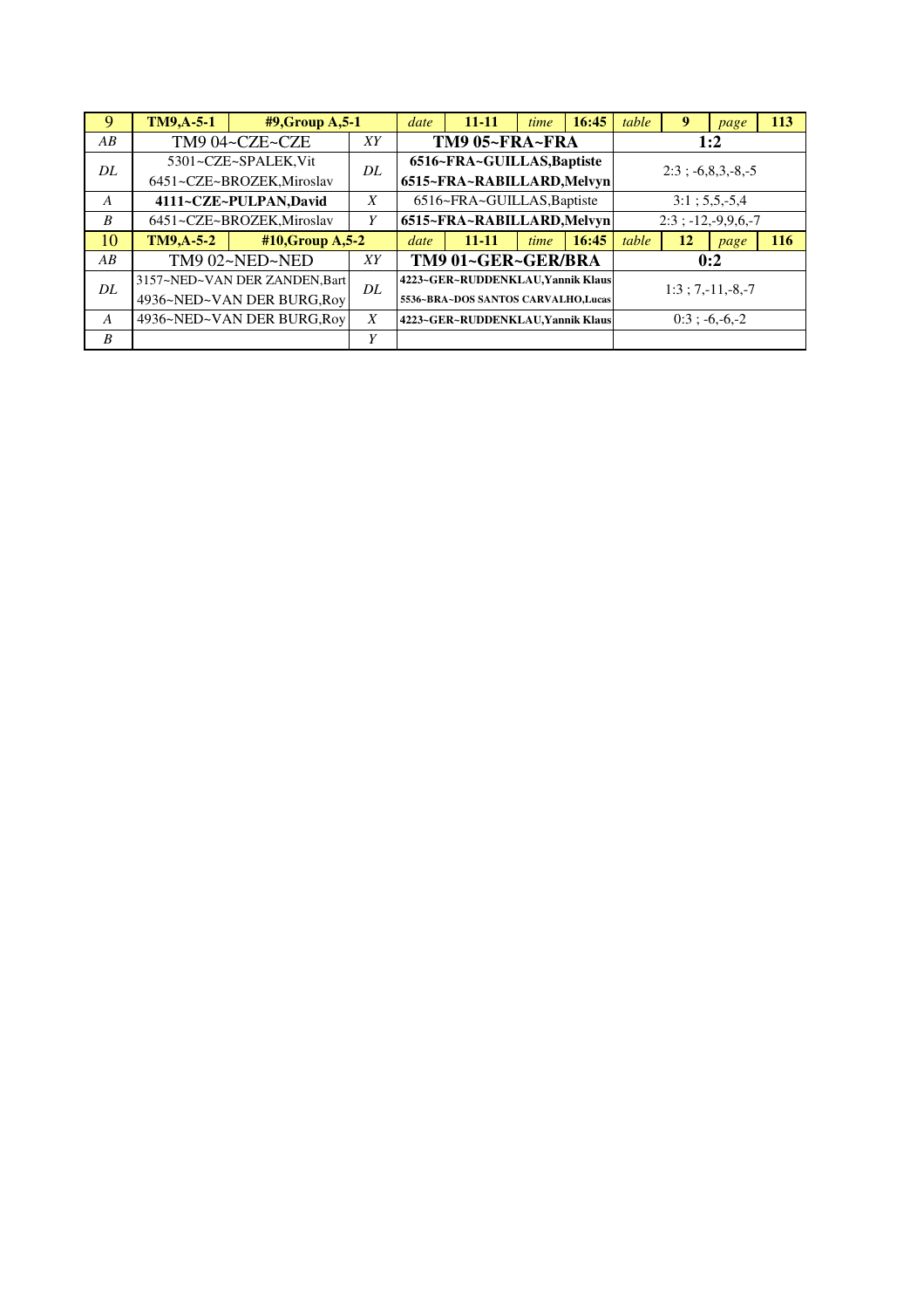| 9                | <b>TM9,A-5-1</b> | $#9$ , Group A, 5-1           |    | date | $11 - 11$                           | time | 16:45 | table | 9  | page                        | 113 |
|------------------|------------------|-------------------------------|----|------|-------------------------------------|------|-------|-------|----|-----------------------------|-----|
| AB               |                  | TM9 04~CZE~CZE                | XY |      | TM9 05~FRA~FRA                      |      |       |       |    | 1:2                         |     |
| DL               |                  | 5301~CZE~SPALEK, Vit          | DL |      | 6516~FRA~GUILLAS, Baptiste          |      |       |       |    | $2:3$ ; $-6,8,3,-8,-5$      |     |
|                  |                  | 6451~CZE~BROZEK, Miroslav     |    |      | 6515~FRA~RABILLARD, Melvyn          |      |       |       |    |                             |     |
| $\boldsymbol{A}$ |                  | 4111~CZE~PULPAN,David         | X  |      | 6516~FRA~GUILLAS, Baptiste          |      |       |       |    | $3:1; 5,5,-5,4$             |     |
| B                |                  | 6451~CZE~BROZEK, Miroslav     | Y  |      | 6515~FRA~RABILLARD, Melvyn          |      |       |       |    | $2:3$ ; $-12, -9, 9, 6, -7$ |     |
| 10               | $TM9,A-5-2$      | #10, Group A, 5-2             |    | date | $11 - 11$                           | time | 16:45 | table | 12 | page                        | 116 |
| AB               |                  | TM9 02~NED~NED                | XY |      | TM9 01~GER~GER/BRA                  |      |       |       |    | 0:2                         |     |
| DL               |                  | 3157~NED~VAN DER ZANDEN, Bart | DL |      | 4223~GER~RUDDENKLAU, Yannik Klaus   |      |       |       |    | $1:3; 7,-11,-8,-7$          |     |
|                  |                  | 4936~NED~VAN DER BURG, Roy    |    |      | 5536~BRA~DOS SANTOS CARVALHO, Lucas |      |       |       |    |                             |     |
| A                |                  | 4936~NED~VAN DER BURG, Roy    | X  |      | 4223~GER~RUDDENKLAU, Yannik Klaus   |      |       |       |    | $0:3$ ; -6,-6,-2            |     |
| B                |                  |                               | Y  |      |                                     |      |       |       |    |                             |     |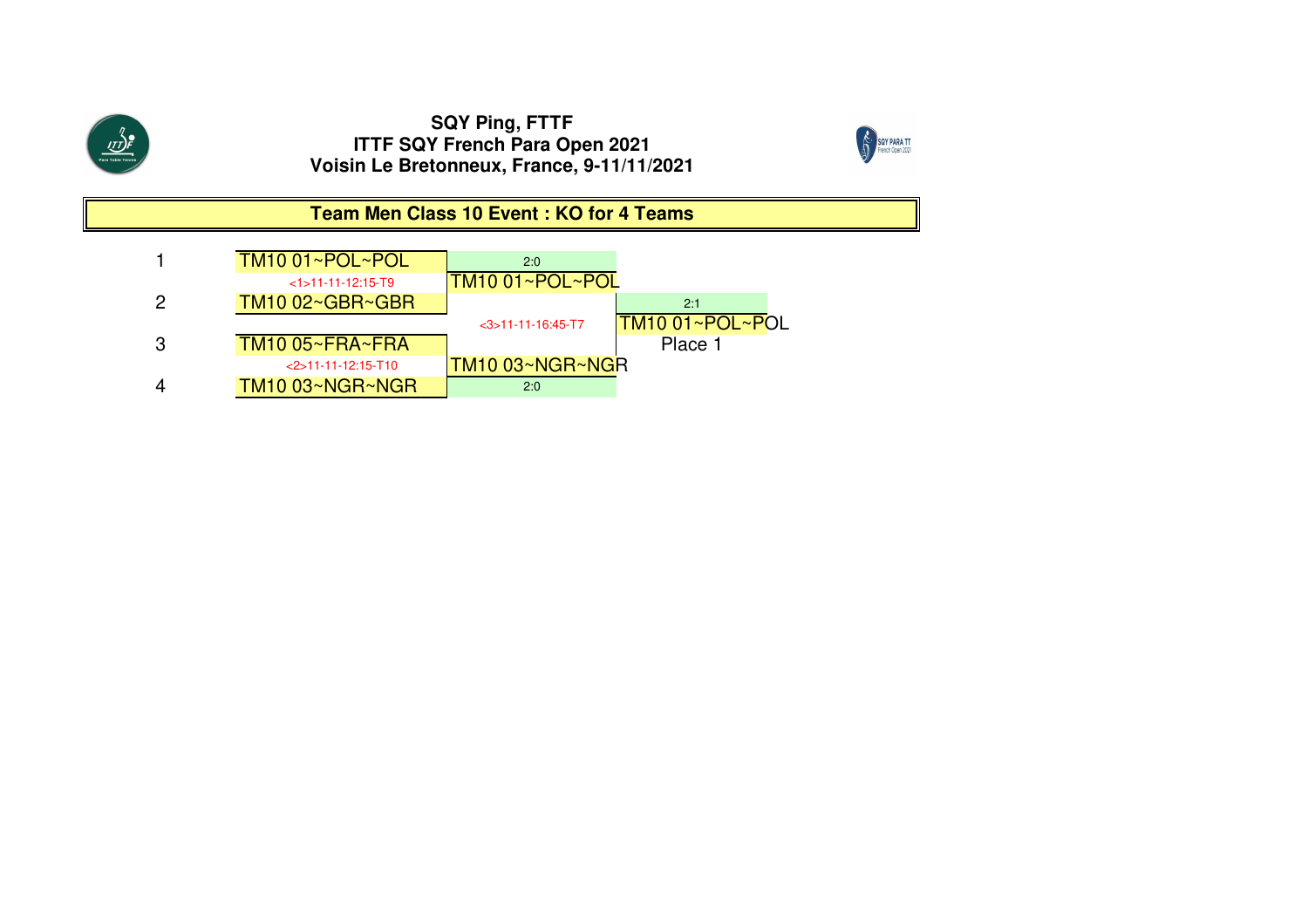

 $\frac{\sqrt{1}}{\sqrt{1}}$ 



**Team Men Class 10 Event : KO for 4 Teams**

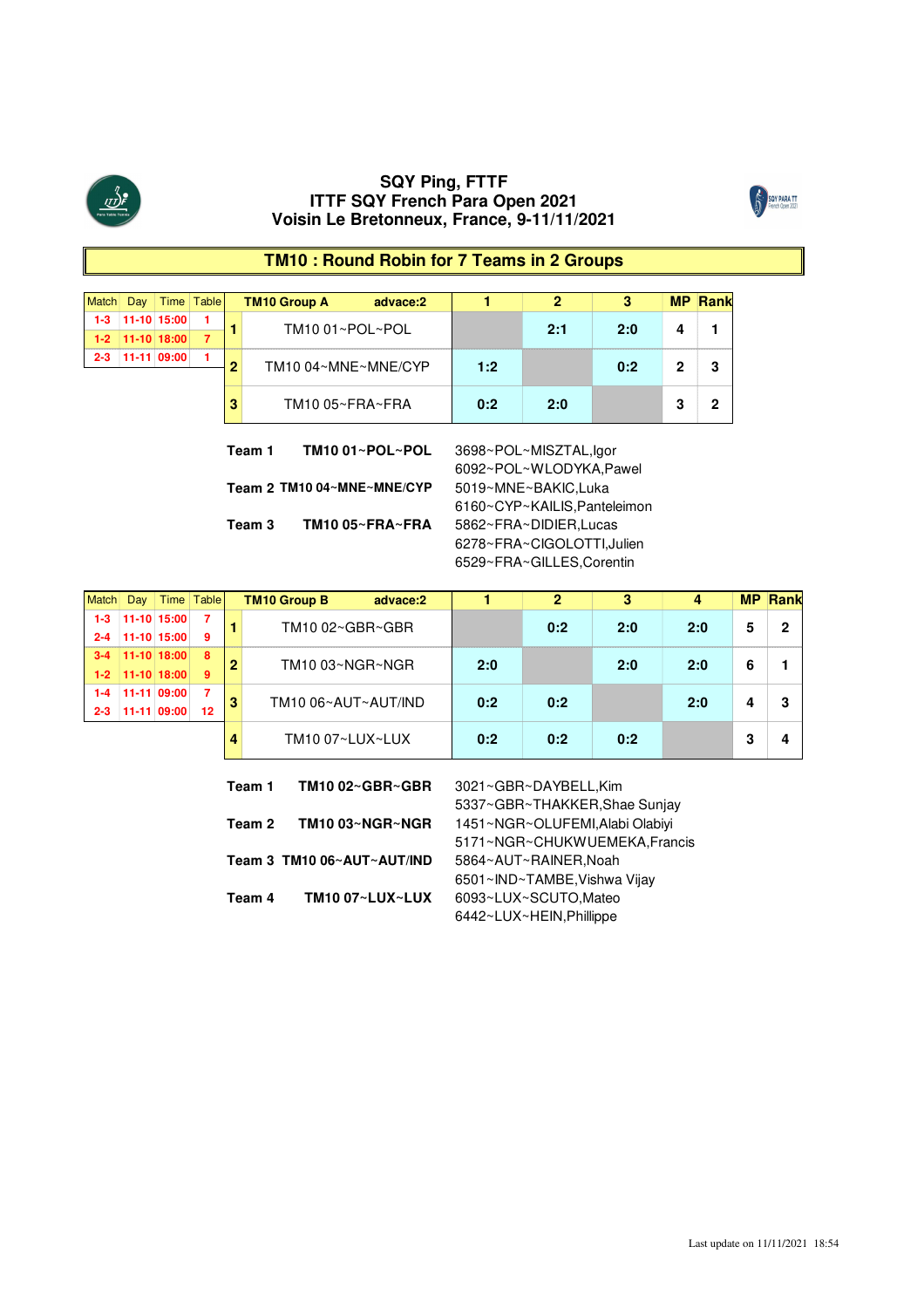



# **TM10 : Round Robin for 7 Teams in 2 Groups**

| Match   | Dav |                         | Time Table |   | <b>TM10 Group A</b> | advace:2 |     |     |     | МP | ⊿Rank |
|---------|-----|-------------------------|------------|---|---------------------|----------|-----|-----|-----|----|-------|
| $1-3$   |     | 11-10 15:00             |            |   | TM1001~POL~POL      |          |     | 2.1 | 20  |    |       |
|         |     | $1 - 2$   11-10   18:00 |            |   |                     |          |     |     |     |    |       |
| $2 - 3$ |     | 11-11 09:00             |            | n | TM10 04~MNE~MNE/CYP |          | 1:2 |     | 0:2 |    |       |
|         |     |                         |            |   | TM10 05~FRA~FRA     |          | 0:2 | ח כ |     |    |       |

**Team 1 TM10 01~POL~POL** 3698~POL~MISZTAL,Igor **Team 2 TM10 04~MNE~MNE/CYP** 5019~MNE~BAKIC,Luka **Team 3 TM10 05~FRA~FRA** 5862~FRA~DIDIER,Lucas

6092~POL~WLODYKA,Pawel 6160~CYP~KAILIS,Panteleimon 6278~FRA~CIGOLOTTI,Julien 6529~FRA~GILLES,Corentin

|         | Jav           | Time ∣          | Table | <b>TM10 Group B</b> | advace:2        |     |     |     |     | <b>MP</b> |   |
|---------|---------------|-----------------|-------|---------------------|-----------------|-----|-----|-----|-----|-----------|---|
|         | 11-10 15:00   |                 |       |                     | TM10 02~GBR~GBR |     | 0:2 | 2:0 | 2:0 |           | c |
| $2 - 4$ | $11-10$ 15:00 |                 | 9     |                     |                 |     |     |     |     |           |   |
|         |               | $11-10$ $18:00$ | -8    | TM10 03~NGR~NGR     |                 | 2:0 |     | 2:0 | 2:0 |           |   |
| $1-2$   | $11-10$ 18:00 |                 | 9     |                     |                 |     |     |     |     |           |   |
|         |               | 11-11 09:00     |       | TM10 06~AUT~AUT/IND |                 | 0:2 | 0:2 |     | 2:0 |           |   |
| 2-3     |               | 11-11 09:00     | 12    |                     |                 |     |     |     |     |           |   |
|         |               |                 |       | TM10 07~LUX~LUX     |                 | 0:2 | 0:2 | በ∙ጋ |     |           |   |

| TM1002~GBR~GBR  | 3021~GBR~DAYBELL,Kim            |
|-----------------|---------------------------------|
|                 | 5337~GBR~THAKKER, Shae Sunjay   |
| TM10 03~NGR~NGR | 1451~NGR~OLUFEMI, Alabi Olabiyi |
|                 | 5171~NGR~CHUKWUEMEKA, Francis   |
|                 | 5864~AUT~RAINER, Noah           |
|                 | 6501~IND~TAMBE, Vishwa Vijay    |
| TM10 07~LUX~LUX | 6093~LUX~SCUTO,Mateo            |
|                 | 6442~LUX~HEIN, Phillippe        |
|                 | Team 3 TM10 06~AUT~AUT/IND      |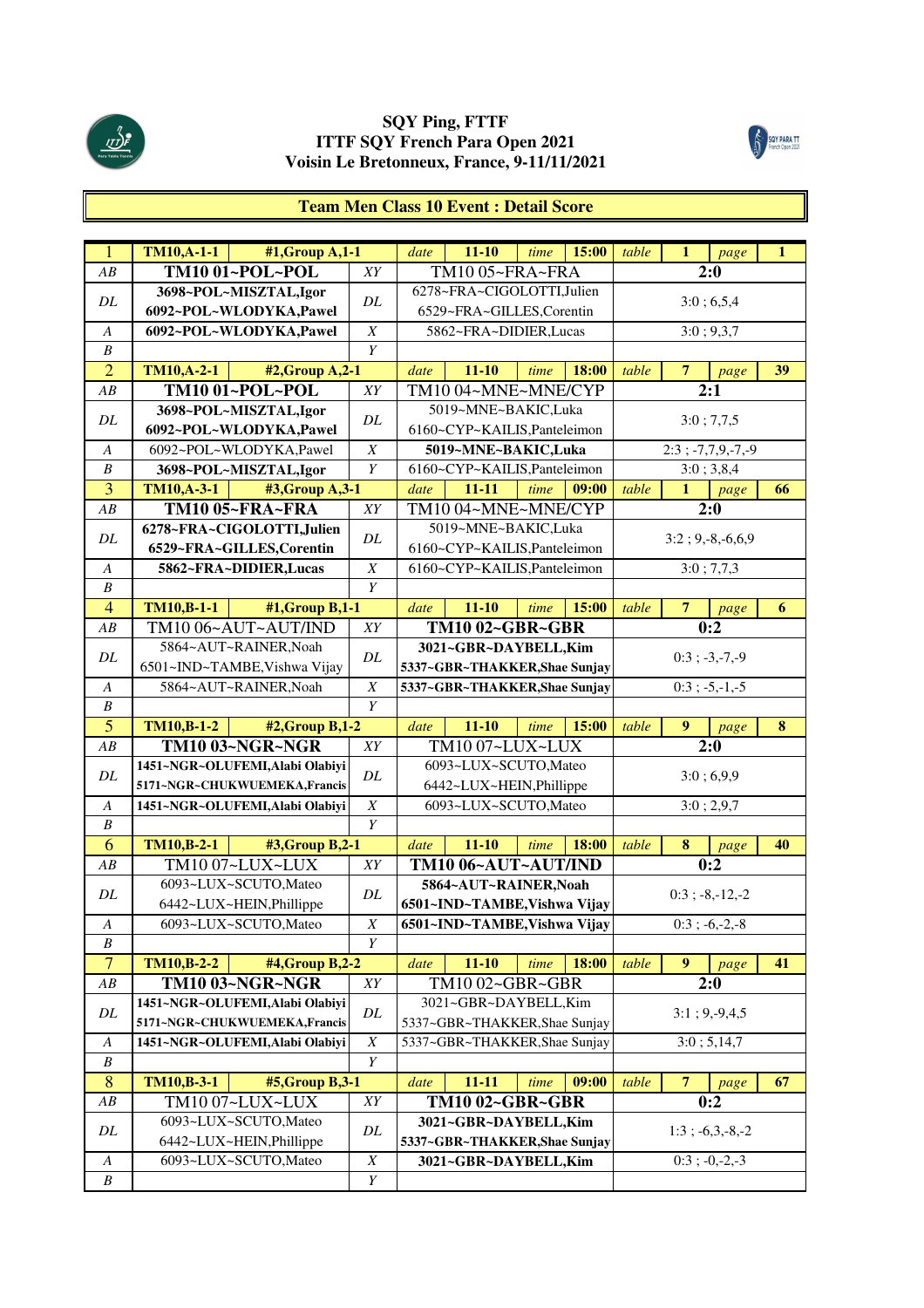



# **Team Men Class 10 Event : Detail Score**

| $\overline{1}$                       | <b>TM10,A-1-1</b> | $#1, Group A,1-1$               |                       | date | $11 - 10$                     | time | 15:00 | table | $\mathbf{1}$     | page                 | 1  |
|--------------------------------------|-------------------|---------------------------------|-----------------------|------|-------------------------------|------|-------|-------|------------------|----------------------|----|
| AB                                   |                   | TM10 01~POL~POL                 | XY                    |      | TM10 05~FRA~FRA               |      |       |       |                  | 2:0                  |    |
|                                      |                   | 3698~POL~MISZTAL,Igor           | DL                    |      | 6278~FRA~CIGOLOTTI,Julien     |      |       |       |                  |                      |    |
| DL                                   |                   | 6092~POL~WLODYKA,Pawel          |                       |      | 6529~FRA~GILLES,Corentin      |      |       |       |                  | 3:0;6,5,4            |    |
| $\boldsymbol{A}$                     |                   | 6092~POL~WLODYKA,Pawel          | $\boldsymbol{X}$      |      | 5862~FRA~DIDIER,Lucas         |      |       |       |                  | 3:0; 9,3,7           |    |
| $\boldsymbol{B}$                     |                   |                                 | $\overline{Y}$        |      |                               |      |       |       |                  |                      |    |
| $\overline{2}$                       | <b>TM10,A-2-1</b> | #2, Group A, 2-1                |                       | date | $11 - 10$                     | time | 18:00 | table | $\overline{7}$   | page                 | 39 |
| AB                                   |                   | <b>TM10 01~POL~POL</b>          | XY                    |      | TM10 04~MNE~MNE/CYP           |      |       |       |                  | 2:1                  |    |
| DL                                   |                   | 3698~POL~MISZTAL,Igor           | DL                    |      | 5019~MNE~BAKIC,Luka           |      |       |       |                  | 3:0; 7,7,5           |    |
|                                      |                   | 6092~POL~WLODYKA,Pawel          |                       |      | 6160~CYP~KAILIS, Panteleimon  |      |       |       |                  |                      |    |
| A                                    |                   | 6092~POL~WLODYKA,Pawel          | $\boldsymbol{X}$      |      | 5019~MNE~BAKIC,Luka           |      |       |       |                  | $2:3$ ; -7,7,9,-7,-9 |    |
| $\boldsymbol{B}$                     |                   | 3698~POL~MISZTAL,Igor           | Y                     |      | 6160~CYP~KAILIS, Panteleimon  |      |       |       |                  | 3:0; 3,8,4           |    |
| 3                                    | <b>TM10,A-3-1</b> | #3, Group A, 3-1                |                       | date | $11 - 11$                     | time | 09:00 | table | $\mathbf{1}$     | page                 | 66 |
| AB                                   |                   | <b>TM10 05~FRA~FRA</b>          | XY                    |      | TM1004~MNE~MNE/CYP            |      |       |       |                  | 2:0                  |    |
| DL                                   |                   | 6278~FRA~CIGOLOTTI,Julien       | DL                    |      | 5019~MNE~BAKIC,Luka           |      |       |       |                  | $3:2; 9,-8,-6,6,9$   |    |
|                                      |                   | 6529~FRA~GILLES, Corentin       |                       |      | 6160~CYP~KAILIS, Panteleimon  |      |       |       |                  |                      |    |
| A                                    |                   | 5862~FRA~DIDIER, Lucas          | $\boldsymbol{X}$      |      | 6160~CYP~KAILIS, Panteleimon  |      |       |       |                  | 3:0; 7,7,3           |    |
| $\boldsymbol{B}$                     |                   |                                 | Y                     |      |                               |      |       |       |                  |                      |    |
| $\overline{4}$                       | <b>TM10,B-1-1</b> | #1, Group B, 1-1                |                       | date | $11 - 10$                     | time | 15:00 | table | $\overline{7}$   | page                 | 6  |
| AB                                   |                   | TM1006~AUT~AUT/IND              | XY                    |      | TM10 02~GBR~GBR               |      |       |       |                  | 0:2                  |    |
| $\cal DL$                            |                   | 5864~AUT~RAINER, Noah           | DL                    |      | 3021~GBR~DAYBELL, Kim         |      |       |       |                  | $0:3; -3,-7,-9$      |    |
|                                      |                   | 6501~IND~TAMBE, Vishwa Vijay    |                       |      | 5337~GBR~THAKKER, Shae Sunjay |      |       |       |                  |                      |    |
| $\boldsymbol{A}$                     |                   | 5864~AUT~RAINER, Noah           | $\boldsymbol{X}$      |      | 5337~GBR~THAKKER, Shae Sunjay |      |       |       |                  | $0:3; -5,-1,-5$      |    |
| $\boldsymbol{B}$                     |                   |                                 | $\overline{Y}$        |      |                               |      |       |       |                  |                      |    |
|                                      |                   |                                 |                       |      |                               |      |       |       |                  |                      |    |
| $\overline{5}$                       | <b>TM10,B-1-2</b> | #2, Group B, 1-2                |                       | date | $11 - 10$                     | time | 15:00 | table | 9                | page                 | 8  |
| AB                                   |                   | TM10 03~NGR~NGR                 | XY                    |      | TM10 07~LUX~LUX               |      |       |       |                  | 2:0                  |    |
| DL                                   |                   | 1451~NGR~OLUFEMI, Alabi Olabiyi | DL                    |      | 6093~LUX~SCUTO,Mateo          |      |       |       |                  |                      |    |
|                                      |                   | 5171~NGR~CHUKWUEMEKA, Francis   |                       |      | 6442~LUX~HEIN, Phillippe      |      |       |       |                  | 3:0;6,9,9            |    |
| A                                    |                   | 1451~NGR~OLUFEMI, Alabi Olabiyi | $\boldsymbol{X}$      |      | 6093~LUX~SCUTO,Mateo          |      |       |       |                  | 3:0; 2,9,7           |    |
| B                                    |                   |                                 | Y                     |      |                               |      |       |       |                  |                      |    |
| 6                                    | <b>TM10,B-2-1</b> | #3, Group B, 2-1                |                       | date | $11 - 10$                     | time | 18:00 | table | 8                | page                 | 40 |
| ${\cal AB}$                          |                   | TM10 07~LUX~LUX                 | XY                    |      | TM10 06~AUT~AUT/IND           |      |       |       |                  | 0:2                  |    |
| DL                                   |                   | 6093~LUX~SCUTO,Mateo            | DL                    |      | 5864~AUT~RAINER, Noah         |      |       |       |                  | $0:3$ ; -8,-12,-2    |    |
|                                      |                   | 6442~LUX~HEIN, Phillippe        |                       |      | 6501~IND~TAMBE, Vishwa Vijay  |      |       |       |                  |                      |    |
| $\boldsymbol{A}$                     |                   | 6093~LUX~SCUTO,Mateo            | $\boldsymbol{X}$      |      | 6501~IND~TAMBE, Vishwa Vijay  |      |       |       |                  | $0:3; -6,-2,-8$      |    |
| B                                    |                   |                                 | Y                     |      |                               |      |       |       |                  |                      |    |
| $\overline{7}$                       | TM10,B-2-2        | #4, Group B, 2-2                |                       | date | $11 - 10$                     | time | 18:00 | table | $\boldsymbol{9}$ | page                 | 41 |
| ${\cal AB}$                          |                   | TM10 03~NGR~NGR                 | ${\cal XY}$           |      | TM10 02~GBR~GBR               |      |       |       |                  | 2:0                  |    |
| DL                                   |                   | 1451~NGR~OLUFEMI, Alabi Olabiyi | DL                    |      | 3021~GBR~DAYBELL, Kim         |      |       |       |                  | $3:1; 9,-9,4,5$      |    |
|                                      |                   | 5171~NGR~CHUKWUEMEKA,Francis    |                       |      | 5337~GBR~THAKKER, Shae Sunjay |      |       |       |                  |                      |    |
| A                                    |                   | 1451~NGR~OLUFEMI, Alabi Olabiyi | $\overline{X}$        |      | 5337~GBR~THAKKER, Shae Sunjay |      |       |       |                  | 3:0; 5,14,7          |    |
| B                                    |                   |                                 | $\overline{Y}$        |      |                               |      |       |       |                  |                      |    |
| 8                                    | <b>TM10,B-3-1</b> | #5, Group B, 3-1                |                       | date | $11 - 11$                     | time | 09:00 | table | 7                | page                 | 67 |
| $\overline{AB}$                      |                   | TM10 07~LUX~LUX                 | XY                    |      | TM10 02~GBR~GBR               |      |       |       |                  | 0:2                  |    |
| DL                                   |                   | 6093~LUX~SCUTO,Mateo            | DL                    |      | 3021~GBR~DAYBELL, Kim         |      |       |       |                  | $1:3; -6,3,-8,-2$    |    |
|                                      |                   | 6442~LUX~HEIN, Phillippe        |                       |      | 5337~GBR~THAKKER, Shae Sunjay |      |       |       |                  |                      |    |
| $\boldsymbol{A}$<br>$\boldsymbol{B}$ |                   | 6093~LUX~SCUTO,Mateo            | $\boldsymbol{X}$<br>Y |      | 3021~GBR~DAYBELL, Kim         |      |       |       |                  | $0:3$ ; $-0,-2,-3$   |    |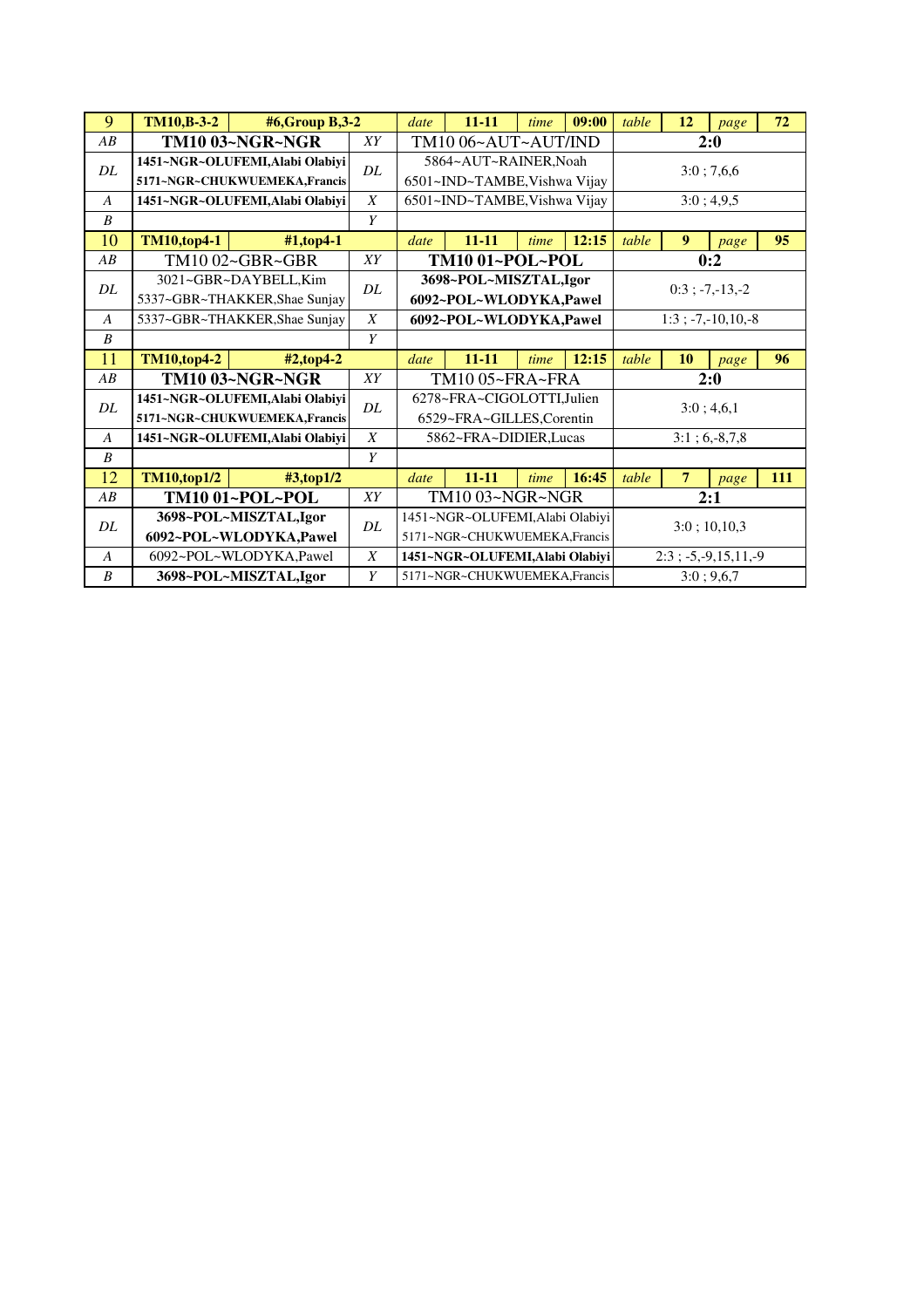| 9                | <b>TM10,B-3-2</b>                                               | #6,Group B,3-2                                                   |                                                       | $11 - 11$<br>date                               |                                                                 | time                  | 09:00      | table                       | 12               | page                       | 72  |  |
|------------------|-----------------------------------------------------------------|------------------------------------------------------------------|-------------------------------------------------------|-------------------------------------------------|-----------------------------------------------------------------|-----------------------|------------|-----------------------------|------------------|----------------------------|-----|--|
| AB               |                                                                 | <b>TM10 03~NGR~NGR</b>                                           | XY                                                    |                                                 | TM10 06~AUT~AUT/IND                                             |                       |            |                             | 2:0              |                            |     |  |
| DL               | 1451~NGR~OLUFEMI, Alabi Olabiyi<br>5171~NGR~CHUKWUEMEKA,Francis | DL.                                                              | 5864~AUT~RAINER, Noah<br>6501~IND~TAMBE, Vishwa Vijay |                                                 |                                                                 |                       | 3:0; 7,6,6 |                             |                  |                            |     |  |
| $\overline{A}$   |                                                                 | 1451~NGR~OLUFEMI, Alabi Olabiyi                                  | $\boldsymbol{X}$                                      | 6501~IND~TAMBE, Vishwa Vijay                    |                                                                 |                       |            | 3:0; 4,9,5                  |                  |                            |     |  |
| $\boldsymbol{B}$ |                                                                 |                                                                  | Y                                                     |                                                 |                                                                 |                       |            |                             |                  |                            |     |  |
| 10               | <b>TM10,top4-1</b>                                              | $#1$ , top 4-1                                                   |                                                       | date                                            | $11 - 11$                                                       | time                  | 12:15      | table                       | $\boldsymbol{9}$ | page                       | 95  |  |
| AB               |                                                                 | TM10 02~GBR~GBR                                                  | XY                                                    |                                                 | TM10 01~POL~POL                                                 |                       |            |                             | 0:2              |                            |     |  |
| DL               | 3021~GBR~DAYBELL, Kim<br>5337~GBR~THAKKER, Shae Sunjay          | DL                                                               |                                                       | 3698~POL~MISZTAL,Igor<br>6092~POL~WLODYKA,Pawel |                                                                 | $0:3$ ; $-7, -13, -2$ |            |                             |                  |                            |     |  |
| $\overline{A}$   |                                                                 | 5337~GBR~THAKKER, Shae Sunjay                                    | $\boldsymbol{X}$                                      | 6092~POL~WLODYKA,Pawel                          |                                                                 |                       |            | $1:3$ ; $-7$ , $-10,10, -8$ |                  |                            |     |  |
| $\boldsymbol{B}$ |                                                                 | Y                                                                |                                                       |                                                 |                                                                 |                       |            |                             |                  |                            |     |  |
|                  |                                                                 |                                                                  |                                                       |                                                 |                                                                 |                       |            |                             |                  |                            |     |  |
| 11               | <b>TM10,top4-2</b>                                              | $#2$ , top 4-2                                                   |                                                       | date                                            | $11 - 11$                                                       | time                  | 12:15      | table                       | 10               | page                       | 96  |  |
| AB               |                                                                 | TM10 03~NGR~NGR                                                  | XY                                                    |                                                 | TM10 05~FRA~FRA                                                 |                       |            |                             |                  | 2:0                        |     |  |
| DL               |                                                                 | 1451~NGR~OLUFEMI, Alabi Olabiyi<br>5171~NGR~CHUKWUEMEKA, Francis | DL                                                    |                                                 | 6278~FRA~CIGOLOTTI,Julien<br>6529~FRA~GILLES,Corentin           |                       |            |                             |                  | 3:0;4,6,1                  |     |  |
| A                |                                                                 | 1451~NGR~OLUFEMI, Alabi Olabiyi                                  | X                                                     |                                                 | 5862~FRA~DIDIER, Lucas                                          |                       |            |                             |                  | $3:1; 6,-8,7,8$            |     |  |
| $\boldsymbol{B}$ |                                                                 |                                                                  | Y                                                     |                                                 |                                                                 |                       |            |                             |                  |                            |     |  |
| 12               | <b>TM10,top1/2</b>                                              | $\text{\#3,top1/2}$                                              |                                                       | date                                            | $11 - 11$                                                       | time                  | 16:45      | table                       | $\overline{7}$   | page                       | 111 |  |
| AB               |                                                                 | TM10 01~POL~POL                                                  | XY                                                    |                                                 | TM10 03~NGR~NGR                                                 |                       |            |                             |                  | 2:1                        |     |  |
| DL               |                                                                 | 3698~POL~MISZTAL,Igor<br>6092~POL~WLODYKA,Pawel                  | DL                                                    |                                                 | 1451~NGR~OLUFEMI,Alabi Olabiyi<br>5171~NGR~CHUKWUEMEKA, Francis |                       |            |                             |                  | $3:0$ ; 10,10,3            |     |  |
| $\boldsymbol{A}$ |                                                                 | 6092~POL~WLODYKA,Pawel                                           | X                                                     |                                                 | 1451~NGR~OLUFEMI,Alabi Olabiyi                                  |                       |            |                             |                  | $2:3$ ; -5, -9, 15, 11, -9 |     |  |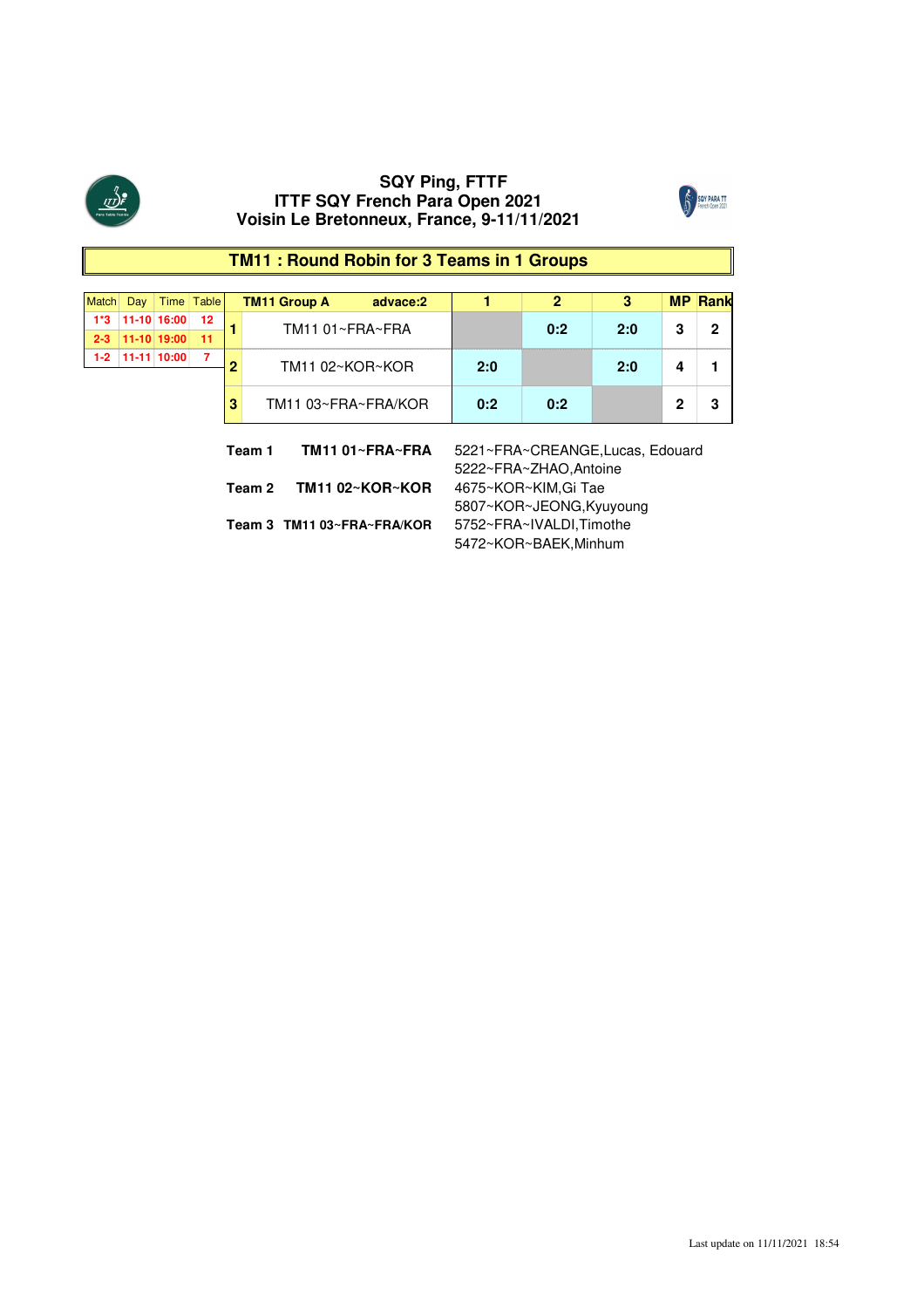



# **TM11 : Round Robin for 3 Teams in 1 Groups**

| Match                      | Day                       |                 | Time   Table |   | <b>TM11 Group A</b> | advace:2            |                                                            | $\mathbf{2}$ | 3   |   | <b>MP Rank</b> |  |  |  |
|----------------------------|---------------------------|-----------------|--------------|---|---------------------|---------------------|------------------------------------------------------------|--------------|-----|---|----------------|--|--|--|
| 1*3                        |                           | $11-10$ 16:00   | 12           |   | TM11 01~FRA~FRA     |                     |                                                            | 0:2          | 2:0 | 3 | 2              |  |  |  |
|                            |                           | 2-3 11-10 19:00 | 11           |   |                     |                     |                                                            |              |     |   |                |  |  |  |
| $1 - 2$                    |                           | 11-11 10:00     |              | 2 | TM11 02~KOR~KOR     |                     | 2:0                                                        |              | 2:0 | 4 |                |  |  |  |
|                            |                           |                 |              |   |                     |                     |                                                            |              |     |   |                |  |  |  |
|                            | 3                         |                 |              |   |                     | TM11 03~FRA~FRA/KOR |                                                            |              |     | 2 | 3              |  |  |  |
|                            | TM11 01~FRA~FRA<br>Team 1 |                 |              |   |                     |                     | 5221~FRA~CREANGE, Lucas, Edouard<br>5222~FRA~ZHAO, Antoine |              |     |   |                |  |  |  |
|                            |                           |                 |              |   | Team 2              | TM11 02~KOR~KOR     | 4675~KOR~KIM, Gi Tae<br>5807~KOR~JEONG, Kyuyoung           |              |     |   |                |  |  |  |
| Team 3 TM11 03~FRA~FRA/KOR |                           |                 |              |   |                     |                     | 5752~FRA~IVALDI, Timothe                                   |              |     |   |                |  |  |  |

5472~KOR~BAEK,Minhum